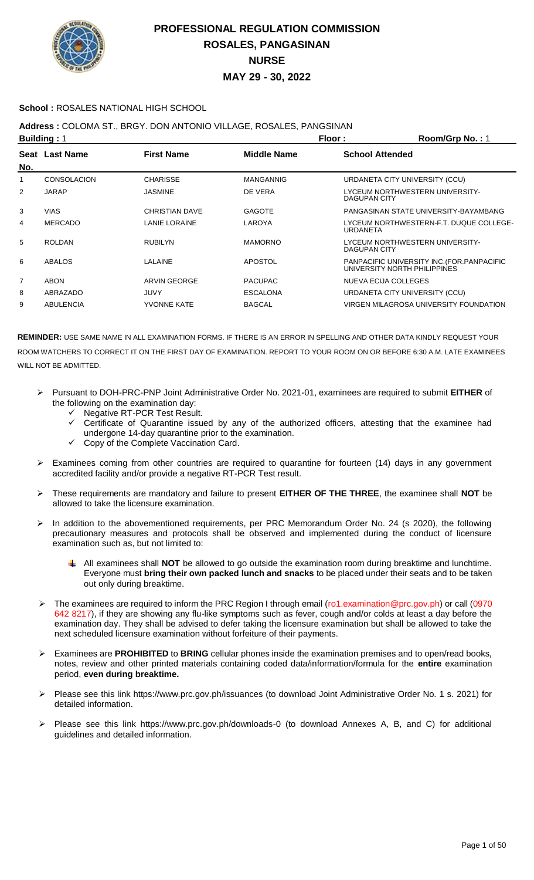

### **School :** ROSALES NATIONAL HIGH SCHOOL

### **Address :** COLOMA ST., BRGY. DON ANTONIO VILLAGE, ROSALES, PANGSINAN

| <b>Building: 1</b> |                    |                       | Floor:             | Room/Grp No.: 1                                                             |
|--------------------|--------------------|-----------------------|--------------------|-----------------------------------------------------------------------------|
| No.                | Seat Last Name     | <b>First Name</b>     | <b>Middle Name</b> | <b>School Attended</b>                                                      |
| 1                  | <b>CONSOLACION</b> | <b>CHARISSE</b>       | <b>MANGANNIG</b>   | URDANETA CITY UNIVERSITY (CCU)                                              |
| 2                  | <b>JARAP</b>       | <b>JASMINE</b>        | DE VERA            | LYCEUM NORTHWESTERN UNIVERSITY-<br><b>DAGUPAN CITY</b>                      |
| 3                  | <b>VIAS</b>        | <b>CHRISTIAN DAVE</b> | <b>GAGOTE</b>      | PANGASINAN STATE UNIVERSITY-BAYAMBANG                                       |
| 4                  | <b>MERCADO</b>     | LANIE LORAINE         | LAROYA             | LYCEUM NORTHWESTERN-F.T. DUQUE COLLEGE-<br>URDANETA                         |
| 5                  | <b>ROLDAN</b>      | <b>RUBILYN</b>        | <b>MAMORNO</b>     | LYCEUM NORTHWESTERN UNIVERSITY-<br>DAGUPAN CITY                             |
| 6                  | ABALOS             | LALAINE               | <b>APOSTOL</b>     | PANPACIFIC UNIVERSITY INC. (FOR. PANPACIFIC<br>UNIVERSITY NORTH PHILIPPINES |
| $\overline{7}$     | ABON               | ARVIN GEORGE          | <b>PACUPAC</b>     | NUEVA ECIJA COLLEGES                                                        |
| 8                  | ABRAZADO           | <b>JUVY</b>           | <b>ESCALONA</b>    | URDANETA CITY UNIVERSITY (CCU)                                              |
| 9                  | <b>ABULENCIA</b>   | <b>YVONNE KATE</b>    | <b>BAGCAL</b>      | VIRGEN MILAGROSA UNIVERSITY FOUNDATION                                      |
|                    |                    |                       |                    |                                                                             |

- Pursuant to DOH-PRC-PNP Joint Administrative Order No. 2021-01, examinees are required to submit **EITHER** of the following on the examination day:
	- Negative RT-PCR Test Result.
	- Certificate of Quarantine issued by any of the authorized officers, attesting that the examinee had undergone 14-day quarantine prior to the examination.
	- Copy of the Complete Vaccination Card.
- $\triangleright$  Examinees coming from other countries are required to quarantine for fourteen (14) days in any government accredited facility and/or provide a negative RT-PCR Test result.
- These requirements are mandatory and failure to present **EITHER OF THE THREE**, the examinee shall **NOT** be allowed to take the licensure examination.
- > In addition to the abovementioned requirements, per PRC Memorandum Order No. 24 (s 2020), the following precautionary measures and protocols shall be observed and implemented during the conduct of licensure examination such as, but not limited to:
	- All examinees shall **NOT** be allowed to go outside the examination room during breaktime and lunchtime. Everyone must **bring their own packed lunch and snacks** to be placed under their seats and to be taken out only during breaktime.
- The examinees are required to inform the PRC Region I through email (ro1.examination@prc.gov.ph) or call (0970 642 8217), if they are showing any flu-like symptoms such as fever, cough and/or colds at least a day before the examination day. They shall be advised to defer taking the licensure examination but shall be allowed to take the next scheduled licensure examination without forfeiture of their payments.
- Examinees are **PROHIBITED** to **BRING** cellular phones inside the examination premises and to open/read books, notes, review and other printed materials containing coded data/information/formula for the **entire** examination period, **even during breaktime.**
- Please see this link https://www.prc.gov.ph/issuances (to download Joint Administrative Order No. 1 s. 2021) for detailed information.
- Please see this link https://www.prc.gov.ph/downloads-0 (to download Annexes A, B, and C) for additional guidelines and detailed information.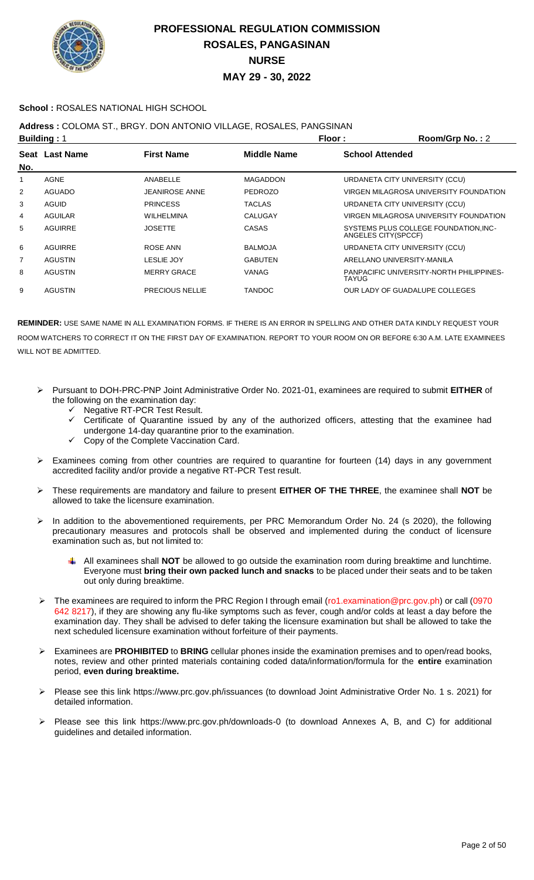

### **School :** ROSALES NATIONAL HIGH SCHOOL

### **Address :** COLOMA ST., BRGY. DON ANTONIO VILLAGE, ROSALES, PANGSINAN

|                | Floor:<br><b>Building: 1</b> |                        | Room/Grp No.: 2    |                                                             |
|----------------|------------------------------|------------------------|--------------------|-------------------------------------------------------------|
| No.            | Seat Last Name               | <b>First Name</b>      | <b>Middle Name</b> | <b>School Attended</b>                                      |
| 1              | <b>AGNE</b>                  | ANABELLE               | <b>MAGADDON</b>    | URDANETA CITY UNIVERSITY (CCU)                              |
| 2              | <b>AGUADO</b>                | <b>JEANIROSE ANNE</b>  | <b>PEDROZO</b>     | VIRGEN MILAGROSA UNIVERSITY FOUNDATION                      |
| 3              | AGUID                        | <b>PRINCESS</b>        | <b>TACLAS</b>      | URDANETA CITY UNIVERSITY (CCU)                              |
| 4              | AGUILAR                      | <b>WILHELMINA</b>      | CALUGAY            | VIRGEN MILAGROSA UNIVERSITY FOUNDATION                      |
| 5              | AGUIRRE                      | <b>JOSETTE</b>         | <b>CASAS</b>       | SYSTEMS PLUS COLLEGE FOUNDATION.INC-<br>ANGELES CITY(SPCCF) |
| 6              | AGUIRRE                      | ROSE ANN               | <b>BALMOJA</b>     | URDANETA CITY UNIVERSITY (CCU)                              |
| $\overline{7}$ | <b>AGUSTIN</b>               | <b>LESLIE JOY</b>      | <b>GABUTEN</b>     | ARELLANO UNIVERSITY-MANILA                                  |
| 8              | <b>AGUSTIN</b>               | <b>MERRY GRACE</b>     | VANAG              | PANPACIFIC UNIVERSITY-NORTH PHILIPPINES-<br><b>TAYUG</b>    |
| 9              | <b>AGUSTIN</b>               | <b>PRECIOUS NELLIE</b> | TANDOC             | OUR LADY OF GUADALUPE COLLEGES                              |

- Pursuant to DOH-PRC-PNP Joint Administrative Order No. 2021-01, examinees are required to submit **EITHER** of the following on the examination day:
	- $\checkmark$  Negative RT-PCR Test Result.
	- Certificate of Quarantine issued by any of the authorized officers, attesting that the examinee had undergone 14-day quarantine prior to the examination.
	- Copy of the Complete Vaccination Card.
- Examinees coming from other countries are required to quarantine for fourteen (14) days in any government accredited facility and/or provide a negative RT-PCR Test result.
- These requirements are mandatory and failure to present **EITHER OF THE THREE**, the examinee shall **NOT** be allowed to take the licensure examination.
- > In addition to the abovementioned requirements, per PRC Memorandum Order No. 24 (s 2020), the following precautionary measures and protocols shall be observed and implemented during the conduct of licensure examination such as, but not limited to:
	- All examinees shall **NOT** be allowed to go outside the examination room during breaktime and lunchtime. Everyone must **bring their own packed lunch and snacks** to be placed under their seats and to be taken out only during breaktime.
- The examinees are required to inform the PRC Region I through email (ro1.examination@prc.gov.ph) or call (0970 642 8217), if they are showing any flu-like symptoms such as fever, cough and/or colds at least a day before the examination day. They shall be advised to defer taking the licensure examination but shall be allowed to take the next scheduled licensure examination without forfeiture of their payments.
- Examinees are **PROHIBITED** to **BRING** cellular phones inside the examination premises and to open/read books, notes, review and other printed materials containing coded data/information/formula for the **entire** examination period, **even during breaktime.**
- Please see this link https://www.prc.gov.ph/issuances (to download Joint Administrative Order No. 1 s. 2021) for detailed information.
- Please see this link https://www.prc.gov.ph/downloads-0 (to download Annexes A, B, and C) for additional guidelines and detailed information.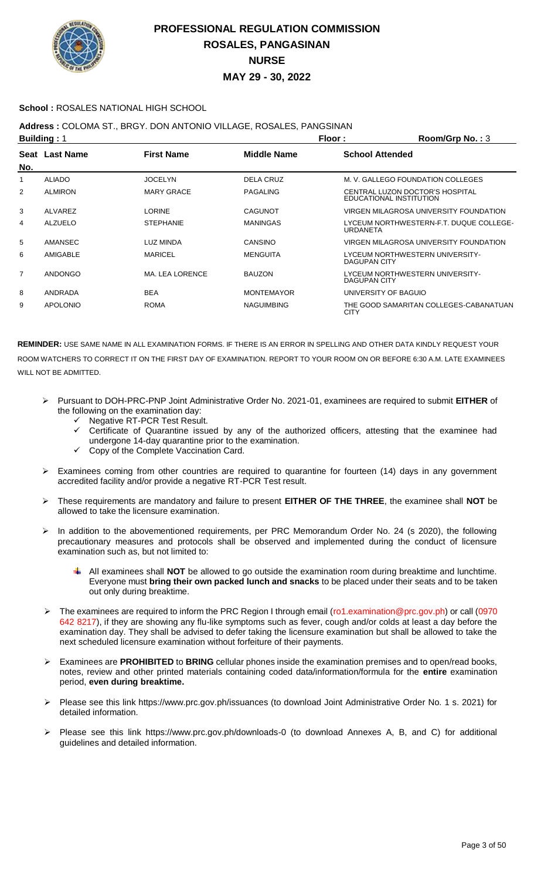

### **School :** ROSALES NATIONAL HIGH SCHOOL

## **Address :** COLOMA ST., BRGY. DON ANTONIO VILLAGE, ROSALES, PANGSINAN

| <b>Building: 1</b> |                 |                   | Floor:            | Room/Grp No.: 3                                            |
|--------------------|-----------------|-------------------|-------------------|------------------------------------------------------------|
| No.                | Seat Last Name  | <b>First Name</b> | Middle Name       | <b>School Attended</b>                                     |
|                    | <b>ALIADO</b>   | <b>JOCELYN</b>    | DELA CRUZ         | M. V. GALLEGO FOUNDATION COLLEGES                          |
| $\overline{2}$     | <b>ALMIRON</b>  | <b>MARY GRACE</b> | <b>PAGALING</b>   | CENTRAL LUZON DOCTOR'S HOSPITAL<br>EDUCATIONAL INSTITUTION |
| 3                  | ALVAREZ         | <b>LORINE</b>     | <b>CAGUNOT</b>    | VIRGEN MILAGROSA UNIVERSITY FOUNDATION                     |
| 4                  | <b>ALZUELO</b>  | <b>STEPHANIE</b>  | <b>MANINGAS</b>   | LYCEUM NORTHWESTERN-F.T. DUQUE COLLEGE-<br>URDANETA        |
| 5                  | AMANSEC         | LUZ MINDA         | CANSINO           | VIRGEN MILAGROSA UNIVERSITY FOUNDATION                     |
| 6                  | AMIGABLE        | <b>MARICEL</b>    | <b>MENGUITA</b>   | LYCEUM NORTHWESTERN UNIVERSITY-<br>DAGUPAN CITY            |
| 7                  | ANDONGO         | MA. LEA LORENCE   | <b>BAUZON</b>     | LYCEUM NORTHWESTERN UNIVERSITY-<br>DAGUPAN CITY            |
| 8                  | ANDRADA         | <b>BEA</b>        | <b>MONTEMAYOR</b> | UNIVERSITY OF BAGUIO                                       |
| 9                  | <b>APOLONIO</b> | <b>ROMA</b>       | <b>NAGUIMBING</b> | THE GOOD SAMARITAN COLLEGES-CABANATUAN<br><b>CITY</b>      |

- Pursuant to DOH-PRC-PNP Joint Administrative Order No. 2021-01, examinees are required to submit **EITHER** of the following on the examination day:
	- ← Negative RT-PCR Test Result.<br>← Certificate of Quarantine issue
	- Certificate of Quarantine issued by any of the authorized officers, attesting that the examinee had undergone 14-day quarantine prior to the examination.
	- $\checkmark$  Copy of the Complete Vaccination Card.
- Examinees coming from other countries are required to quarantine for fourteen (14) days in any government accredited facility and/or provide a negative RT-PCR Test result.
- These requirements are mandatory and failure to present **EITHER OF THE THREE**, the examinee shall **NOT** be allowed to take the licensure examination.
- In addition to the abovementioned requirements, per PRC Memorandum Order No. 24 (s 2020), the following precautionary measures and protocols shall be observed and implemented during the conduct of licensure examination such as, but not limited to:
	- All examinees shall **NOT** be allowed to go outside the examination room during breaktime and lunchtime. Everyone must **bring their own packed lunch and snacks** to be placed under their seats and to be taken out only during breaktime.
- > The examinees are required to inform the PRC Region I through email (ro1.examination@prc.gov.ph) or call (0970 642 8217), if they are showing any flu-like symptoms such as fever, cough and/or colds at least a day before the examination day. They shall be advised to defer taking the licensure examination but shall be allowed to take the next scheduled licensure examination without forfeiture of their payments.
- Examinees are **PROHIBITED** to **BRING** cellular phones inside the examination premises and to open/read books, notes, review and other printed materials containing coded data/information/formula for the **entire** examination period, **even during breaktime.**
- Please see this link https://www.prc.gov.ph/issuances (to download Joint Administrative Order No. 1 s. 2021) for detailed information.
- Please see this link https://www.prc.gov.ph/downloads-0 (to download Annexes A, B, and C) for additional guidelines and detailed information.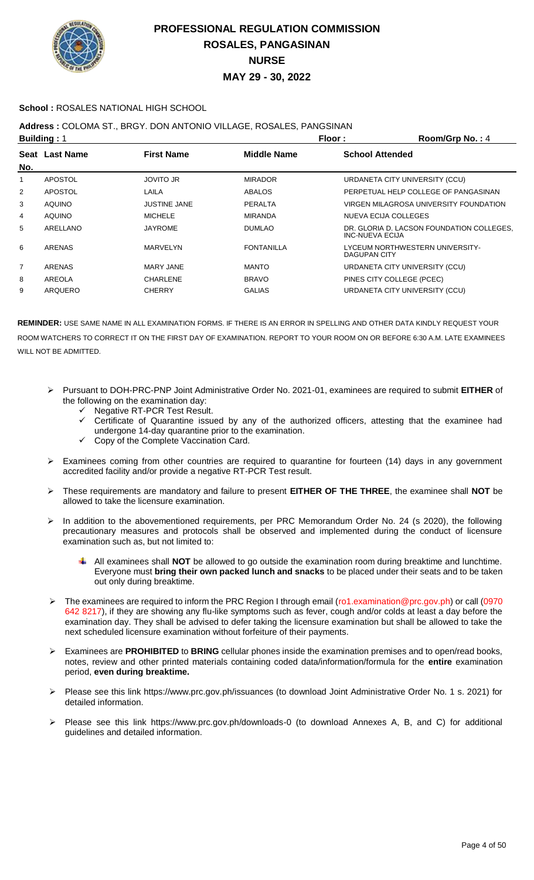

### **School :** ROSALES NATIONAL HIGH SCHOOL

### **Address :** COLOMA ST., BRGY. DON ANTONIO VILLAGE, ROSALES, PANGSINAN

| <b>Building: 1</b> |                       |                     | Floor:             | Room/Grp No.: 4                                              |
|--------------------|-----------------------|---------------------|--------------------|--------------------------------------------------------------|
| No.                | <b>Seat Last Name</b> | <b>First Name</b>   | <b>Middle Name</b> | <b>School Attended</b>                                       |
| 1                  | <b>APOSTOL</b>        | <b>JOVITO JR</b>    | <b>MIRADOR</b>     | URDANETA CITY UNIVERSITY (CCU)                               |
| 2                  | APOSTOL               | LAILA               | <b>ABALOS</b>      | PERPETUAL HELP COLLEGE OF PANGASINAN                         |
| 3                  | <b>AQUINO</b>         | <b>JUSTINE JANE</b> | <b>PERALTA</b>     | VIRGEN MILAGROSA UNIVERSITY FOUNDATION                       |
| 4                  | <b>AQUINO</b>         | <b>MICHELE</b>      | <b>MIRANDA</b>     | NUEVA ECIJA COLLEGES                                         |
| 5                  | ARELLANO              | <b>JAYROME</b>      | <b>DUMLAO</b>      | DR. GLORIA D. LACSON FOUNDATION COLLEGES.<br>INC-NUEVA ECIJA |
| 6                  | ARENAS                | MARVELYN            | <b>FONTANILLA</b>  | LYCEUM NORTHWESTERN UNIVERSITY-<br>DAGUPAN CITY              |
| $\overline{7}$     | ARENAS                | MARY JANE           | <b>MANTO</b>       | URDANETA CITY UNIVERSITY (CCU)                               |
| 8                  | AREOLA                | <b>CHARLENE</b>     | <b>BRAVO</b>       | PINES CITY COLLEGE (PCEC)                                    |
| 9                  | ARQUERO               | <b>CHERRY</b>       | <b>GALIAS</b>      | URDANETA CITY UNIVERSITY (CCU)                               |
|                    |                       |                     |                    |                                                              |

- Pursuant to DOH-PRC-PNP Joint Administrative Order No. 2021-01, examinees are required to submit **EITHER** of the following on the examination day:
	- $\checkmark$  Negative RT-PCR Test Result.
	- $\checkmark$  Certificate of Quarantine issued by any of the authorized officers, attesting that the examinee had undergone 14-day quarantine prior to the examination.
	- $\checkmark$  Copy of the Complete Vaccination Card.
- Examinees coming from other countries are required to quarantine for fourteen (14) days in any government accredited facility and/or provide a negative RT-PCR Test result.
- These requirements are mandatory and failure to present **EITHER OF THE THREE**, the examinee shall **NOT** be allowed to take the licensure examination.
- In addition to the abovementioned requirements, per PRC Memorandum Order No. 24 (s 2020), the following precautionary measures and protocols shall be observed and implemented during the conduct of licensure examination such as, but not limited to:
	- All examinees shall **NOT** be allowed to go outside the examination room during breaktime and lunchtime. Everyone must **bring their own packed lunch and snacks** to be placed under their seats and to be taken out only during breaktime.
- The examinees are required to inform the PRC Region I through email (ro1.examination@prc.gov.ph) or call (0970 642 8217), if they are showing any flu-like symptoms such as fever, cough and/or colds at least a day before the examination day. They shall be advised to defer taking the licensure examination but shall be allowed to take the next scheduled licensure examination without forfeiture of their payments.
- Examinees are **PROHIBITED** to **BRING** cellular phones inside the examination premises and to open/read books, notes, review and other printed materials containing coded data/information/formula for the **entire** examination period, **even during breaktime.**
- Please see this link https://www.prc.gov.ph/issuances (to download Joint Administrative Order No. 1 s. 2021) for detailed information.
- Please see this link https://www.prc.gov.ph/downloads-0 (to download Annexes A, B, and C) for additional guidelines and detailed information.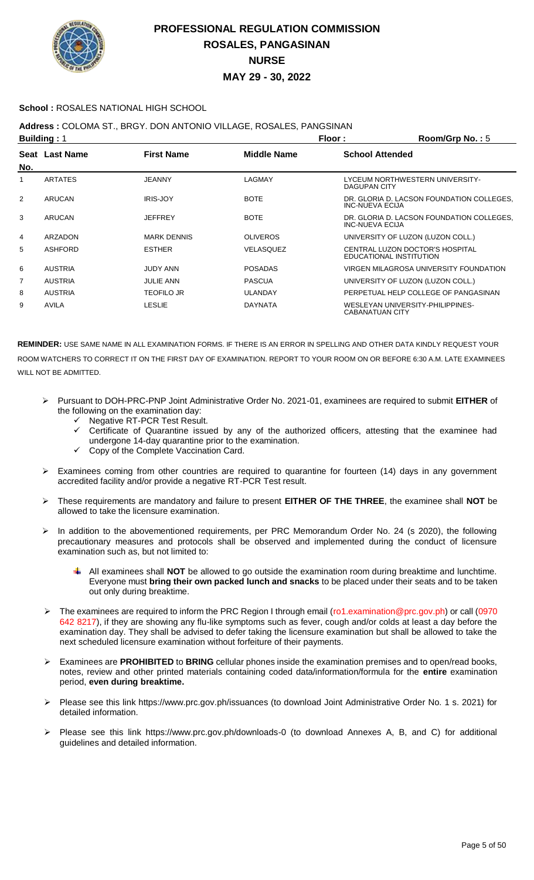

### **School :** ROSALES NATIONAL HIGH SCHOOL

**Address :** COLOMA ST., BRGY. DON ANTONIO VILLAGE, ROSALES, PANGSINAN

| <b>Building: 1</b> |                |                    | Floor:             | Room/Grp No.: 5                                                     |
|--------------------|----------------|--------------------|--------------------|---------------------------------------------------------------------|
| No.                | Seat Last Name | <b>First Name</b>  | <b>Middle Name</b> | <b>School Attended</b>                                              |
| 1                  | <b>ARTATES</b> | <b>JEANNY</b>      | LAGMAY             | LYCEUM NORTHWESTERN UNIVERSITY-<br>DAGUPAN CITY                     |
| 2                  | <b>ARUCAN</b>  | <b>IRIS-JOY</b>    | <b>BOTE</b>        | DR. GLORIA D. LACSON FOUNDATION COLLEGES.<br><b>INC-NUEVA ECIJA</b> |
| 3                  | ARUCAN         | <b>JEFFREY</b>     | <b>BOTE</b>        | DR. GLORIA D. LACSON FOUNDATION COLLEGES.<br><b>INC-NUEVA ECIJA</b> |
| 4                  | <b>ARZADON</b> | <b>MARK DENNIS</b> | <b>OLIVEROS</b>    | UNIVERSITY OF LUZON (LUZON COLL.)                                   |
| 5                  | <b>ASHFORD</b> | <b>ESTHER</b>      | VELASQUEZ          | CENTRAL LUZON DOCTOR'S HOSPITAL<br>EDUCATIONAL INSTITUTION          |
| 6                  | <b>AUSTRIA</b> | <b>JUDY ANN</b>    | <b>POSADAS</b>     | VIRGEN MILAGROSA UNIVERSITY FOUNDATION                              |
| 7                  | <b>AUSTRIA</b> | <b>JULIE ANN</b>   | <b>PASCUA</b>      | UNIVERSITY OF LUZON (LUZON COLL.)                                   |
| 8                  | <b>AUSTRIA</b> | <b>TEOFILO JR</b>  | <b>ULANDAY</b>     | PERPETUAL HELP COLLEGE OF PANGASINAN                                |
| 9                  | <b>AVILA</b>   | LESLIE             | <b>DAYNATA</b>     | WESLEYAN UNIVERSITY-PHILIPPINES-<br><b>CABANATUAN CITY</b>          |

- Pursuant to DOH-PRC-PNP Joint Administrative Order No. 2021-01, examinees are required to submit **EITHER** of the following on the examination day:
	- ← Negative RT-PCR Test Result.<br>← Certificate of Quarantine issue
	- Certificate of Quarantine issued by any of the authorized officers, attesting that the examinee had undergone 14-day quarantine prior to the examination.
	- $\checkmark$  Copy of the Complete Vaccination Card.
- Examinees coming from other countries are required to quarantine for fourteen (14) days in any government accredited facility and/or provide a negative RT-PCR Test result.
- These requirements are mandatory and failure to present **EITHER OF THE THREE**, the examinee shall **NOT** be allowed to take the licensure examination.
- In addition to the abovementioned requirements, per PRC Memorandum Order No. 24 (s 2020), the following precautionary measures and protocols shall be observed and implemented during the conduct of licensure examination such as, but not limited to:
	- All examinees shall **NOT** be allowed to go outside the examination room during breaktime and lunchtime. Everyone must **bring their own packed lunch and snacks** to be placed under their seats and to be taken out only during breaktime.
- > The examinees are required to inform the PRC Region I through email (ro1.examination@prc.gov.ph) or call (0970 642 8217), if they are showing any flu-like symptoms such as fever, cough and/or colds at least a day before the examination day. They shall be advised to defer taking the licensure examination but shall be allowed to take the next scheduled licensure examination without forfeiture of their payments.
- Examinees are **PROHIBITED** to **BRING** cellular phones inside the examination premises and to open/read books, notes, review and other printed materials containing coded data/information/formula for the **entire** examination period, **even during breaktime.**
- Please see this link https://www.prc.gov.ph/issuances (to download Joint Administrative Order No. 1 s. 2021) for detailed information.
- Please see this link https://www.prc.gov.ph/downloads-0 (to download Annexes A, B, and C) for additional guidelines and detailed information.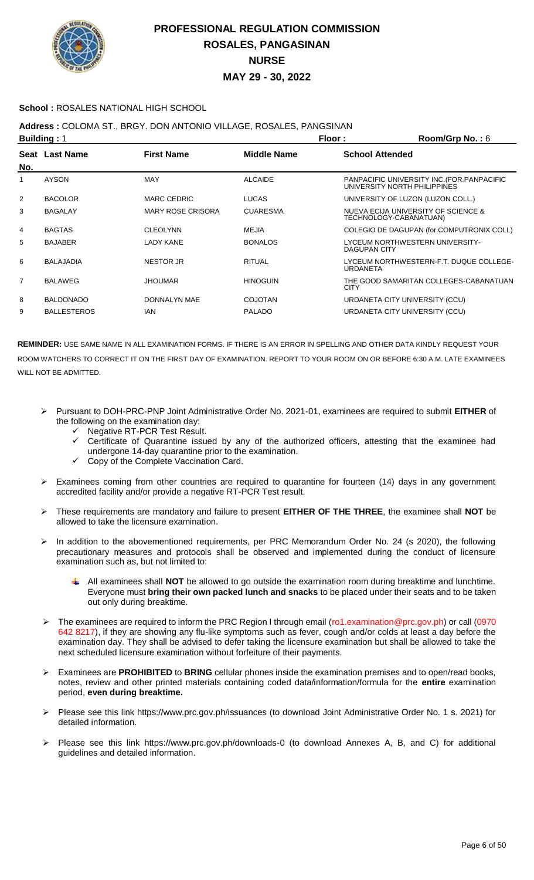

### **School :** ROSALES NATIONAL HIGH SCHOOL

**Address :** COLOMA ST., BRGY. DON ANTONIO VILLAGE, ROSALES, PANGSINAN

| <b>Building: 1</b> |                    |                          | Floor:             | Room/Grp No.: 6                                                             |
|--------------------|--------------------|--------------------------|--------------------|-----------------------------------------------------------------------------|
| No.                | Seat Last Name     | <b>First Name</b>        | <b>Middle Name</b> | <b>School Attended</b>                                                      |
| 1                  | <b>AYSON</b>       | <b>MAY</b>               | <b>ALCAIDE</b>     | PANPACIFIC UNIVERSITY INC. (FOR. PANPACIFIC<br>UNIVERSITY NORTH PHILIPPINES |
| $\overline{2}$     | <b>BACOLOR</b>     | <b>MARC CEDRIC</b>       | <b>LUCAS</b>       | UNIVERSITY OF LUZON (LUZON COLL.)                                           |
| 3                  | <b>BAGALAY</b>     | <b>MARY ROSE CRISORA</b> | <b>CUARESMA</b>    | NUEVA ECIJA UNIVERSITY OF SCIENCE &<br>TECHNOLOGY-CABANATUAN)               |
| 4                  | <b>BAGTAS</b>      | <b>CLEOLYNN</b>          | MEJIA              | COLEGIO DE DAGUPAN (for.COMPUTRONIX COLL)                                   |
| 5                  | <b>BAJABER</b>     | <b>LADY KANE</b>         | <b>BONALOS</b>     | LYCEUM NORTHWESTERN UNIVERSITY-<br><b>DAGUPAN CITY</b>                      |
| 6                  | <b>BALAJADIA</b>   | <b>NESTOR JR</b>         | <b>RITUAL</b>      | LYCEUM NORTHWESTERN-F.T. DUQUE COLLEGE-<br><b>URDANETA</b>                  |
| $\overline{7}$     | <b>BALAWEG</b>     | <b>JHOUMAR</b>           | <b>HINOGUIN</b>    | THE GOOD SAMARITAN COLLEGES-CABANATUAN<br><b>CITY</b>                       |
| 8                  | <b>BALDONADO</b>   | DONNALYN MAE             | <b>COJOTAN</b>     | URDANETA CITY UNIVERSITY (CCU)                                              |
| 9                  | <b>BALLESTEROS</b> | <b>IAN</b>               | <b>PALADO</b>      | URDANETA CITY UNIVERSITY (CCU)                                              |

- Pursuant to DOH-PRC-PNP Joint Administrative Order No. 2021-01, examinees are required to submit **EITHER** of the following on the examination day:
	- $\checkmark$  Negative RT-PCR Test Result.<br> $\checkmark$  Certificate of Quarantine issue
	- Certificate of Quarantine issued by any of the authorized officers, attesting that the examinee had undergone 14-day quarantine prior to the examination.
	- $\checkmark$  Copy of the Complete Vaccination Card.
- $\triangleright$  Examinees coming from other countries are required to quarantine for fourteen (14) days in any government accredited facility and/or provide a negative RT-PCR Test result.
- These requirements are mandatory and failure to present **EITHER OF THE THREE**, the examinee shall **NOT** be allowed to take the licensure examination.
- > In addition to the abovementioned requirements, per PRC Memorandum Order No. 24 (s 2020), the following precautionary measures and protocols shall be observed and implemented during the conduct of licensure examination such as, but not limited to:
	- All examinees shall **NOT** be allowed to go outside the examination room during breaktime and lunchtime. Everyone must **bring their own packed lunch and snacks** to be placed under their seats and to be taken out only during breaktime.
- The examinees are required to inform the PRC Region I through email (ro1.examination@prc.gov.ph) or call (0970 642 8217), if they are showing any flu-like symptoms such as fever, cough and/or colds at least a day before the examination day. They shall be advised to defer taking the licensure examination but shall be allowed to take the next scheduled licensure examination without forfeiture of their payments.
- Examinees are **PROHIBITED** to **BRING** cellular phones inside the examination premises and to open/read books, notes, review and other printed materials containing coded data/information/formula for the **entire** examination period, **even during breaktime.**
- Please see this link https://www.prc.gov.ph/issuances (to download Joint Administrative Order No. 1 s. 2021) for detailed information.
- Please see this link https://www.prc.gov.ph/downloads-0 (to download Annexes A, B, and C) for additional guidelines and detailed information.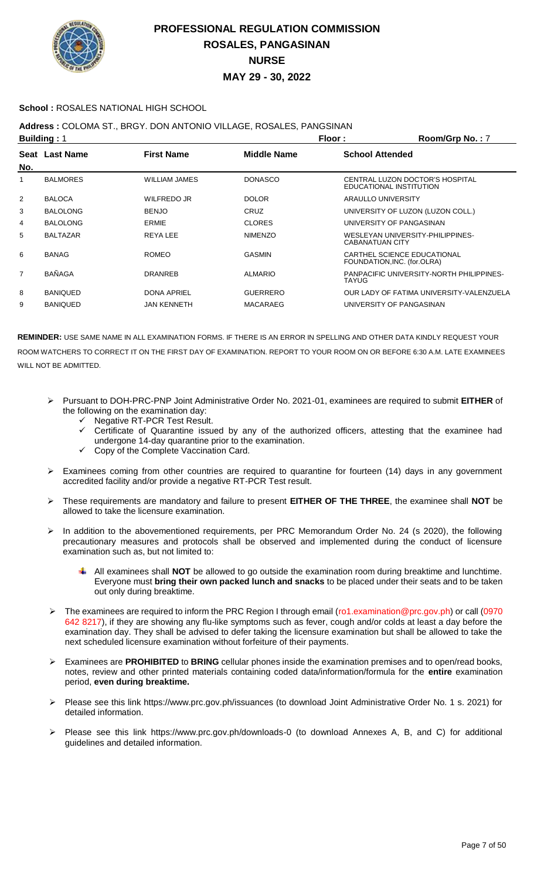

### **School :** ROSALES NATIONAL HIGH SCHOOL

### **Address :** COLOMA ST., BRGY. DON ANTONIO VILLAGE, ROSALES, PANGSINAN

| <b>Building: 1</b> |                 |                      | Floor:          | Room/Grp No.: 7                                            |
|--------------------|-----------------|----------------------|-----------------|------------------------------------------------------------|
| No.                | Seat Last Name  | <b>First Name</b>    | Middle Name     | <b>School Attended</b>                                     |
|                    | <b>BALMORES</b> | <b>WILLIAM JAMES</b> | <b>DONASCO</b>  | CENTRAL LUZON DOCTOR'S HOSPITAL<br>EDUCATIONAL INSTITUTION |
| $\overline{2}$     | <b>BALOCA</b>   | WILFREDO JR          | <b>DOLOR</b>    | ARAULLO UNIVERSITY                                         |
| 3                  | <b>BALOLONG</b> | <b>BENJO</b>         | CRUZ            | UNIVERSITY OF LUZON (LUZON COLL.)                          |
| 4                  | <b>BALOLONG</b> | ERMIE                | <b>CLORES</b>   | UNIVERSITY OF PANGASINAN                                   |
| 5                  | <b>BALTAZAR</b> | <b>REYALEE</b>       | <b>NIMENZO</b>  | WESLEYAN UNIVERSITY-PHILIPPINES-<br>CABANATUAN CITY        |
| 6                  | <b>BANAG</b>    | <b>ROMEO</b>         | <b>GASMIN</b>   | CARTHEL SCIENCE EDUCATIONAL<br>FOUNDATION, INC. (for.OLRA) |
| 7                  | <b>BAÑAGA</b>   | <b>DRANREB</b>       | <b>ALMARIO</b>  | PANPACIFIC UNIVERSITY-NORTH PHILIPPINES-<br>TAYUG          |
| 8                  | <b>BANIQUED</b> | <b>DONA APRIEL</b>   | <b>GUERRERO</b> | OUR LADY OF FATIMA UNIVERSITY-VALENZUELA                   |
| 9                  | <b>BANIQUED</b> | <b>JAN KENNETH</b>   | <b>MACARAEG</b> | UNIVERSITY OF PANGASINAN                                   |

- Pursuant to DOH-PRC-PNP Joint Administrative Order No. 2021-01, examinees are required to submit **EITHER** of the following on the examination day:
	- ← Negative RT-PCR Test Result.<br>← Certificate of Quarantine issue
	- Certificate of Quarantine issued by any of the authorized officers, attesting that the examinee had undergone 14-day quarantine prior to the examination.
	- Copy of the Complete Vaccination Card.
- Examinees coming from other countries are required to quarantine for fourteen (14) days in any government accredited facility and/or provide a negative RT-PCR Test result.
- These requirements are mandatory and failure to present **EITHER OF THE THREE**, the examinee shall **NOT** be allowed to take the licensure examination.
- In addition to the abovementioned requirements, per PRC Memorandum Order No. 24 (s 2020), the following precautionary measures and protocols shall be observed and implemented during the conduct of licensure examination such as, but not limited to:
	- All examinees shall **NOT** be allowed to go outside the examination room during breaktime and lunchtime. Everyone must **bring their own packed lunch and snacks** to be placed under their seats and to be taken out only during breaktime.
- The examinees are required to inform the PRC Region I through email (ro1.examination@prc.gov.ph) or call (0970 642 8217), if they are showing any flu-like symptoms such as fever, cough and/or colds at least a day before the examination day. They shall be advised to defer taking the licensure examination but shall be allowed to take the next scheduled licensure examination without forfeiture of their payments.
- Examinees are **PROHIBITED** to **BRING** cellular phones inside the examination premises and to open/read books, notes, review and other printed materials containing coded data/information/formula for the **entire** examination period, **even during breaktime.**
- Please see this link https://www.prc.gov.ph/issuances (to download Joint Administrative Order No. 1 s. 2021) for detailed information.
- Please see this link https://www.prc.gov.ph/downloads-0 (to download Annexes A, B, and C) for additional guidelines and detailed information.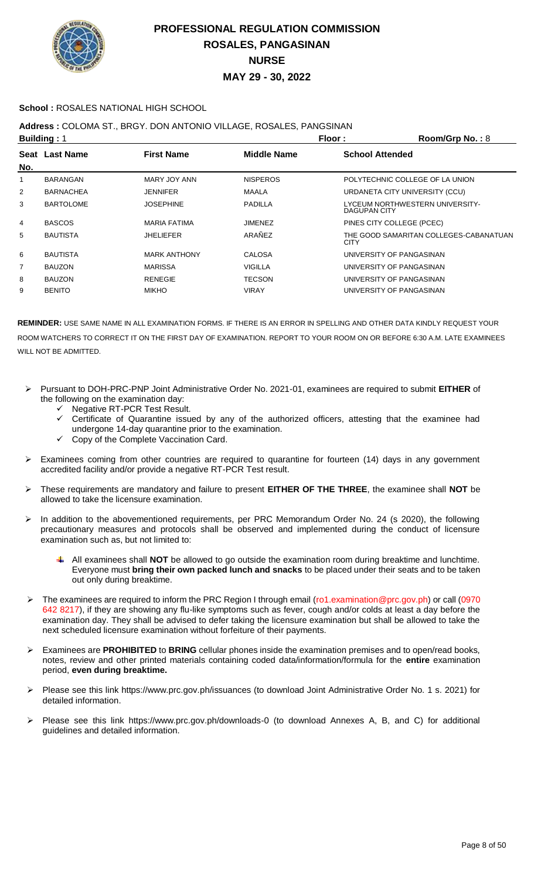

### **School :** ROSALES NATIONAL HIGH SCHOOL

## **Address :** COLOMA ST., BRGY. DON ANTONIO VILLAGE, ROSALES, PANGSINAN

| <b>Building: 1</b> |                  | Floor:              | Room/Grp No.: 8    |                                                       |
|--------------------|------------------|---------------------|--------------------|-------------------------------------------------------|
| No.                | Seat Last Name   | <b>First Name</b>   | <b>Middle Name</b> | <b>School Attended</b>                                |
| 1                  | <b>BARANGAN</b>  | MARY JOY ANN        | <b>NISPEROS</b>    | POLYTECHNIC COLLEGE OF LA UNION                       |
| 2                  | <b>BARNACHEA</b> | <b>JENNIFER</b>     | <b>MAALA</b>       | URDANETA CITY UNIVERSITY (CCU)                        |
| 3                  | <b>BARTOLOME</b> | <b>JOSEPHINE</b>    | <b>PADILLA</b>     | LYCEUM NORTHWESTERN UNIVERSITY-<br>DAGUPAN CITY       |
| 4                  | <b>BASCOS</b>    | <b>MARIA FATIMA</b> | <b>JIMENEZ</b>     | PINES CITY COLLEGE (PCEC)                             |
| 5                  | <b>BAUTISTA</b>  | <b>JHELIEFER</b>    | ARAÑEZ             | THE GOOD SAMARITAN COLLEGES-CABANATUAN<br><b>CITY</b> |
| 6                  | <b>BAUTISTA</b>  | <b>MARK ANTHONY</b> | <b>CALOSA</b>      | UNIVERSITY OF PANGASINAN                              |
| 7                  | <b>BAUZON</b>    | <b>MARISSA</b>      | <b>VIGILLA</b>     | UNIVERSITY OF PANGASINAN                              |
| 8                  | <b>BAUZON</b>    | <b>RENEGIE</b>      | <b>TECSON</b>      | UNIVERSITY OF PANGASINAN                              |
| 9                  | <b>BENITO</b>    | <b>MIKHO</b>        | <b>VIRAY</b>       | UNIVERSITY OF PANGASINAN                              |
|                    |                  |                     |                    |                                                       |

- Pursuant to DOH-PRC-PNP Joint Administrative Order No. 2021-01, examinees are required to submit **EITHER** of the following on the examination day:
	- Negative RT-PCR Test Result.
	- Certificate of Quarantine issued by any of the authorized officers, attesting that the examinee had undergone 14-day quarantine prior to the examination.
	- Copy of the Complete Vaccination Card.
- Examinees coming from other countries are required to quarantine for fourteen (14) days in any government accredited facility and/or provide a negative RT-PCR Test result.
- These requirements are mandatory and failure to present **EITHER OF THE THREE**, the examinee shall **NOT** be allowed to take the licensure examination.
- > In addition to the abovementioned requirements, per PRC Memorandum Order No. 24 (s 2020), the following precautionary measures and protocols shall be observed and implemented during the conduct of licensure examination such as, but not limited to:
	- All examinees shall **NOT** be allowed to go outside the examination room during breaktime and lunchtime. Everyone must **bring their own packed lunch and snacks** to be placed under their seats and to be taken out only during breaktime.
- The examinees are required to inform the PRC Region I through email (ro1.examination@prc.gov.ph) or call (0970 642 8217), if they are showing any flu-like symptoms such as fever, cough and/or colds at least a day before the examination day. They shall be advised to defer taking the licensure examination but shall be allowed to take the next scheduled licensure examination without forfeiture of their payments.
- Examinees are **PROHIBITED** to **BRING** cellular phones inside the examination premises and to open/read books, notes, review and other printed materials containing coded data/information/formula for the **entire** examination period, **even during breaktime.**
- Please see this link https://www.prc.gov.ph/issuances (to download Joint Administrative Order No. 1 s. 2021) for detailed information.
- Please see this link https://www.prc.gov.ph/downloads-0 (to download Annexes A, B, and C) for additional guidelines and detailed information.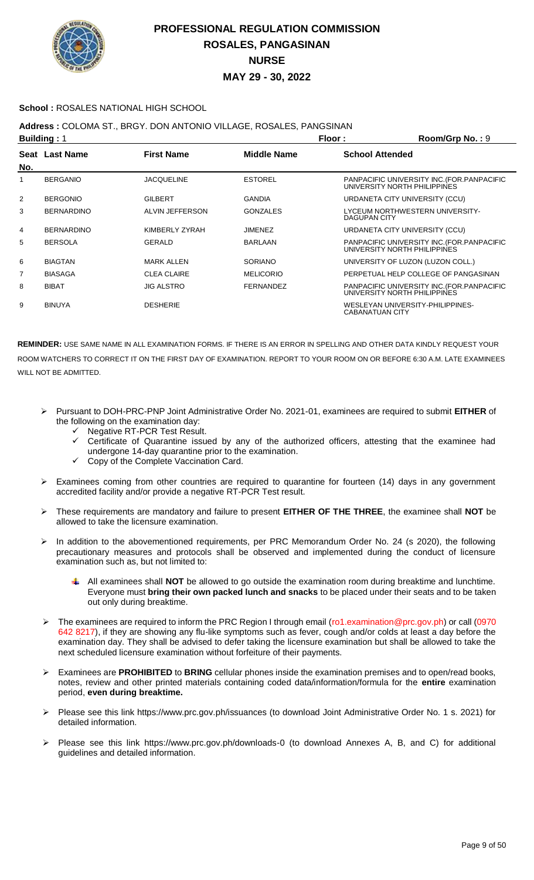

### **School :** ROSALES NATIONAL HIGH SCHOOL

## **Address :** COLOMA ST., BRGY. DON ANTONIO VILLAGE, ROSALES, PANGSINAN

| <b>Building: 1</b> |                   |                    | Floor:             | Room/Grp No.: 9              |                                             |
|--------------------|-------------------|--------------------|--------------------|------------------------------|---------------------------------------------|
| No.                | Seat Last Name    | <b>First Name</b>  | <b>Middle Name</b> | <b>School Attended</b>       |                                             |
| 1                  | <b>BERGANIO</b>   | <b>JACQUELINE</b>  | <b>ESTOREL</b>     | UNIVERSITY NORTH PHILIPPINES | PANPACIFIC UNIVERSITY INC. (FOR. PANPACIFIC |
| 2                  | <b>BERGONIO</b>   | <b>GILBERT</b>     | <b>GANDIA</b>      |                              | URDANETA CITY UNIVERSITY (CCU)              |
| 3                  | <b>BERNARDINO</b> | ALVIN JEFFERSON    | <b>GONZALES</b>    | <b>DAGUPAN CITY</b>          | LYCEUM NORTHWESTERN UNIVERSITY-             |
| 4                  | <b>BERNARDINO</b> | KIMBERLY ZYRAH     | <b>JIMENEZ</b>     |                              | URDANETA CITY UNIVERSITY (CCU)              |
| 5                  | <b>BERSOLA</b>    | GERALD             | <b>BARLAAN</b>     | UNIVERSITY NORTH PHILIPPINES | PANPACIFIC UNIVERSITY INC. (FOR. PANPACIFIC |
| 6                  | <b>BIAGTAN</b>    | <b>MARK ALLEN</b>  | <b>SORIANO</b>     |                              | UNIVERSITY OF LUZON (LUZON COLL.)           |
| 7                  | <b>BIASAGA</b>    | <b>CLEA CLAIRE</b> | <b>MELICORIO</b>   |                              | PERPETUAL HELP COLLEGE OF PANGASINAN        |
| 8                  | <b>BIBAT</b>      | <b>JIG ALSTRO</b>  | <b>FERNANDEZ</b>   | UNIVERSITY NORTH PHILIPPINES | PANPACIFIC UNIVERSITY INC. (FOR. PANPACIFIC |
| 9                  | <b>BINUYA</b>     | <b>DESHERIE</b>    |                    | <b>CABANATUAN CITY</b>       | WESLEYAN UNIVERSITY-PHILIPPINES-            |

- Pursuant to DOH-PRC-PNP Joint Administrative Order No. 2021-01, examinees are required to submit **EITHER** of the following on the examination day:
	- $\checkmark$  Negative RT-PCR Test Result.<br> $\checkmark$  Certificate of Quarantine issue
	- Certificate of Quarantine issued by any of the authorized officers, attesting that the examinee had undergone 14-day quarantine prior to the examination.
	- $\checkmark$  Copy of the Complete Vaccination Card.
- $\triangleright$  Examinees coming from other countries are required to quarantine for fourteen (14) days in any government accredited facility and/or provide a negative RT-PCR Test result.
- These requirements are mandatory and failure to present **EITHER OF THE THREE**, the examinee shall **NOT** be allowed to take the licensure examination.
- > In addition to the abovementioned requirements, per PRC Memorandum Order No. 24 (s 2020), the following precautionary measures and protocols shall be observed and implemented during the conduct of licensure examination such as, but not limited to:
	- All examinees shall **NOT** be allowed to go outside the examination room during breaktime and lunchtime. Everyone must **bring their own packed lunch and snacks** to be placed under their seats and to be taken out only during breaktime.
- The examinees are required to inform the PRC Region I through email (ro1.examination@prc.gov.ph) or call (0970 642 8217), if they are showing any flu-like symptoms such as fever, cough and/or colds at least a day before the examination day. They shall be advised to defer taking the licensure examination but shall be allowed to take the next scheduled licensure examination without forfeiture of their payments.
- Examinees are **PROHIBITED** to **BRING** cellular phones inside the examination premises and to open/read books, notes, review and other printed materials containing coded data/information/formula for the **entire** examination period, **even during breaktime.**
- Please see this link https://www.prc.gov.ph/issuances (to download Joint Administrative Order No. 1 s. 2021) for detailed information.
- Please see this link https://www.prc.gov.ph/downloads-0 (to download Annexes A, B, and C) for additional guidelines and detailed information.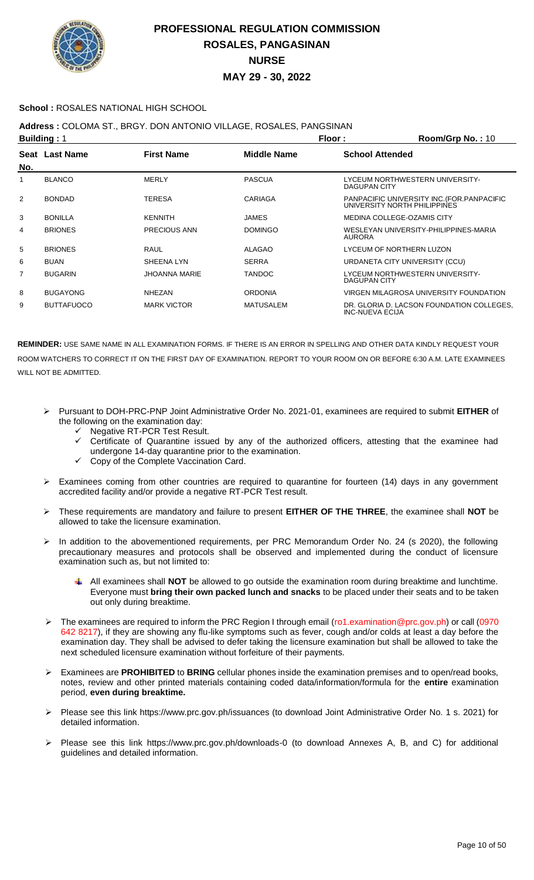

### **School :** ROSALES NATIONAL HIGH SCHOOL

**Address :** COLOMA ST., BRGY. DON ANTONIO VILLAGE, ROSALES, PANGSINAN

| <b>Building: 1</b> |                   |                      | Floor:             | Room/Grp No.: 10       |                                                                             |
|--------------------|-------------------|----------------------|--------------------|------------------------|-----------------------------------------------------------------------------|
| No.                | Seat Last Name    | <b>First Name</b>    | <b>Middle Name</b> | <b>School Attended</b> |                                                                             |
| 1                  | <b>BLANCO</b>     | <b>MERLY</b>         | <b>PASCUA</b>      | DAGUPAN CITY           | LYCEUM NORTHWESTERN UNIVERSITY-                                             |
| 2                  | <b>BONDAD</b>     | <b>TERESA</b>        | CARIAGA            |                        | PANPACIFIC UNIVERSITY INC. (FOR. PANPACIFIC<br>UNIVERSITY NORTH PHILIPPINES |
| 3                  | <b>BONILLA</b>    | <b>KENNITH</b>       | <b>JAMES</b>       |                        | MEDINA COLLEGE-OZAMIS CITY                                                  |
| 4                  | <b>BRIONES</b>    | <b>PRECIOUS ANN</b>  | <b>DOMINGO</b>     | <b>AURORA</b>          | WESLEYAN UNIVERSITY-PHILIPPINES-MARIA                                       |
| 5                  | <b>BRIONES</b>    | RAUL                 | ALAGAO             |                        | LYCEUM OF NORTHERN LUZON                                                    |
| 6                  | <b>BUAN</b>       | SHEENA LYN           | <b>SERRA</b>       |                        | URDANETA CITY UNIVERSITY (CCU)                                              |
| 7                  | <b>BUGARIN</b>    | <b>JHOANNA MARIE</b> | <b>TANDOC</b>      | DAGUPAN CITY           | LYCEUM NORTHWESTERN UNIVERSITY-                                             |
| 8                  | <b>BUGAYONG</b>   | <b>NHEZAN</b>        | <b>ORDONIA</b>     |                        | VIRGEN MILAGROSA UNIVERSITY FOUNDATION                                      |
| 9                  | <b>BUTTAFUOCO</b> | <b>MARK VICTOR</b>   | <b>MATUSALEM</b>   | INC-NUEVA ECIJA        | DR. GLORIA D. LACSON FOUNDATION COLLEGES.                                   |

- Pursuant to DOH-PRC-PNP Joint Administrative Order No. 2021-01, examinees are required to submit **EITHER** of the following on the examination day:
	- $\checkmark$  Negative RT-PCR Test Result.<br> $\checkmark$  Certificate of Quarantine issue
	- Certificate of Quarantine issued by any of the authorized officers, attesting that the examinee had undergone 14-day quarantine prior to the examination.
	- Copy of the Complete Vaccination Card.
- $\triangleright$  Examinees coming from other countries are required to quarantine for fourteen (14) days in any government accredited facility and/or provide a negative RT-PCR Test result.
- These requirements are mandatory and failure to present **EITHER OF THE THREE**, the examinee shall **NOT** be allowed to take the licensure examination.
- In addition to the abovementioned requirements, per PRC Memorandum Order No. 24 (s 2020), the following precautionary measures and protocols shall be observed and implemented during the conduct of licensure examination such as, but not limited to:
	- All examinees shall **NOT** be allowed to go outside the examination room during breaktime and lunchtime. Everyone must **bring their own packed lunch and snacks** to be placed under their seats and to be taken out only during breaktime.
- The examinees are required to inform the PRC Region I through email (ro1.examination@prc.gov.ph) or call (0970 642 8217), if they are showing any flu-like symptoms such as fever, cough and/or colds at least a day before the examination day. They shall be advised to defer taking the licensure examination but shall be allowed to take the next scheduled licensure examination without forfeiture of their payments.
- Examinees are **PROHIBITED** to **BRING** cellular phones inside the examination premises and to open/read books, notes, review and other printed materials containing coded data/information/formula for the **entire** examination period, **even during breaktime.**
- Please see this link https://www.prc.gov.ph/issuances (to download Joint Administrative Order No. 1 s. 2021) for detailed information.
- Please see this link https://www.prc.gov.ph/downloads-0 (to download Annexes A, B, and C) for additional guidelines and detailed information.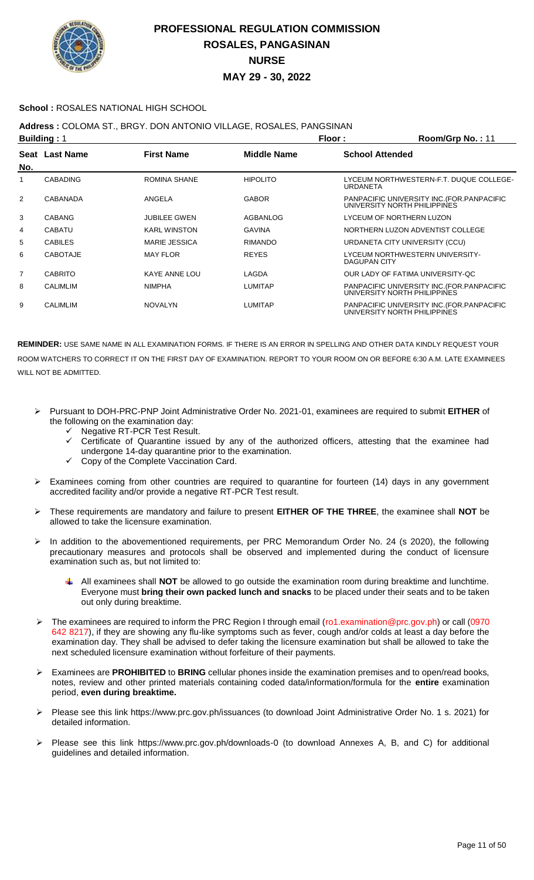

### **School :** ROSALES NATIONAL HIGH SCHOOL

**Address :** COLOMA ST., BRGY. DON ANTONIO VILLAGE, ROSALES, PANGSINAN

| <b>Building: 1</b> |                 |                      |                 | Floor:                 | Room/Grp No.: 11                                                            |
|--------------------|-----------------|----------------------|-----------------|------------------------|-----------------------------------------------------------------------------|
| No.                | Seat Last Name  | <b>First Name</b>    | Middle Name     | <b>School Attended</b> |                                                                             |
| 1                  | <b>CABADING</b> | <b>ROMINA SHANE</b>  | <b>HIPOLITO</b> | <b>URDANETA</b>        | LYCEUM NORTHWESTERN-F.T. DUQUE COLLEGE-                                     |
| 2                  | CABANADA        | ANGELA               | <b>GABOR</b>    |                        | PANPACIFIC UNIVERSITY INC. (FOR. PANPACIFIC<br>UNIVERSITY NORTH PHILIPPINES |
| 3                  | <b>CABANG</b>   | <b>JUBILEE GWEN</b>  | AGBANLOG        |                        | LYCEUM OF NORTHERN LUZON                                                    |
| 4                  | <b>CABATU</b>   | <b>KARL WINSTON</b>  | GAVINA          |                        | NORTHERN LUZON ADVENTIST COLLEGE                                            |
| 5                  | <b>CABILES</b>  | <b>MARIE JESSICA</b> | <b>RIMANDO</b>  |                        | URDANETA CITY UNIVERSITY (CCU)                                              |
| 6                  | <b>CABOTAJE</b> | <b>MAY FLOR</b>      | <b>REYES</b>    | DAGUPAN CITY           | LYCEUM NORTHWESTERN UNIVERSITY-                                             |
| 7                  | <b>CABRITO</b>  | KAYE ANNE LOU        | LAGDA           |                        | OUR LADY OF FATIMA UNIVERSITY-QC                                            |
| 8                  | <b>CALIMLIM</b> | <b>NIMPHA</b>        | <b>LUMITAP</b>  |                        | PANPACIFIC UNIVERSITY INC. (FOR. PANPACIFIC<br>UNIVERSITY NORTH PHILIPPINES |
| 9                  | <b>CALIMLIM</b> | <b>NOVALYN</b>       | <b>LUMITAP</b>  |                        | PANPACIFIC UNIVERSITY INC. (FOR. PANPACIFIC<br>UNIVERSITY NORTH PHILIPPINES |

- Pursuant to DOH-PRC-PNP Joint Administrative Order No. 2021-01, examinees are required to submit **EITHER** of the following on the examination day:
	- $\checkmark$  Negative RT-PCR Test Result.<br> $\checkmark$  Certificate of Quarantine issue
	- Certificate of Quarantine issued by any of the authorized officers, attesting that the examinee had undergone 14-day quarantine prior to the examination.
	- $\checkmark$  Copy of the Complete Vaccination Card.
- $\triangleright$  Examinees coming from other countries are required to quarantine for fourteen (14) days in any government accredited facility and/or provide a negative RT-PCR Test result.
- These requirements are mandatory and failure to present **EITHER OF THE THREE**, the examinee shall **NOT** be allowed to take the licensure examination.
- In addition to the abovementioned requirements, per PRC Memorandum Order No. 24 (s 2020), the following precautionary measures and protocols shall be observed and implemented during the conduct of licensure examination such as, but not limited to:
	- All examinees shall **NOT** be allowed to go outside the examination room during breaktime and lunchtime. Everyone must **bring their own packed lunch and snacks** to be placed under their seats and to be taken out only during breaktime.
- The examinees are required to inform the PRC Region I through email (ro1.examination@prc.gov.ph) or call (0970 642 8217), if they are showing any flu-like symptoms such as fever, cough and/or colds at least a day before the examination day. They shall be advised to defer taking the licensure examination but shall be allowed to take the next scheduled licensure examination without forfeiture of their payments.
- Examinees are **PROHIBITED** to **BRING** cellular phones inside the examination premises and to open/read books, notes, review and other printed materials containing coded data/information/formula for the **entire** examination period, **even during breaktime.**
- Please see this link https://www.prc.gov.ph/issuances (to download Joint Administrative Order No. 1 s. 2021) for detailed information.
- Please see this link https://www.prc.gov.ph/downloads-0 (to download Annexes A, B, and C) for additional guidelines and detailed information.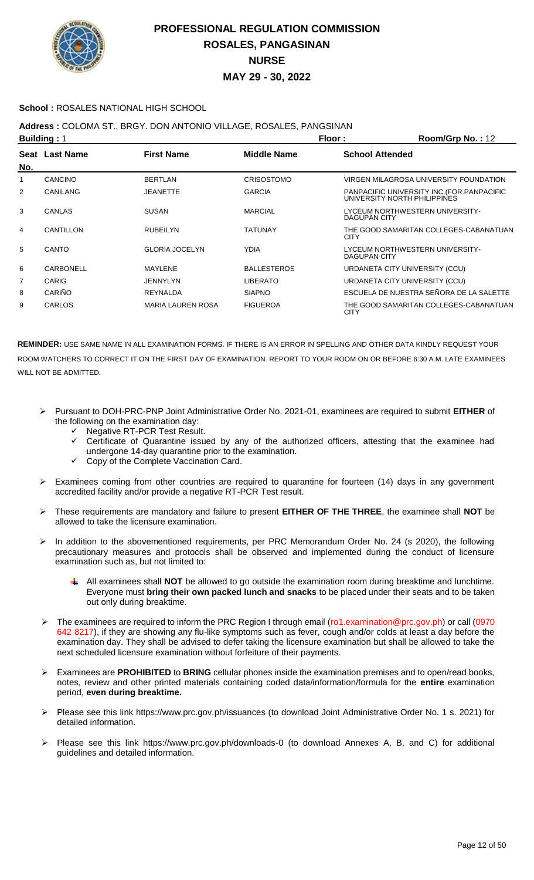

### **School :** ROSALES NATIONAL HIGH SCHOOL

**Address :** COLOMA ST., BRGY. DON ANTONIO VILLAGE, ROSALES, PANGSINAN

|     | <b>Building: 1</b> |                          |                    | Floor:                 | Room/Grp No.: 12                                                            |
|-----|--------------------|--------------------------|--------------------|------------------------|-----------------------------------------------------------------------------|
| No. | Seat Last Name     | <b>First Name</b>        | <b>Middle Name</b> | <b>School Attended</b> |                                                                             |
| 1   | <b>CANCINO</b>     | <b>BERTLAN</b>           | <b>CRISOSTOMO</b>  |                        | VIRGEN MILAGROSA UNIVERSITY FOUNDATION                                      |
| 2   | <b>CANILANG</b>    | <b>JEANETTE</b>          | <b>GARCIA</b>      |                        | PANPACIFIC UNIVERSITY INC. (FOR. PANPACIFIC<br>UNIVERSITY NORTH PHILIPPINES |
| 3   | <b>CANLAS</b>      | <b>SUSAN</b>             | <b>MARCIAL</b>     | DAGUPAN CITY           | LYCEUM NORTHWESTERN UNIVERSITY-                                             |
| 4   | CANTILLON          | <b>RUBEILYN</b>          | <b>TATUNAY</b>     | <b>CITY</b>            | THE GOOD SAMARITAN COLLEGES-CABANATUAN                                      |
| 5   | CANTO              | <b>GLORIA JOCELYN</b>    | <b>YDIA</b>        | DAGUPAN CITY           | LYCEUM NORTHWESTERN UNIVERSITY-                                             |
| 6   | CARBONELL          | MAYLENE                  | <b>BALLESTEROS</b> |                        | URDANETA CITY UNIVERSITY (CCU)                                              |
| 7   | <b>CARIG</b>       | <b>JENNYLYN</b>          | <b>LIBERATO</b>    |                        | URDANETA CITY UNIVERSITY (CCU)                                              |
| 8   | CARIÑO             | <b>REYNALDA</b>          | <b>SIAPNO</b>      |                        | ESCUELA DE NUESTRA SEÑORA DE LA SALETTE                                     |
| 9   | CARLOS             | <b>MARIA LAUREN ROSA</b> | <b>FIGUEROA</b>    | <b>CITY</b>            | THE GOOD SAMARITAN COLLEGES-CABANATUAN                                      |

- Pursuant to DOH-PRC-PNP Joint Administrative Order No. 2021-01, examinees are required to submit **EITHER** of the following on the examination day:
	- G Negative RT-PCR Test Result.<br>Gertificate of Quarantine issue
	- Certificate of Quarantine issued by any of the authorized officers, attesting that the examinee had undergone 14-day quarantine prior to the examination.
	- Copy of the Complete Vaccination Card.
- $\triangleright$  Examinees coming from other countries are required to quarantine for fourteen (14) days in any government accredited facility and/or provide a negative RT-PCR Test result.
- These requirements are mandatory and failure to present **EITHER OF THE THREE**, the examinee shall **NOT** be allowed to take the licensure examination.
- > In addition to the abovementioned requirements, per PRC Memorandum Order No. 24 (s 2020), the following precautionary measures and protocols shall be observed and implemented during the conduct of licensure examination such as, but not limited to:
	- All examinees shall **NOT** be allowed to go outside the examination room during breaktime and lunchtime. Everyone must **bring their own packed lunch and snacks** to be placed under their seats and to be taken out only during breaktime.
- The examinees are required to inform the PRC Region I through email (ro1.examination@prc.gov.ph) or call (0970 642 8217), if they are showing any flu-like symptoms such as fever, cough and/or colds at least a day before the examination day. They shall be advised to defer taking the licensure examination but shall be allowed to take the next scheduled licensure examination without forfeiture of their payments.
- Examinees are **PROHIBITED** to **BRING** cellular phones inside the examination premises and to open/read books, notes, review and other printed materials containing coded data/information/formula for the **entire** examination period, **even during breaktime.**
- Please see this link https://www.prc.gov.ph/issuances (to download Joint Administrative Order No. 1 s. 2021) for detailed information.
- Please see this link https://www.prc.gov.ph/downloads-0 (to download Annexes A, B, and C) for additional guidelines and detailed information.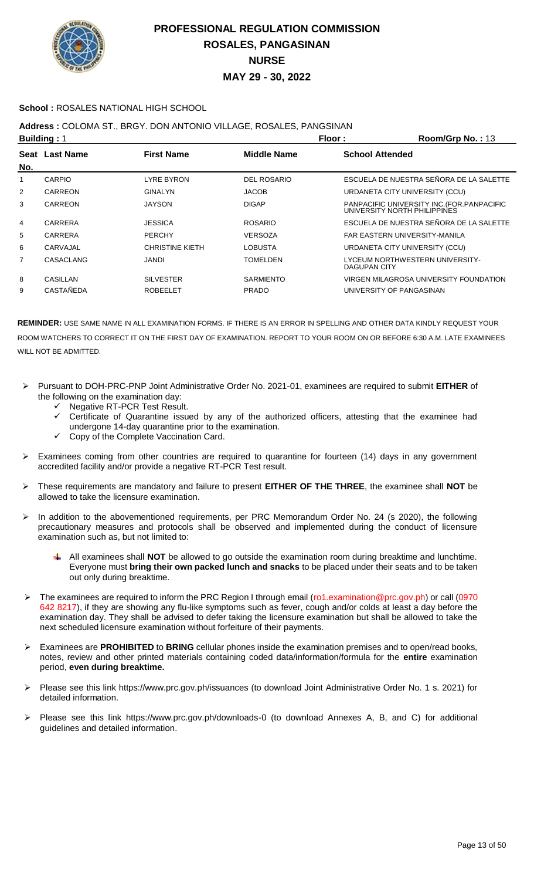

### **School :** ROSALES NATIONAL HIGH SCHOOL

### **Address :** COLOMA ST., BRGY. DON ANTONIO VILLAGE, ROSALES, PANGSINAN

| <b>Building: 1</b> |                  |                        | Floor:             | Room/Grp No.: 13                                                            |
|--------------------|------------------|------------------------|--------------------|-----------------------------------------------------------------------------|
| No.                | Seat Last Name   | <b>First Name</b>      | <b>Middle Name</b> | <b>School Attended</b>                                                      |
| 1                  | <b>CARPIO</b>    | <b>LYRE BYRON</b>      | <b>DEL ROSARIO</b> | ESCUELA DE NUESTRA SEÑORA DE LA SALETTE                                     |
| $\overline{2}$     | CARREON          | <b>GINALYN</b>         | <b>JACOB</b>       | URDANETA CITY UNIVERSITY (CCU)                                              |
| 3                  | CARREON          | <b>JAYSON</b>          | <b>DIGAP</b>       | PANPACIFIC UNIVERSITY INC. (FOR. PANPACIFIC<br>UNIVERSITY NORTH PHILIPPINES |
| 4                  | CARRERA          | <b>JESSICA</b>         | <b>ROSARIO</b>     | ESCUELA DE NUESTRA SEÑORA DE LA SALETTE                                     |
| 5                  | CARRERA          | <b>PERCHY</b>          | <b>VERSOZA</b>     | FAR EASTERN UNIVERSITY-MANILA                                               |
| 6                  | CARVAJAL         | <b>CHRISTINE KIETH</b> | LOBUSTA            | URDANETA CITY UNIVERSITY (CCU)                                              |
| 7                  | CASACLANG        | JANDI                  | <b>TOMELDEN</b>    | LYCEUM NORTHWESTERN UNIVERSITY-<br>DAGUPAN CITY                             |
| 8                  | CASILLAN         | <b>SILVESTER</b>       | <b>SARMIENTO</b>   | VIRGEN MILAGROSA UNIVERSITY FOUNDATION                                      |
| 9                  | <b>CASTAÑEDA</b> | <b>ROBEELET</b>        | <b>PRADO</b>       | UNIVERSITY OF PANGASINAN                                                    |

- Pursuant to DOH-PRC-PNP Joint Administrative Order No. 2021-01, examinees are required to submit **EITHER** of the following on the examination day:
	- Negative RT-PCR Test Result.
	- $\checkmark$  Certificate of Quarantine issued by any of the authorized officers, attesting that the examinee had undergone 14-day quarantine prior to the examination.
	- Copy of the Complete Vaccination Card.
- Examinees coming from other countries are required to quarantine for fourteen (14) days in any government accredited facility and/or provide a negative RT-PCR Test result.
- These requirements are mandatory and failure to present **EITHER OF THE THREE**, the examinee shall **NOT** be allowed to take the licensure examination.
- > In addition to the abovementioned requirements, per PRC Memorandum Order No. 24 (s 2020), the following precautionary measures and protocols shall be observed and implemented during the conduct of licensure examination such as, but not limited to:
	- All examinees shall **NOT** be allowed to go outside the examination room during breaktime and lunchtime. Everyone must **bring their own packed lunch and snacks** to be placed under their seats and to be taken out only during breaktime.
- The examinees are required to inform the PRC Region I through email (ro1.examination@prc.gov.ph) or call (0970 642 8217), if they are showing any flu-like symptoms such as fever, cough and/or colds at least a day before the examination day. They shall be advised to defer taking the licensure examination but shall be allowed to take the next scheduled licensure examination without forfeiture of their payments.
- Examinees are **PROHIBITED** to **BRING** cellular phones inside the examination premises and to open/read books, notes, review and other printed materials containing coded data/information/formula for the **entire** examination period, **even during breaktime.**
- Please see this link https://www.prc.gov.ph/issuances (to download Joint Administrative Order No. 1 s. 2021) for detailed information.
- Please see this link https://www.prc.gov.ph/downloads-0 (to download Annexes A, B, and C) for additional guidelines and detailed information.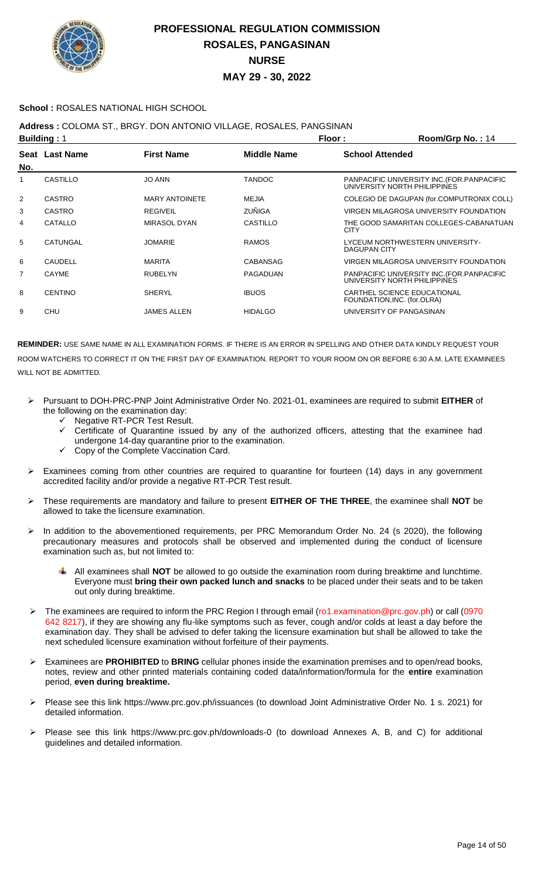

### **School :** ROSALES NATIONAL HIGH SCHOOL

### **Address :** COLOMA ST., BRGY. DON ANTONIO VILLAGE, ROSALES, PANGSINAN

| <b>Building: 1</b> |                 |                       |                    | Floor:                 | Room/Grp No.: 14                                                            |
|--------------------|-----------------|-----------------------|--------------------|------------------------|-----------------------------------------------------------------------------|
| No.                | Seat Last Name  | <b>First Name</b>     | <b>Middle Name</b> | <b>School Attended</b> |                                                                             |
| 1                  | <b>CASTILLO</b> | <b>JO ANN</b>         | <b>TANDOC</b>      |                        | PANPACIFIC UNIVERSITY INC. (FOR. PANPACIFIC<br>UNIVERSITY NORTH PHILIPPINES |
| 2                  | <b>CASTRO</b>   | <b>MARY ANTOINETE</b> | MEJIA              |                        | COLEGIO DE DAGUPAN (for.COMPUTRONIX COLL)                                   |
| 3                  | <b>CASTRO</b>   | <b>REGIVEIL</b>       | ZUÑIGA             |                        | VIRGEN MILAGROSA UNIVERSITY FOUNDATION                                      |
| 4                  | CATALLO         | <b>MIRASOL DYAN</b>   | CASTILLO           | <b>CITY</b>            | THE GOOD SAMARITAN COLLEGES-CABANATUAN                                      |
| 5                  | CATUNGAL        | <b>JOMARIE</b>        | <b>RAMOS</b>       | <b>DAGUPAN CITY</b>    | LYCEUM NORTHWESTERN UNIVERSITY-                                             |
| 6                  | CAUDELL         | <b>MARITA</b>         | <b>CABANSAG</b>    |                        | VIRGEN MILAGROSA UNIVERSITY FOUNDATION                                      |
| 7                  | <b>CAYME</b>    | <b>RUBELYN</b>        | <b>PAGADUAN</b>    |                        | PANPACIFIC UNIVERSITY INC. (FOR. PANPACIFIC<br>UNIVERSITY NORTH PHILIPPINES |
| 8                  | <b>CENTINO</b>  | <b>SHERYL</b>         | <b>IBUOS</b>       |                        | CARTHEL SCIENCE EDUCATIONAL<br>FOUNDATION, INC. (for.OLRA)                  |
| 9                  | CHU             | <b>JAMES ALLEN</b>    | <b>HIDALGO</b>     |                        | UNIVERSITY OF PANGASINAN                                                    |
|                    |                 |                       |                    |                        |                                                                             |

- Pursuant to DOH-PRC-PNP Joint Administrative Order No. 2021-01, examinees are required to submit **EITHER** of the following on the examination day:
	- G Negative RT-PCR Test Result.<br>Gertificate of Quarantine issue
	- Certificate of Quarantine issued by any of the authorized officers, attesting that the examinee had
	- undergone 14-day quarantine prior to the examination.
	- Copy of the Complete Vaccination Card.
- Examinees coming from other countries are required to quarantine for fourteen (14) days in any government accredited facility and/or provide a negative RT-PCR Test result.
- These requirements are mandatory and failure to present **EITHER OF THE THREE**, the examinee shall **NOT** be allowed to take the licensure examination.
- In addition to the abovementioned requirements, per PRC Memorandum Order No. 24 (s 2020), the following precautionary measures and protocols shall be observed and implemented during the conduct of licensure examination such as, but not limited to:
	- All examinees shall **NOT** be allowed to go outside the examination room during breaktime and lunchtime. Everyone must **bring their own packed lunch and snacks** to be placed under their seats and to be taken out only during breaktime.
- > The examinees are required to inform the PRC Region I through email (ro1.examination@prc.gov.ph) or call (0970 642 8217), if they are showing any flu-like symptoms such as fever, cough and/or colds at least a day before the examination day. They shall be advised to defer taking the licensure examination but shall be allowed to take the next scheduled licensure examination without forfeiture of their payments.
- Examinees are **PROHIBITED** to **BRING** cellular phones inside the examination premises and to open/read books, notes, review and other printed materials containing coded data/information/formula for the **entire** examination period, **even during breaktime.**
- Please see this link https://www.prc.gov.ph/issuances (to download Joint Administrative Order No. 1 s. 2021) for detailed information.
- Please see this link https://www.prc.gov.ph/downloads-0 (to download Annexes A, B, and C) for additional guidelines and detailed information.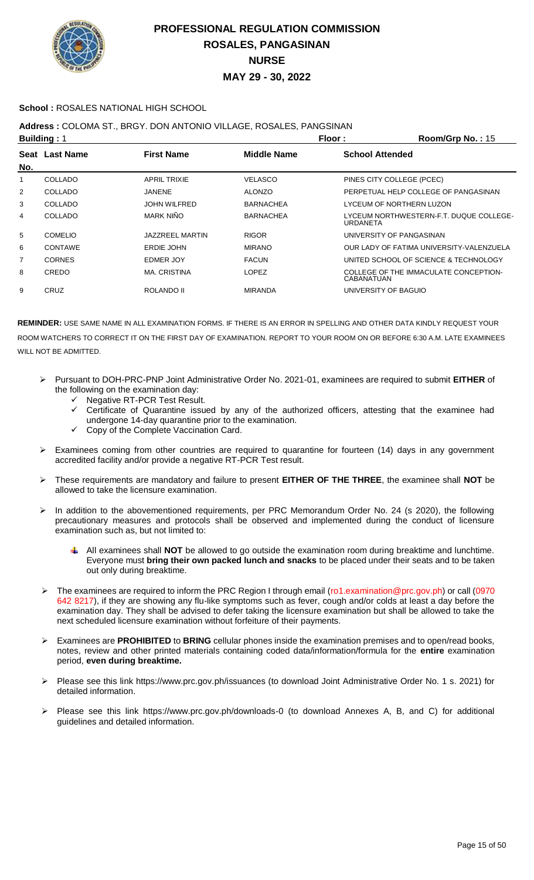

### **School :** ROSALES NATIONAL HIGH SCHOOL

### **Address :** COLOMA ST., BRGY. DON ANTONIO VILLAGE, ROSALES, PANGSINAN

|     | <b>Building: 1</b> |                     | Floor:             | Room/Grp No.: 15                                    |
|-----|--------------------|---------------------|--------------------|-----------------------------------------------------|
| No. | Seat Last Name     | <b>First Name</b>   | <b>Middle Name</b> | <b>School Attended</b>                              |
|     | COLLADO            | <b>APRIL TRIXIE</b> | VELASCO            | PINES CITY COLLEGE (PCEC)                           |
| 2   | COLLADO            | JANENE              | <b>ALONZO</b>      | PERPETUAL HELP COLLEGE OF PANGASINAN                |
| 3   | COLLADO            | <b>JOHN WILFRED</b> | <b>BARNACHEA</b>   | LYCEUM OF NORTHERN LUZON                            |
| 4   | COLLADO            | MARK NIÑO           | <b>BARNACHEA</b>   | LYCEUM NORTHWESTERN-F.T. DUQUE COLLEGE-<br>URDANETA |
| 5   | <b>COMELIO</b>     | JAZZREEL MARTIN     | <b>RIGOR</b>       | UNIVERSITY OF PANGASINAN                            |
| 6   | <b>CONTAWE</b>     | ERDIE JOHN          | <b>MIRANO</b>      | OUR LADY OF FATIMA UNIVERSITY-VALENZUELA            |
| 7   | <b>CORNES</b>      | EDMER JOY           | <b>FACUN</b>       | UNITED SCHOOL OF SCIENCE & TECHNOLOGY               |
| 8   | CREDO              | <b>MA. CRISTINA</b> | <b>LOPEZ</b>       | COLLEGE OF THE IMMACULATE CONCEPTION-<br>CABANATUAN |
| 9   | CRUZ               | ROLANDO II          | <b>MIRANDA</b>     | UNIVERSITY OF BAGUIO                                |
|     |                    |                     |                    |                                                     |

- Pursuant to DOH-PRC-PNP Joint Administrative Order No. 2021-01, examinees are required to submit **EITHER** of the following on the examination day:
	- $\checkmark$  Negative RT-PCR Test Result.
	- $\checkmark$  Certificate of Quarantine issued by any of the authorized officers, attesting that the examinee had undergone 14-day quarantine prior to the examination.
	- Copy of the Complete Vaccination Card.
- Examinees coming from other countries are required to quarantine for fourteen (14) days in any government accredited facility and/or provide a negative RT-PCR Test result.
- These requirements are mandatory and failure to present **EITHER OF THE THREE**, the examinee shall **NOT** be allowed to take the licensure examination.
- > In addition to the abovementioned requirements, per PRC Memorandum Order No. 24 (s 2020), the following precautionary measures and protocols shall be observed and implemented during the conduct of licensure examination such as, but not limited to:
	- All examinees shall **NOT** be allowed to go outside the examination room during breaktime and lunchtime. Everyone must **bring their own packed lunch and snacks** to be placed under their seats and to be taken out only during breaktime.
- The examinees are required to inform the PRC Region I through email (ro1.examination@prc.gov.ph) or call (0970 642 8217), if they are showing any flu-like symptoms such as fever, cough and/or colds at least a day before the examination day. They shall be advised to defer taking the licensure examination but shall be allowed to take the next scheduled licensure examination without forfeiture of their payments.
- Examinees are **PROHIBITED** to **BRING** cellular phones inside the examination premises and to open/read books, notes, review and other printed materials containing coded data/information/formula for the **entire** examination period, **even during breaktime.**
- Please see this link https://www.prc.gov.ph/issuances (to download Joint Administrative Order No. 1 s. 2021) for detailed information.
- Please see this link https://www.prc.gov.ph/downloads-0 (to download Annexes A, B, and C) for additional guidelines and detailed information.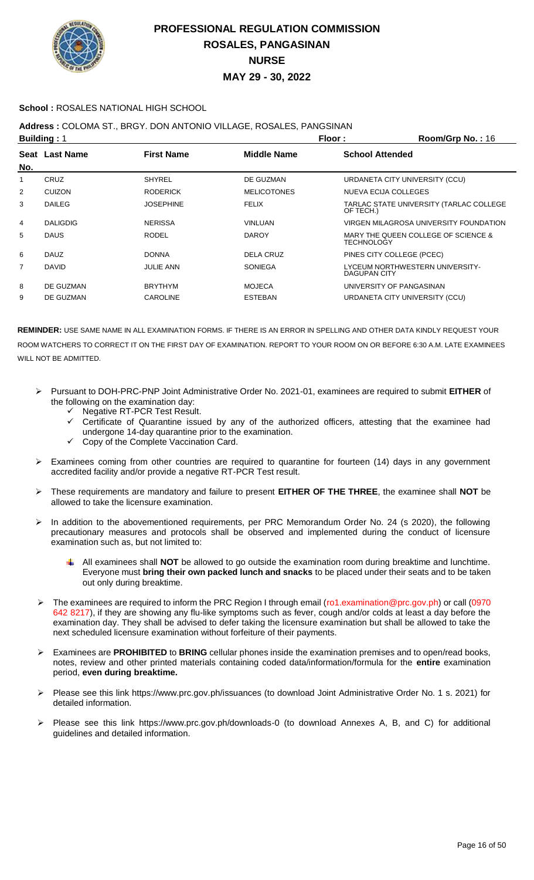

### **School :** ROSALES NATIONAL HIGH SCHOOL

## **Address :** COLOMA ST., BRGY. DON ANTONIO VILLAGE, ROSALES, PANGSINAN

| <b>Building: 1</b> |                 |                   |                    | Floor:<br>Room/Grp No.: 16                               |
|--------------------|-----------------|-------------------|--------------------|----------------------------------------------------------|
| No.                | Seat Last Name  | <b>First Name</b> | <b>Middle Name</b> | <b>School Attended</b>                                   |
| 1                  | CRUZ            | <b>SHYREL</b>     | DE GUZMAN          | URDANETA CITY UNIVERSITY (CCU)                           |
| 2                  | <b>CUIZON</b>   | <b>RODERICK</b>   | <b>MELICOTONES</b> | NUEVA ECIJA COLLEGES                                     |
| 3                  | <b>DAILEG</b>   | <b>JOSEPHINE</b>  | <b>FELIX</b>       | TARLAC STATE UNIVERSITY (TARLAC COLLEGE<br>OF TECH.)     |
| 4                  | <b>DALIGDIG</b> | <b>NERISSA</b>    | <b>VINLUAN</b>     | VIRGEN MILAGROSA UNIVERSITY FOUNDATION                   |
| 5                  | <b>DAUS</b>     | <b>RODEL</b>      | <b>DAROY</b>       | MARY THE QUEEN COLLEGE OF SCIENCE &<br><b>TECHNOLOGY</b> |
| 6                  | <b>DAUZ</b>     | <b>DONNA</b>      | DELA CRUZ          | PINES CITY COLLEGE (PCEC)                                |
| $\overline{7}$     | <b>DAVID</b>    | <b>JULIE ANN</b>  | SONIEGA            | LYCEUM NORTHWESTERN UNIVERSITY-<br><b>DAGUPAN CITY</b>   |
| 8                  | DE GUZMAN       | <b>BRYTHYM</b>    | <b>MOJECA</b>      | UNIVERSITY OF PANGASINAN                                 |
| 9                  | DE GUZMAN       | <b>CAROLINE</b>   | <b>ESTEBAN</b>     | URDANETA CITY UNIVERSITY (CCU)                           |
|                    |                 |                   |                    |                                                          |

- Pursuant to DOH-PRC-PNP Joint Administrative Order No. 2021-01, examinees are required to submit **EITHER** of the following on the examination day:
	- Negative RT-PCR Test Result.
	- $\checkmark$  Certificate of Quarantine issued by any of the authorized officers, attesting that the examinee had undergone 14-day quarantine prior to the examination.
	- Copy of the Complete Vaccination Card.
- Examinees coming from other countries are required to quarantine for fourteen (14) days in any government accredited facility and/or provide a negative RT-PCR Test result.
- These requirements are mandatory and failure to present **EITHER OF THE THREE**, the examinee shall **NOT** be allowed to take the licensure examination.
- In addition to the abovementioned requirements, per PRC Memorandum Order No. 24 (s 2020), the following precautionary measures and protocols shall be observed and implemented during the conduct of licensure examination such as, but not limited to:
	- All examinees shall **NOT** be allowed to go outside the examination room during breaktime and lunchtime. Everyone must **bring their own packed lunch and snacks** to be placed under their seats and to be taken out only during breaktime.
- The examinees are required to inform the PRC Region I through email (ro1.examination@prc.gov.ph) or call (0970 642 8217), if they are showing any flu-like symptoms such as fever, cough and/or colds at least a day before the examination day. They shall be advised to defer taking the licensure examination but shall be allowed to take the next scheduled licensure examination without forfeiture of their payments.
- Examinees are **PROHIBITED** to **BRING** cellular phones inside the examination premises and to open/read books, notes, review and other printed materials containing coded data/information/formula for the **entire** examination period, **even during breaktime.**
- Please see this link https://www.prc.gov.ph/issuances (to download Joint Administrative Order No. 1 s. 2021) for detailed information.
- Please see this link https://www.prc.gov.ph/downloads-0 (to download Annexes A, B, and C) for additional guidelines and detailed information.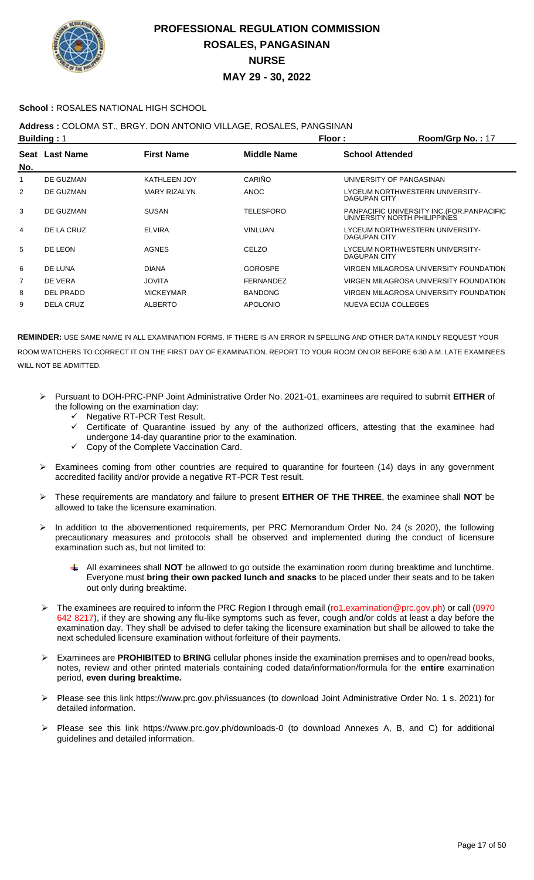

### **School :** ROSALES NATIONAL HIGH SCHOOL

## **Address :** COLOMA ST., BRGY. DON ANTONIO VILLAGE, ROSALES, PANGSINAN

| <b>Building: 1</b> |                  |                     |                  | Floor:<br>Room/Grp No.: 17                                                  |
|--------------------|------------------|---------------------|------------------|-----------------------------------------------------------------------------|
| No.                | Seat Last Name   | <b>First Name</b>   | Middle Name      | <b>School Attended</b>                                                      |
|                    | DE GUZMAN        | <b>KATHLEEN JOY</b> | CARIÑO           | UNIVERSITY OF PANGASINAN                                                    |
| $\overline{2}$     | DE GUZMAN        | <b>MARY RIZALYN</b> | <b>ANOC</b>      | LYCEUM NORTHWESTERN UNIVERSITY-<br>DAGUPAN CITY                             |
| 3                  | DE GUZMAN        | <b>SUSAN</b>        | TELESFORO        | PANPACIFIC UNIVERSITY INC. (FOR. PANPACIFIC<br>UNIVERSITY NORTH PHILIPPINES |
| 4                  | DE LA CRUZ       | <b>ELVIRA</b>       | <b>VINLUAN</b>   | LYCEUM NORTHWESTERN UNIVERSITY-<br>DAGUPAN CITY                             |
| 5                  | DE LEON          | <b>AGNES</b>        | CELZO            | LYCEUM NORTHWESTERN UNIVERSITY-<br>DAGUPAN CITY                             |
| 6                  | DE LUNA          | <b>DIANA</b>        | <b>GOROSPE</b>   | VIRGEN MILAGROSA UNIVERSITY FOUNDATION                                      |
| 7                  | DE VERA          | <b>JOVITA</b>       | <b>FERNANDEZ</b> | VIRGEN MILAGROSA UNIVERSITY FOUNDATION                                      |
| 8                  | <b>DEL PRADO</b> | <b>MICKEYMAR</b>    | <b>BANDONG</b>   | VIRGEN MILAGROSA UNIVERSITY FOUNDATION                                      |
| 9                  | <b>DELA CRUZ</b> | <b>ALBERTO</b>      | <b>APOLONIO</b>  | NUEVA ECIJA COLLEGES                                                        |

- Pursuant to DOH-PRC-PNP Joint Administrative Order No. 2021-01, examinees are required to submit **EITHER** of the following on the examination day:
	- Negative RT-PCR Test Result.
	- Certificate of Quarantine issued by any of the authorized officers, attesting that the examinee had undergone 14-day quarantine prior to the examination.
	- Copy of the Complete Vaccination Card.
- Examinees coming from other countries are required to quarantine for fourteen (14) days in any government accredited facility and/or provide a negative RT-PCR Test result.
- These requirements are mandatory and failure to present **EITHER OF THE THREE**, the examinee shall **NOT** be allowed to take the licensure examination.
- > In addition to the abovementioned requirements, per PRC Memorandum Order No. 24 (s 2020), the following precautionary measures and protocols shall be observed and implemented during the conduct of licensure examination such as, but not limited to:
	- All examinees shall **NOT** be allowed to go outside the examination room during breaktime and lunchtime. Everyone must **bring their own packed lunch and snacks** to be placed under their seats and to be taken out only during breaktime.
- The examinees are required to inform the PRC Region I through email (ro1.examination@prc.gov.ph) or call (0970 642 8217), if they are showing any flu-like symptoms such as fever, cough and/or colds at least a day before the examination day. They shall be advised to defer taking the licensure examination but shall be allowed to take the next scheduled licensure examination without forfeiture of their payments.
- Examinees are **PROHIBITED** to **BRING** cellular phones inside the examination premises and to open/read books, notes, review and other printed materials containing coded data/information/formula for the **entire** examination period, **even during breaktime.**
- Please see this link https://www.prc.gov.ph/issuances (to download Joint Administrative Order No. 1 s. 2021) for detailed information.
- Please see this link https://www.prc.gov.ph/downloads-0 (to download Annexes A, B, and C) for additional guidelines and detailed information.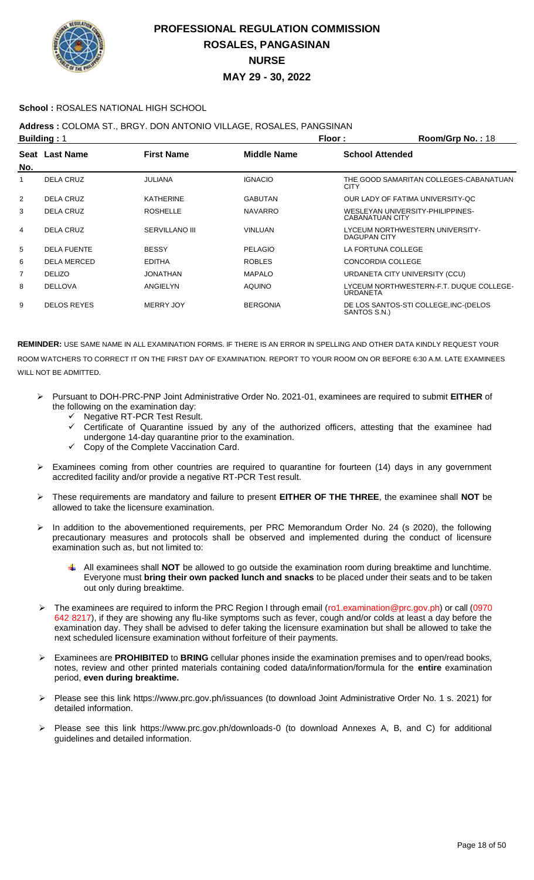

### **School :** ROSALES NATIONAL HIGH SCHOOL

**Address :** COLOMA ST., BRGY. DON ANTONIO VILLAGE, ROSALES, PANGSINAN

| <b>Building: 1</b> |                    |                       |                 | Floor:                 | Room/Grp No.: 18                        |
|--------------------|--------------------|-----------------------|-----------------|------------------------|-----------------------------------------|
| No.                | Seat Last Name     | <b>First Name</b>     | Middle Name     | <b>School Attended</b> |                                         |
|                    | <b>DELA CRUZ</b>   | JULIANA               | <b>IGNACIO</b>  | <b>CITY</b>            | THE GOOD SAMARITAN COLLEGES-CABANATUAN  |
| 2                  | DELA CRUZ          | KATHERINE             | <b>GABUTAN</b>  |                        | OUR LADY OF FATIMA UNIVERSITY-OC        |
| 3                  | DELA CRUZ          | <b>ROSHELLE</b>       | <b>NAVARRO</b>  | <b>CABANATUAN CITY</b> | WESLEYAN UNIVERSITY-PHILIPPINES-        |
| 4                  | DELA CRUZ          | <b>SERVILLANO III</b> | <b>VINLUAN</b>  | DAGUPAN CITY           | LYCEUM NORTHWESTERN UNIVERSITY-         |
| 5                  | <b>DELA FUENTE</b> | <b>BESSY</b>          | <b>PELAGIO</b>  | LA FORTUNA COLLEGE     |                                         |
| 6                  | <b>DELA MERCED</b> | <b>EDITHA</b>         | <b>ROBLES</b>   | CONCORDIA COLLEGE      |                                         |
| 7                  | <b>DELIZO</b>      | JONATHAN              | <b>MAPALO</b>   |                        | URDANETA CITY UNIVERSITY (CCU)          |
| 8                  | <b>DELLOVA</b>     | <b>ANGIELYN</b>       | <b>AQUINO</b>   | <b>URDANETA</b>        | LYCEUM NORTHWESTERN-F.T. DUQUE COLLEGE- |
| 9                  | <b>DELOS REYES</b> | <b>MERRY JOY</b>      | <b>BERGONIA</b> | SANTOS S.N.)           | DE LOS SANTOS-STI COLLEGE, INC-(DELOS   |

- Pursuant to DOH-PRC-PNP Joint Administrative Order No. 2021-01, examinees are required to submit **EITHER** of the following on the examination day:
	- Negative RT-PCR Test Result.
	- Certificate of Quarantine issued by any of the authorized officers, attesting that the examinee had undergone 14-day quarantine prior to the examination.
	- Copy of the Complete Vaccination Card.
- Examinees coming from other countries are required to quarantine for fourteen (14) days in any government accredited facility and/or provide a negative RT-PCR Test result.
- These requirements are mandatory and failure to present **EITHER OF THE THREE**, the examinee shall **NOT** be allowed to take the licensure examination.
- In addition to the abovementioned requirements, per PRC Memorandum Order No. 24 (s 2020), the following precautionary measures and protocols shall be observed and implemented during the conduct of licensure examination such as, but not limited to:
	- All examinees shall **NOT** be allowed to go outside the examination room during breaktime and lunchtime. Everyone must **bring their own packed lunch and snacks** to be placed under their seats and to be taken out only during breaktime.
- The examinees are required to inform the PRC Region I through email (ro1.examination@prc.gov.ph) or call (0970 642 8217), if they are showing any flu-like symptoms such as fever, cough and/or colds at least a day before the examination day. They shall be advised to defer taking the licensure examination but shall be allowed to take the next scheduled licensure examination without forfeiture of their payments.
- Examinees are **PROHIBITED** to **BRING** cellular phones inside the examination premises and to open/read books, notes, review and other printed materials containing coded data/information/formula for the **entire** examination period, **even during breaktime.**
- Please see this link https://www.prc.gov.ph/issuances (to download Joint Administrative Order No. 1 s. 2021) for detailed information.
- Please see this link https://www.prc.gov.ph/downloads-0 (to download Annexes A, B, and C) for additional guidelines and detailed information.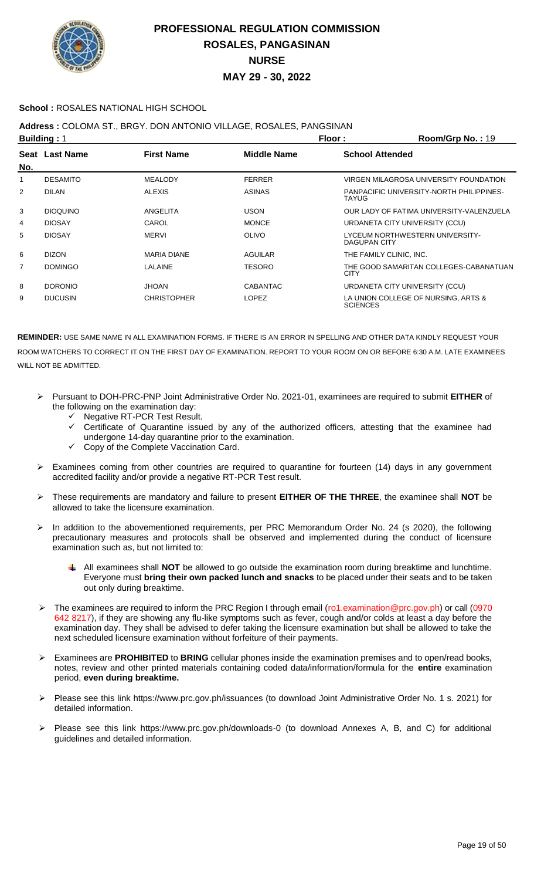

### **School :** ROSALES NATIONAL HIGH SCHOOL

## **Address :** COLOMA ST., BRGY. DON ANTONIO VILLAGE, ROSALES, PANGSINAN

| <b>Building: 1</b> |                 |                    |                    | Floor:                  | Room/Grp No.: 19                         |
|--------------------|-----------------|--------------------|--------------------|-------------------------|------------------------------------------|
| No.                | Seat Last Name  | <b>First Name</b>  | <b>Middle Name</b> | <b>School Attended</b>  |                                          |
| 1                  | <b>DESAMITO</b> | <b>MEALODY</b>     | <b>FERRER</b>      |                         | VIRGEN MILAGROSA UNIVERSITY FOUNDATION   |
| $\overline{2}$     | <b>DILAN</b>    | <b>ALEXIS</b>      | <b>ASINAS</b>      | TAYUG                   | PANPACIFIC UNIVERSITY-NORTH PHILIPPINES- |
| 3                  | <b>DIOQUINO</b> | ANGELITA           | <b>USON</b>        |                         | OUR LADY OF FATIMA UNIVERSITY-VALENZUELA |
| 4                  | <b>DIOSAY</b>   | CAROL              | <b>MONCE</b>       |                         | URDANETA CITY UNIVERSITY (CCU)           |
| 5                  | <b>DIOSAY</b>   | <b>MERVI</b>       | <b>OLIVO</b>       | DAGUPAN CITY            | LYCEUM NORTHWESTERN UNIVERSITY-          |
| 6                  | <b>DIZON</b>    | <b>MARIA DIANE</b> | AGUILAR            | THE FAMILY CLINIC, INC. |                                          |
| $\overline{7}$     | <b>DOMINGO</b>  | LALAINE            | <b>TESORO</b>      | <b>CITY</b>             | THE GOOD SAMARITAN COLLEGES-CABANATUAN   |
| 8                  | <b>DORONIO</b>  | <b>JHOAN</b>       | <b>CABANTAC</b>    |                         | URDANETA CITY UNIVERSITY (CCU)           |
| 9                  | <b>DUCUSIN</b>  | <b>CHRISTOPHER</b> | <b>LOPEZ</b>       | <b>SCIENCES</b>         | LA UNION COLLEGE OF NURSING. ARTS &      |

- Pursuant to DOH-PRC-PNP Joint Administrative Order No. 2021-01, examinees are required to submit **EITHER** of the following on the examination day:
	- Negative RT-PCR Test Result.
	- Certificate of Quarantine issued by any of the authorized officers, attesting that the examinee had undergone 14-day quarantine prior to the examination.
	- Copy of the Complete Vaccination Card.
- Examinees coming from other countries are required to quarantine for fourteen (14) days in any government accredited facility and/or provide a negative RT-PCR Test result.
- These requirements are mandatory and failure to present **EITHER OF THE THREE**, the examinee shall **NOT** be allowed to take the licensure examination.
- In addition to the abovementioned requirements, per PRC Memorandum Order No. 24 (s 2020), the following precautionary measures and protocols shall be observed and implemented during the conduct of licensure examination such as, but not limited to:
	- All examinees shall **NOT** be allowed to go outside the examination room during breaktime and lunchtime. Everyone must **bring their own packed lunch and snacks** to be placed under their seats and to be taken out only during breaktime.
- > The examinees are required to inform the PRC Region I through email (ro1.examination@prc.gov.ph) or call (0970 642 8217), if they are showing any flu-like symptoms such as fever, cough and/or colds at least a day before the examination day. They shall be advised to defer taking the licensure examination but shall be allowed to take the next scheduled licensure examination without forfeiture of their payments.
- Examinees are **PROHIBITED** to **BRING** cellular phones inside the examination premises and to open/read books, notes, review and other printed materials containing coded data/information/formula for the **entire** examination period, **even during breaktime.**
- Please see this link https://www.prc.gov.ph/issuances (to download Joint Administrative Order No. 1 s. 2021) for detailed information.
- Please see this link https://www.prc.gov.ph/downloads-0 (to download Annexes A, B, and C) for additional guidelines and detailed information.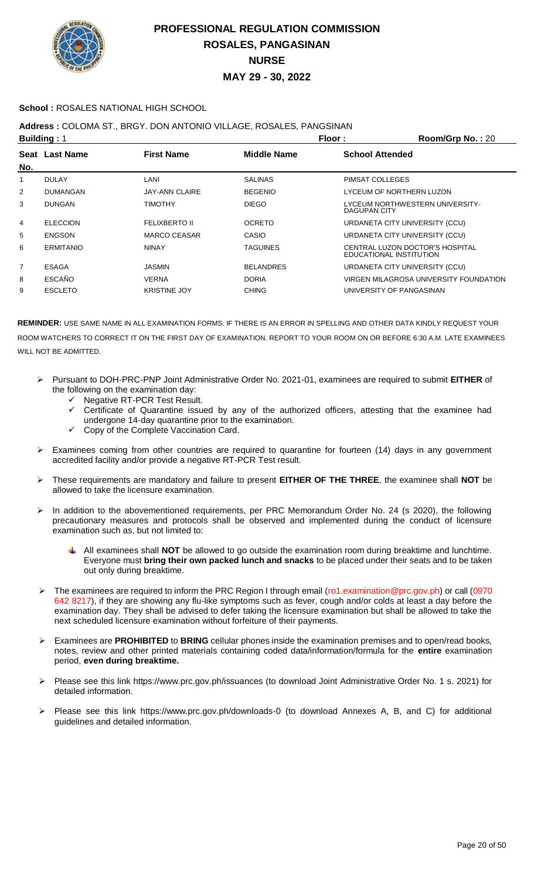

### **School :** ROSALES NATIONAL HIGH SCHOOL

## **Address :** COLOMA ST., BRGY. DON ANTONIO VILLAGE, ROSALES, PANGSINAN

| <b>Building: 1</b> |                  |                       | Floor:             | Room/Grp No.: 20                                           |
|--------------------|------------------|-----------------------|--------------------|------------------------------------------------------------|
| No.                | Seat Last Name   | <b>First Name</b>     | <b>Middle Name</b> | <b>School Attended</b>                                     |
|                    | <b>DULAY</b>     | LANI                  | <b>SALINAS</b>     | PIMSAT COLLEGES                                            |
| $\overline{2}$     | <b>DUMANGAN</b>  | <b>JAY-ANN CLAIRE</b> | <b>BEGENIO</b>     | LYCEUM OF NORTHERN LUZON                                   |
| 3                  | <b>DUNGAN</b>    | <b>TIMOTHY</b>        | <b>DIEGO</b>       | LYCEUM NORTHWESTERN UNIVERSITY-<br>DAGUPAN CITY            |
| 4                  | <b>ELECCION</b>  | <b>FELIXBERTO II</b>  | <b>OCRETO</b>      | URDANETA CITY UNIVERSITY (CCU)                             |
| 5                  | <b>ENGSON</b>    | MARCO CEASAR          | <b>CASIO</b>       | URDANETA CITY UNIVERSITY (CCU)                             |
| 6                  | <b>ERMITANIO</b> | <b>NINAY</b>          | <b>TAGUINES</b>    | CENTRAL LUZON DOCTOR'S HOSPITAL<br>EDUCATIONAL INSTITUTION |
| 7                  | <b>ESAGA</b>     | JASMIN                | <b>BELANDRES</b>   | URDANETA CITY UNIVERSITY (CCU)                             |
| 8                  | <b>ESCAÑO</b>    | <b>VERNA</b>          | <b>DORIA</b>       | VIRGEN MILAGROSA UNIVERSITY FOUNDATION                     |
| 9                  | <b>ESCLETO</b>   | <b>KRISTINE JOY</b>   | <b>CHING</b>       | UNIVERSITY OF PANGASINAN                                   |
|                    |                  |                       |                    |                                                            |

- Pursuant to DOH-PRC-PNP Joint Administrative Order No. 2021-01, examinees are required to submit **EITHER** of the following on the examination day:
	- $\checkmark$  Negative RT-PCR Test Result.
	- $\checkmark$  Certificate of Quarantine issued by any of the authorized officers, attesting that the examinee had undergone 14-day quarantine prior to the examination.
	- Copy of the Complete Vaccination Card.
- Examinees coming from other countries are required to quarantine for fourteen (14) days in any government accredited facility and/or provide a negative RT-PCR Test result.
- These requirements are mandatory and failure to present **EITHER OF THE THREE**, the examinee shall **NOT** be allowed to take the licensure examination.
- In addition to the abovementioned requirements, per PRC Memorandum Order No. 24 (s 2020), the following precautionary measures and protocols shall be observed and implemented during the conduct of licensure examination such as, but not limited to:
	- All examinees shall **NOT** be allowed to go outside the examination room during breaktime and lunchtime. Everyone must **bring their own packed lunch and snacks** to be placed under their seats and to be taken out only during breaktime.
- > The examinees are required to inform the PRC Region I through email (ro1.examination@prc.gov.ph) or call (0970 642 8217), if they are showing any flu-like symptoms such as fever, cough and/or colds at least a day before the examination day. They shall be advised to defer taking the licensure examination but shall be allowed to take the next scheduled licensure examination without forfeiture of their payments.
- Examinees are **PROHIBITED** to **BRING** cellular phones inside the examination premises and to open/read books, notes, review and other printed materials containing coded data/information/formula for the **entire** examination period, **even during breaktime.**
- Please see this link https://www.prc.gov.ph/issuances (to download Joint Administrative Order No. 1 s. 2021) for detailed information.
- Please see this link https://www.prc.gov.ph/downloads-0 (to download Annexes A, B, and C) for additional guidelines and detailed information.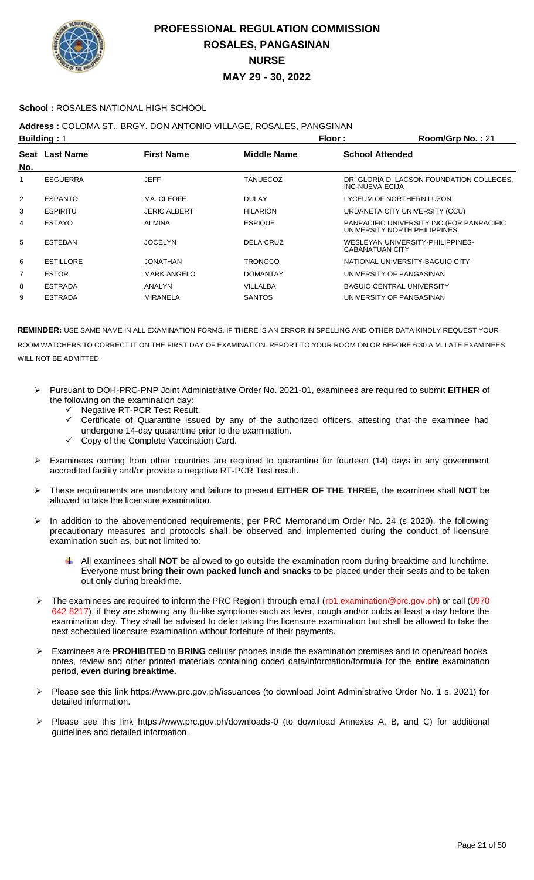

### **School :** ROSALES NATIONAL HIGH SCHOOL

## **Address :** COLOMA ST., BRGY. DON ANTONIO VILLAGE, ROSALES, PANGSINAN

| <b>Building: 1</b> |                  |                     |                    | Floor:<br>Room/Grp No.: 21                                                  |
|--------------------|------------------|---------------------|--------------------|-----------------------------------------------------------------------------|
| No.                | Seat Last Name   | <b>First Name</b>   | <b>Middle Name</b> | <b>School Attended</b>                                                      |
| 1                  | <b>ESGUERRA</b>  | <b>JEFF</b>         | TANUECOZ           | DR. GLORIA D. LACSON FOUNDATION COLLEGES.<br>INC-NUEVA ECIJA                |
| 2                  | <b>ESPANTO</b>   | MA. CLEOFE          | <b>DULAY</b>       | LYCEUM OF NORTHERN LUZON                                                    |
| 3                  | <b>ESPIRITU</b>  | <b>JERIC ALBERT</b> | <b>HILARION</b>    | URDANETA CITY UNIVERSITY (CCU)                                              |
| 4                  | <b>ESTAYO</b>    | ALMINA              | <b>ESPIQUE</b>     | PANPACIFIC UNIVERSITY INC. (FOR. PANPACIFIC<br>UNIVERSITY NORTH PHILIPPINES |
| 5                  | <b>ESTEBAN</b>   | <b>JOCELYN</b>      | <b>DELA CRUZ</b>   | WESLEYAN UNIVERSITY-PHILIPPINES-<br>CABANATUAN CITY                         |
| 6                  | <b>ESTILLORE</b> | JONATHAN            | <b>TRONGCO</b>     | NATIONAL UNIVERSITY-BAGUIO CITY                                             |
| 7                  | <b>ESTOR</b>     | <b>MARK ANGELO</b>  | DOMANTAY           | UNIVERSITY OF PANGASINAN                                                    |
| 8                  | <b>ESTRADA</b>   | ANALYN              | VILLALBA           | <b>BAGUIO CENTRAL UNIVERSITY</b>                                            |
| 9                  | <b>ESTRADA</b>   | <b>MIRANELA</b>     | <b>SANTOS</b>      | UNIVERSITY OF PANGASINAN                                                    |
|                    |                  |                     |                    |                                                                             |

- Pursuant to DOH-PRC-PNP Joint Administrative Order No. 2021-01, examinees are required to submit **EITHER** of the following on the examination day:
	- Negative RT-PCR Test Result.
	- Certificate of Quarantine issued by any of the authorized officers, attesting that the examinee had undergone 14-day quarantine prior to the examination.
	- Copy of the Complete Vaccination Card.
- Examinees coming from other countries are required to quarantine for fourteen (14) days in any government accredited facility and/or provide a negative RT-PCR Test result.
- These requirements are mandatory and failure to present **EITHER OF THE THREE**, the examinee shall **NOT** be allowed to take the licensure examination.
- In addition to the abovementioned requirements, per PRC Memorandum Order No. 24 (s 2020), the following precautionary measures and protocols shall be observed and implemented during the conduct of licensure examination such as, but not limited to:
	- All examinees shall **NOT** be allowed to go outside the examination room during breaktime and lunchtime. Everyone must **bring their own packed lunch and snacks** to be placed under their seats and to be taken out only during breaktime.
- The examinees are required to inform the PRC Region I through email (ro1.examination@prc.gov.ph) or call (0970 642 8217), if they are showing any flu-like symptoms such as fever, cough and/or colds at least a day before the examination day. They shall be advised to defer taking the licensure examination but shall be allowed to take the next scheduled licensure examination without forfeiture of their payments.
- Examinees are **PROHIBITED** to **BRING** cellular phones inside the examination premises and to open/read books, notes, review and other printed materials containing coded data/information/formula for the **entire** examination period, **even during breaktime.**
- Please see this link https://www.prc.gov.ph/issuances (to download Joint Administrative Order No. 1 s. 2021) for detailed information.
- Please see this link https://www.prc.gov.ph/downloads-0 (to download Annexes A, B, and C) for additional guidelines and detailed information.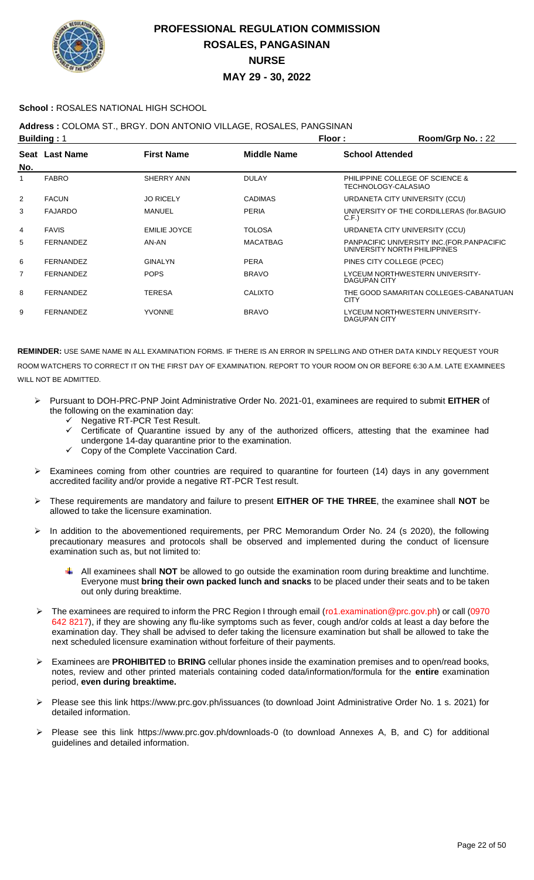

### **School :** ROSALES NATIONAL HIGH SCHOOL

### **Address :** COLOMA ST., BRGY. DON ANTONIO VILLAGE, ROSALES, PANGSINAN

| <b>Building: 1</b> |                  |                     |                 | Floor:                 | Room/Grp No.: 22                                                            |
|--------------------|------------------|---------------------|-----------------|------------------------|-----------------------------------------------------------------------------|
| No.                | Seat Last Name   | <b>First Name</b>   | Middle Name     | <b>School Attended</b> |                                                                             |
|                    | <b>FABRO</b>     | SHERRY ANN          | <b>DULAY</b>    | TECHNOLOGY-CALASIAO    | PHILIPPINE COLLEGE OF SCIENCE &                                             |
| 2                  | <b>FACUN</b>     | <b>JO RICELY</b>    | <b>CADIMAS</b>  |                        | URDANETA CITY UNIVERSITY (CCU)                                              |
| 3                  | <b>FAJARDO</b>   | <b>MANUEL</b>       | <b>PERIA</b>    | C.F.                   | UNIVERSITY OF THE CORDILLERAS (for.BAGUIO                                   |
| 4                  | <b>FAVIS</b>     | <b>EMILIE JOYCE</b> | <b>TOLOSA</b>   |                        | URDANETA CITY UNIVERSITY (CCU)                                              |
| 5                  | <b>FERNANDEZ</b> | AN-AN               | <b>MACATBAG</b> |                        | PANPACIFIC UNIVERSITY INC. (FOR. PANPACIFIC<br>UNIVERSITY NORTH PHILIPPINES |
| 6                  | <b>FERNANDEZ</b> | <b>GINALYN</b>      | <b>PERA</b>     |                        | PINES CITY COLLEGE (PCEC)                                                   |
| 7                  | <b>FERNANDEZ</b> | <b>POPS</b>         | <b>BRAVO</b>    | <b>DAGUPAN CITY</b>    | LYCEUM NORTHWESTERN UNIVERSITY-                                             |
| 8                  | <b>FERNANDEZ</b> | <b>TERESA</b>       | <b>CALIXTO</b>  | <b>CITY</b>            | THE GOOD SAMARITAN COLLEGES-CABANATUAN                                      |
| 9                  | <b>FERNANDEZ</b> | <b>YVONNE</b>       | <b>BRAVO</b>    | <b>DAGUPAN CITY</b>    | LYCEUM NORTHWESTERN UNIVERSITY-                                             |

- Pursuant to DOH-PRC-PNP Joint Administrative Order No. 2021-01, examinees are required to submit **EITHER** of the following on the examination day:
	- ← Negative RT-PCR Test Result.
	- Certificate of Quarantine issued by any of the authorized officers, attesting that the examinee had undergone 14-day quarantine prior to the examination.
	- Copy of the Complete Vaccination Card.
- Examinees coming from other countries are required to quarantine for fourteen (14) days in any government accredited facility and/or provide a negative RT-PCR Test result.
- These requirements are mandatory and failure to present **EITHER OF THE THREE**, the examinee shall **NOT** be allowed to take the licensure examination.
- In addition to the abovementioned requirements, per PRC Memorandum Order No. 24 (s 2020), the following precautionary measures and protocols shall be observed and implemented during the conduct of licensure examination such as, but not limited to:
	- All examinees shall **NOT** be allowed to go outside the examination room during breaktime and lunchtime. Everyone must **bring their own packed lunch and snacks** to be placed under their seats and to be taken out only during breaktime.
- The examinees are required to inform the PRC Region I through email (ro1.examination@prc.gov.ph) or call (0970 642 8217), if they are showing any flu-like symptoms such as fever, cough and/or colds at least a day before the examination day. They shall be advised to defer taking the licensure examination but shall be allowed to take the next scheduled licensure examination without forfeiture of their payments.
- Examinees are **PROHIBITED** to **BRING** cellular phones inside the examination premises and to open/read books, notes, review and other printed materials containing coded data/information/formula for the **entire** examination period, **even during breaktime.**
- Please see this link https://www.prc.gov.ph/issuances (to download Joint Administrative Order No. 1 s. 2021) for detailed information.
- Please see this link https://www.prc.gov.ph/downloads-0 (to download Annexes A, B, and C) for additional guidelines and detailed information.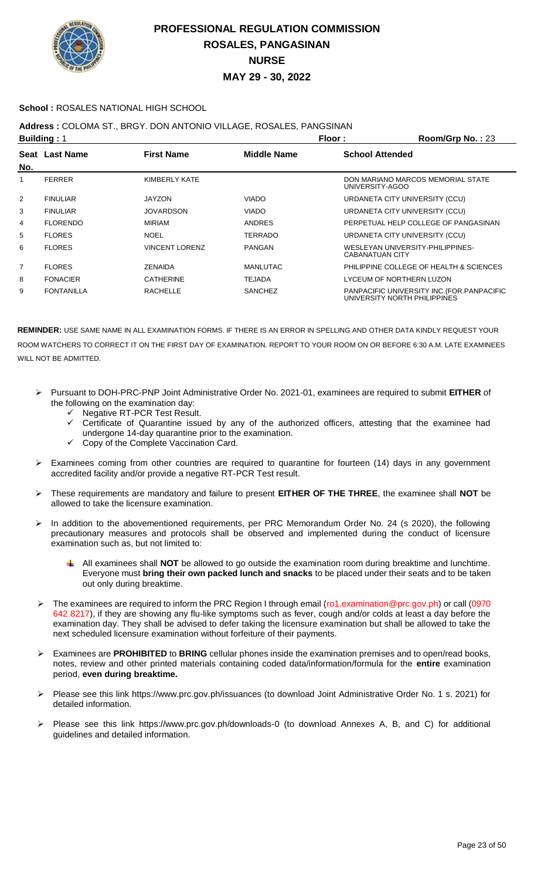

### **School :** ROSALES NATIONAL HIGH SCHOOL

**Address :** COLOMA ST., BRGY. DON ANTONIO VILLAGE, ROSALES, PANGSINAN

| <b>Building: 1</b> |                   |                       | Floor:             | Room/Grp No.: 23                                                            |
|--------------------|-------------------|-----------------------|--------------------|-----------------------------------------------------------------------------|
| No.                | Seat Last Name    | <b>First Name</b>     | <b>Middle Name</b> | <b>School Attended</b>                                                      |
|                    | <b>FERRER</b>     | KIMBERLY KATE         |                    | DON MARIANO MARCOS MEMORIAL STATE<br>UNIVERSITY-AGOO                        |
| $\overline{2}$     | <b>FINULIAR</b>   | JAYZON                | <b>VIADO</b>       | URDANETA CITY UNIVERSITY (CCU)                                              |
| 3                  | <b>FINULIAR</b>   | <b>JOVARDSON</b>      | <b>VIADO</b>       | URDANETA CITY UNIVERSITY (CCU)                                              |
| 4                  | <b>FLORENDO</b>   | <b>MIRIAM</b>         | <b>ANDRES</b>      | PERPETUAL HELP COLLEGE OF PANGASINAN                                        |
| 5                  | <b>FLORES</b>     | <b>NOEL</b>           | <b>TERRADO</b>     | URDANETA CITY UNIVERSITY (CCU)                                              |
| 6                  | <b>FLORES</b>     | <b>VINCENT LORENZ</b> | PANGAN             | WESLEYAN UNIVERSITY-PHILIPPINES-<br><b>CABANATUAN CITY</b>                  |
| 7                  | <b>FLORES</b>     | ZENAIDA               | MANLUTAC           | PHILIPPINE COLLEGE OF HEALTH & SCIENCES                                     |
| 8                  | <b>FONACIER</b>   | CATHERINE             | <b>TEJADA</b>      | LYCEUM OF NORTHERN LUZON                                                    |
| 9                  | <b>FONTANILLA</b> | <b>RACHELLE</b>       | <b>SANCHEZ</b>     | PANPACIFIC UNIVERSITY INC. (FOR. PANPACIFIC<br>UNIVERSITY NORTH PHILIPPINES |

- Pursuant to DOH-PRC-PNP Joint Administrative Order No. 2021-01, examinees are required to submit **EITHER** of the following on the examination day:
	- Negative RT-PCR Test Result.
	- Certificate of Quarantine issued by any of the authorized officers, attesting that the examinee had undergone 14-day quarantine prior to the examination.
	- Copy of the Complete Vaccination Card.
- Examinees coming from other countries are required to quarantine for fourteen (14) days in any government accredited facility and/or provide a negative RT-PCR Test result.
- These requirements are mandatory and failure to present **EITHER OF THE THREE**, the examinee shall **NOT** be allowed to take the licensure examination.
- > In addition to the abovementioned requirements, per PRC Memorandum Order No. 24 (s 2020), the following precautionary measures and protocols shall be observed and implemented during the conduct of licensure examination such as, but not limited to:
	- All examinees shall **NOT** be allowed to go outside the examination room during breaktime and lunchtime. Everyone must **bring their own packed lunch and snacks** to be placed under their seats and to be taken out only during breaktime.
- The examinees are required to inform the PRC Region I through email (ro1.examination@prc.gov.ph) or call (0970 642 8217), if they are showing any flu-like symptoms such as fever, cough and/or colds at least a day before the examination day. They shall be advised to defer taking the licensure examination but shall be allowed to take the next scheduled licensure examination without forfeiture of their payments.
- Examinees are **PROHIBITED** to **BRING** cellular phones inside the examination premises and to open/read books, notes, review and other printed materials containing coded data/information/formula for the **entire** examination period, **even during breaktime.**
- Please see this link https://www.prc.gov.ph/issuances (to download Joint Administrative Order No. 1 s. 2021) for detailed information.
- Please see this link https://www.prc.gov.ph/downloads-0 (to download Annexes A, B, and C) for additional guidelines and detailed information.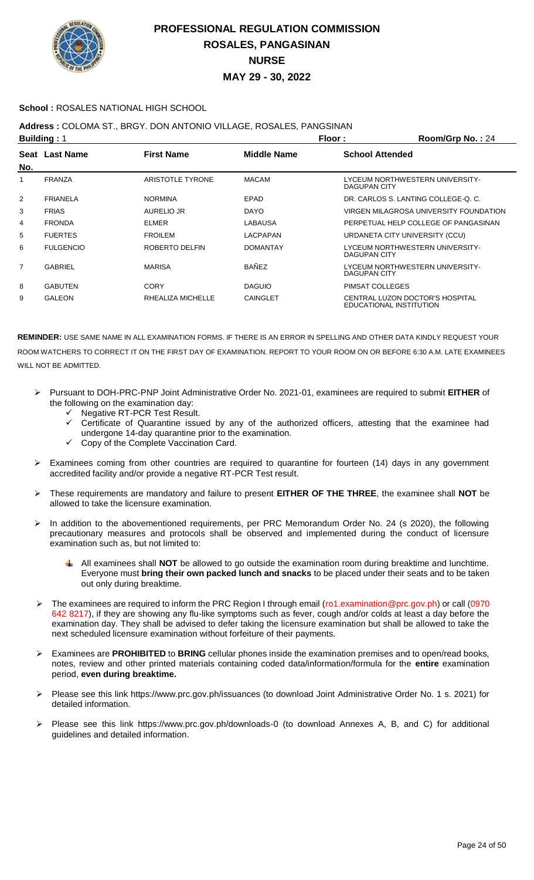

### **School :** ROSALES NATIONAL HIGH SCHOOL

## **Address :** COLOMA ST., BRGY. DON ANTONIO VILLAGE, ROSALES, PANGSINAN

| <b>Building: 1</b> |                  |                         | Floor:          | Room/Grp No.: 24       |                                                            |
|--------------------|------------------|-------------------------|-----------------|------------------------|------------------------------------------------------------|
| No.                | Seat Last Name   | <b>First Name</b>       | Middle Name     | <b>School Attended</b> |                                                            |
|                    | <b>FRANZA</b>    | <b>ARISTOTLE TYRONE</b> | <b>MACAM</b>    | DAGUPAN CITY           | LYCEUM NORTHWESTERN UNIVERSITY-                            |
| $\overline{2}$     | <b>FRIANELA</b>  | <b>NORMINA</b>          | EPAD            |                        | DR. CARLOS S. LANTING COLLEGE-Q. C.                        |
| 3                  | <b>FRIAS</b>     | AURELIO JR              | <b>DAYO</b>     |                        | VIRGEN MILAGROSA UNIVERSITY FOUNDATION                     |
| 4                  | <b>FRONDA</b>    | <b>ELMER</b>            | LABAUSA         |                        | PERPETUAL HELP COLLEGE OF PANGASINAN                       |
| 5                  | <b>FUERTES</b>   | <b>FROILEM</b>          | LACPAPAN        |                        | URDANETA CITY UNIVERSITY (CCU)                             |
| 6                  | <b>FULGENCIO</b> | ROBERTO DELFIN          | <b>DOMANTAY</b> | <b>DAGUPAN CITY</b>    | LYCEUM NORTHWESTERN UNIVERSITY-                            |
| $\overline{7}$     | GABRIEL          | <b>MARISA</b>           | <b>BAÑEZ</b>    | DAGUPAN CITY           | LYCEUM NORTHWESTERN UNIVERSITY-                            |
| 8                  | <b>GABUTEN</b>   | CORY                    | <b>DAGUIO</b>   | PIMSAT COLLEGES        |                                                            |
| 9                  | <b>GALEON</b>    | RHEALIZA MICHELLE       | <b>CAINGLET</b> |                        | CENTRAL LUZON DOCTOR'S HOSPITAL<br>EDUCATIONAL INSTITUTION |

- Pursuant to DOH-PRC-PNP Joint Administrative Order No. 2021-01, examinees are required to submit **EITHER** of the following on the examination day:
	- Negative RT-PCR Test Result.
	- Certificate of Quarantine issued by any of the authorized officers, attesting that the examinee had undergone 14-day quarantine prior to the examination.
	- Copy of the Complete Vaccination Card.
- Examinees coming from other countries are required to quarantine for fourteen (14) days in any government accredited facility and/or provide a negative RT-PCR Test result.
- These requirements are mandatory and failure to present **EITHER OF THE THREE**, the examinee shall **NOT** be allowed to take the licensure examination.
- In addition to the abovementioned requirements, per PRC Memorandum Order No. 24 (s 2020), the following precautionary measures and protocols shall be observed and implemented during the conduct of licensure examination such as, but not limited to:
	- All examinees shall **NOT** be allowed to go outside the examination room during breaktime and lunchtime. ÷ Everyone must **bring their own packed lunch and snacks** to be placed under their seats and to be taken out only during breaktime.
- The examinees are required to inform the PRC Region I through email (ro1.examination@prc.gov.ph) or call (0970 642 8217), if they are showing any flu-like symptoms such as fever, cough and/or colds at least a day before the examination day. They shall be advised to defer taking the licensure examination but shall be allowed to take the next scheduled licensure examination without forfeiture of their payments.
- Examinees are **PROHIBITED** to **BRING** cellular phones inside the examination premises and to open/read books, notes, review and other printed materials containing coded data/information/formula for the **entire** examination period, **even during breaktime.**
- Please see this link https://www.prc.gov.ph/issuances (to download Joint Administrative Order No. 1 s. 2021) for detailed information.
- Please see this link https://www.prc.gov.ph/downloads-0 (to download Annexes A, B, and C) for additional guidelines and detailed information.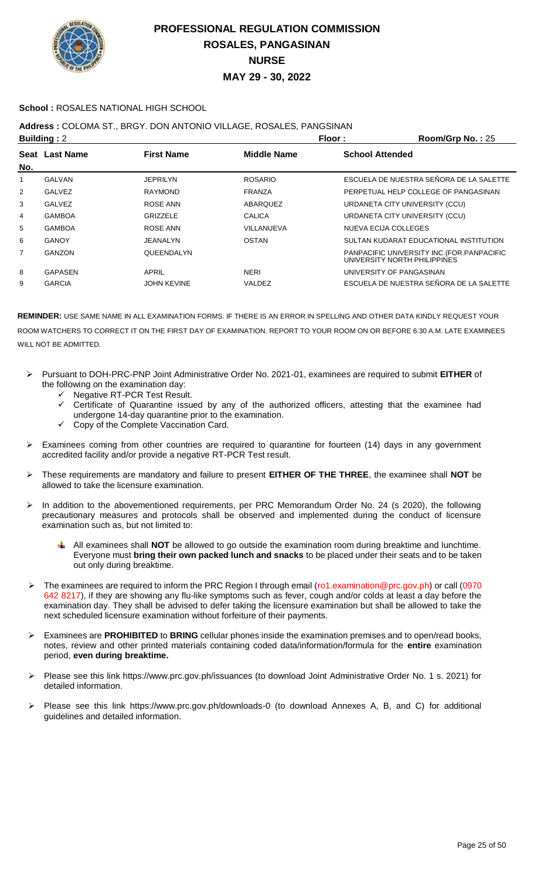

### **School :** ROSALES NATIONAL HIGH SCHOOL

### **Address :** COLOMA ST., BRGY. DON ANTONIO VILLAGE, ROSALES, PANGSINAN

| <b>Building: 2</b> |                    | Floor:             | Room/Grp No.: 25                                                            |
|--------------------|--------------------|--------------------|-----------------------------------------------------------------------------|
|                    | <b>First Name</b>  | <b>Middle Name</b> | <b>School Attended</b>                                                      |
|                    |                    |                    |                                                                             |
| <b>GALVAN</b>      | <b>JEPRILYN</b>    | <b>ROSARIO</b>     | ESCUELA DE NUESTRA SEÑORA DE LA SALETTE                                     |
| <b>GALVEZ</b>      | <b>RAYMOND</b>     | <b>FRANZA</b>      | PERPETUAL HELP COLLEGE OF PANGASINAN                                        |
| GALVEZ             | ROSE ANN           | ABARQUEZ           | URDANETA CITY UNIVERSITY (CCU)                                              |
| <b>GAMBOA</b>      | <b>GRIZZELE</b>    | CALICA             | URDANETA CITY UNIVERSITY (CCU)                                              |
| <b>GAMBOA</b>      | <b>ROSE ANN</b>    | VILLANUEVA         | NUEVA ECIJA COLLEGES                                                        |
| GANOY              | JEANALYN           | OSTAN              | SULTAN KUDARAT EDUCATIONAL INSTITUTION                                      |
| GANZON             | <b>QUEENDALYN</b>  |                    | PANPACIFIC UNIVERSITY INC. (FOR. PANPACIFIC<br>UNIVERSITY NORTH PHILIPPINES |
| <b>GAPASEN</b>     | APRIL              | <b>NERI</b>        | UNIVERSITY OF PANGASINAN                                                    |
| <b>GARCIA</b>      | <b>JOHN KEVINE</b> | VALDEZ             | ESCUELA DE NUESTRA SEÑORA DE LA SALETTE                                     |
|                    | Seat Last Name     |                    |                                                                             |

- Pursuant to DOH-PRC-PNP Joint Administrative Order No. 2021-01, examinees are required to submit **EITHER** of the following on the examination day:
	- G Negative RT-PCR Test Result.<br>Gertificate of Quarantine issue
	- Certificate of Quarantine issued by any of the authorized officers, attesting that the examinee had undergone 14-day quarantine prior to the examination.
	- Copy of the Complete Vaccination Card.
- $\triangleright$  Examinees coming from other countries are required to quarantine for fourteen (14) days in any government accredited facility and/or provide a negative RT-PCR Test result.
- These requirements are mandatory and failure to present **EITHER OF THE THREE**, the examinee shall **NOT** be allowed to take the licensure examination.
- > In addition to the abovementioned requirements, per PRC Memorandum Order No. 24 (s 2020), the following precautionary measures and protocols shall be observed and implemented during the conduct of licensure examination such as, but not limited to:
	- All examinees shall **NOT** be allowed to go outside the examination room during breaktime and lunchtime. Everyone must **bring their own packed lunch and snacks** to be placed under their seats and to be taken out only during breaktime.
- The examinees are required to inform the PRC Region I through email (ro1.examination@prc.gov.ph) or call (0970 642 8217), if they are showing any flu-like symptoms such as fever, cough and/or colds at least a day before the examination day. They shall be advised to defer taking the licensure examination but shall be allowed to take the next scheduled licensure examination without forfeiture of their payments.
- Examinees are **PROHIBITED** to **BRING** cellular phones inside the examination premises and to open/read books, notes, review and other printed materials containing coded data/information/formula for the **entire** examination period, **even during breaktime.**
- Please see this link https://www.prc.gov.ph/issuances (to download Joint Administrative Order No. 1 s. 2021) for detailed information.
- Please see this link https://www.prc.gov.ph/downloads-0 (to download Annexes A, B, and C) for additional guidelines and detailed information.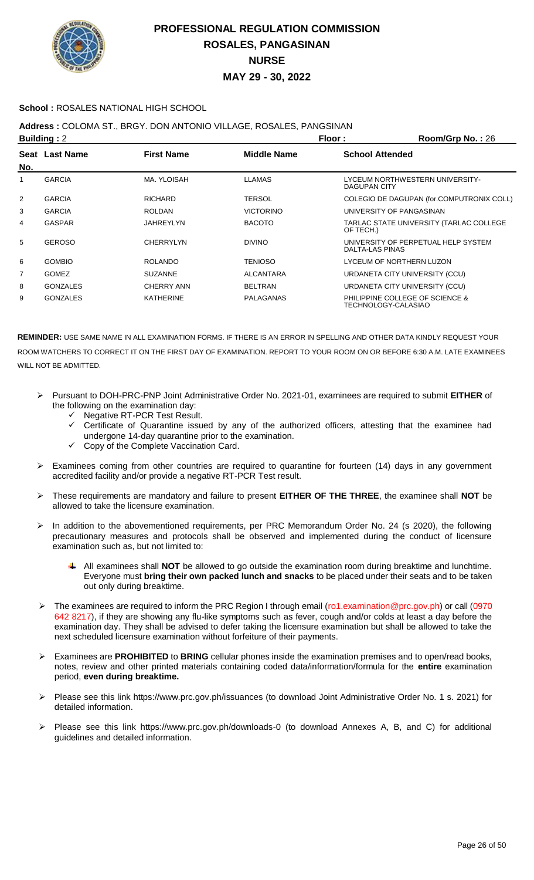

### **School :** ROSALES NATIONAL HIGH SCHOOL

## **Address :** COLOMA ST., BRGY. DON ANTONIO VILLAGE, ROSALES, PANGSINAN

| <b>Building: 2</b> |                 |                   |                  | Floor:                 | Room/Grp No.: 26                                       |
|--------------------|-----------------|-------------------|------------------|------------------------|--------------------------------------------------------|
| No.                | Seat Last Name  | <b>First Name</b> | Middle Name      | <b>School Attended</b> |                                                        |
| 1                  | <b>GARCIA</b>   | MA. YLOISAH       | <b>LLAMAS</b>    | DAGUPAN CITY           | LYCEUM NORTHWESTERN UNIVERSITY-                        |
| 2                  | <b>GARCIA</b>   | <b>RICHARD</b>    | <b>TERSOL</b>    |                        | COLEGIO DE DAGUPAN (for.COMPUTRONIX COLL)              |
| 3                  | <b>GARCIA</b>   | <b>ROLDAN</b>     | <b>VICTORINO</b> |                        | UNIVERSITY OF PANGASINAN                               |
| 4                  | GASPAR          | <b>JAHREYLYN</b>  | <b>BACOTO</b>    | OF TECH.)              | TARLAC STATE UNIVERSITY (TARLAC COLLEGE                |
| 5                  | <b>GEROSO</b>   | <b>CHERRYLYN</b>  | <b>DIVINO</b>    | DALTA-LAS PINAS        | UNIVERSITY OF PERPETUAL HELP SYSTEM                    |
| 6                  | <b>GOMBIO</b>   | <b>ROLANDO</b>    | <b>TENIOSO</b>   |                        | LYCEUM OF NORTHERN LUZON                               |
| 7                  | <b>GOMEZ</b>    | <b>SUZANNE</b>    | <b>ALCANTARA</b> |                        | URDANETA CITY UNIVERSITY (CCU)                         |
| 8                  | <b>GONZALES</b> | CHERRY ANN        | <b>BELTRAN</b>   |                        | URDANETA CITY UNIVERSITY (CCU)                         |
| 9                  | <b>GONZALES</b> | <b>KATHERINE</b>  | <b>PALAGANAS</b> |                        | PHILIPPINE COLLEGE OF SCIENCE &<br>TECHNOLOGY-CALASIAO |

- Pursuant to DOH-PRC-PNP Joint Administrative Order No. 2021-01, examinees are required to submit **EITHER** of the following on the examination day:
	- Negative RT-PCR Test Result.
	- Certificate of Quarantine issued by any of the authorized officers, attesting that the examinee had undergone 14-day quarantine prior to the examination.
	- Copy of the Complete Vaccination Card.
- $\triangleright$  Examinees coming from other countries are required to quarantine for fourteen (14) days in any government accredited facility and/or provide a negative RT-PCR Test result.
- These requirements are mandatory and failure to present **EITHER OF THE THREE**, the examinee shall **NOT** be allowed to take the licensure examination.
- > In addition to the abovementioned requirements, per PRC Memorandum Order No. 24 (s 2020), the following precautionary measures and protocols shall be observed and implemented during the conduct of licensure examination such as, but not limited to:
	- All examinees shall **NOT** be allowed to go outside the examination room during breaktime and lunchtime. Everyone must **bring their own packed lunch and snacks** to be placed under their seats and to be taken out only during breaktime.
- The examinees are required to inform the PRC Region I through email (ro1.examination@prc.gov.ph) or call (0970 642 8217), if they are showing any flu-like symptoms such as fever, cough and/or colds at least a day before the examination day. They shall be advised to defer taking the licensure examination but shall be allowed to take the next scheduled licensure examination without forfeiture of their payments.
- Examinees are **PROHIBITED** to **BRING** cellular phones inside the examination premises and to open/read books, notes, review and other printed materials containing coded data/information/formula for the **entire** examination period, **even during breaktime.**
- Please see this link https://www.prc.gov.ph/issuances (to download Joint Administrative Order No. 1 s. 2021) for detailed information.
- Please see this link https://www.prc.gov.ph/downloads-0 (to download Annexes A, B, and C) for additional guidelines and detailed information.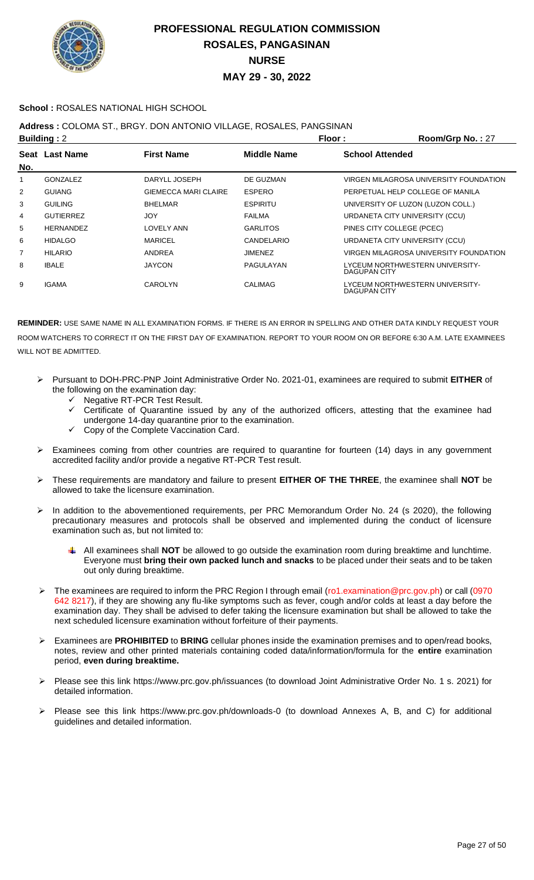

### **School :** ROSALES NATIONAL HIGH SCHOOL

### **Address :** COLOMA ST., BRGY. DON ANTONIO VILLAGE, ROSALES, PANGSINAN

|     | <b>Building: 2</b> |                             | Floor:          | Room/Grp No.: 27                                       |
|-----|--------------------|-----------------------------|-----------------|--------------------------------------------------------|
| No. | Seat Last Name     | <b>First Name</b>           | Middle Name     | <b>School Attended</b>                                 |
|     | <b>GONZALEZ</b>    | DARYLL JOSEPH               | DE GUZMAN       | VIRGEN MILAGROSA UNIVERSITY FOUNDATION                 |
| 2   | <b>GUIANG</b>      | <b>GIEMECCA MARI CLAIRE</b> | <b>ESPERO</b>   | PERPETUAL HELP COLLEGE OF MANILA                       |
| 3   | <b>GUILING</b>     | <b>BHELMAR</b>              | <b>ESPIRITU</b> | UNIVERSITY OF LUZON (LUZON COLL.)                      |
| 4   | <b>GUTIERREZ</b>   | <b>JOY</b>                  | <b>FAILMA</b>   | URDANETA CITY UNIVERSITY (CCU)                         |
| 5   | <b>HERNANDEZ</b>   | LOVELY ANN                  | <b>GARLITOS</b> | PINES CITY COLLEGE (PCEC)                              |
| 6   | <b>HIDALGO</b>     | <b>MARICEL</b>              | CANDELARIO      | URDANETA CITY UNIVERSITY (CCU)                         |
| 7   | <b>HILARIO</b>     | ANDREA                      | JIMENEZ         | VIRGEN MILAGROSA UNIVERSITY FOUNDATION                 |
| 8   | <b>IBALE</b>       | <b>JAYCON</b>               | PAGULAYAN       | LYCEUM NORTHWESTERN UNIVERSITY-<br><b>DAGUPAN CITY</b> |
| 9   | <b>IGAMA</b>       | CAROLYN                     | <b>CALIMAG</b>  | LYCEUM NORTHWESTERN UNIVERSITY-<br>DAGUPAN CITY        |

- Pursuant to DOH-PRC-PNP Joint Administrative Order No. 2021-01, examinees are required to submit **EITHER** of the following on the examination day:
	- Negative RT-PCR Test Result.
	- $\checkmark$  Certificate of Quarantine issued by any of the authorized officers, attesting that the examinee had undergone 14-day quarantine prior to the examination.
	- Copy of the Complete Vaccination Card.
- Examinees coming from other countries are required to quarantine for fourteen (14) days in any government accredited facility and/or provide a negative RT-PCR Test result.
- These requirements are mandatory and failure to present **EITHER OF THE THREE**, the examinee shall **NOT** be allowed to take the licensure examination.
- In addition to the abovementioned requirements, per PRC Memorandum Order No. 24 (s 2020), the following precautionary measures and protocols shall be observed and implemented during the conduct of licensure examination such as, but not limited to:
	- All examinees shall **NOT** be allowed to go outside the examination room during breaktime and lunchtime. Everyone must **bring their own packed lunch and snacks** to be placed under their seats and to be taken out only during breaktime.
- > The examinees are required to inform the PRC Region I through email (ro1.examination@prc.gov.ph) or call (0970 642 8217), if they are showing any flu-like symptoms such as fever, cough and/or colds at least a day before the examination day. They shall be advised to defer taking the licensure examination but shall be allowed to take the next scheduled licensure examination without forfeiture of their payments.
- Examinees are **PROHIBITED** to **BRING** cellular phones inside the examination premises and to open/read books, notes, review and other printed materials containing coded data/information/formula for the **entire** examination period, **even during breaktime.**
- Please see this link https://www.prc.gov.ph/issuances (to download Joint Administrative Order No. 1 s. 2021) for detailed information.
- Please see this link https://www.prc.gov.ph/downloads-0 (to download Annexes A, B, and C) for additional guidelines and detailed information.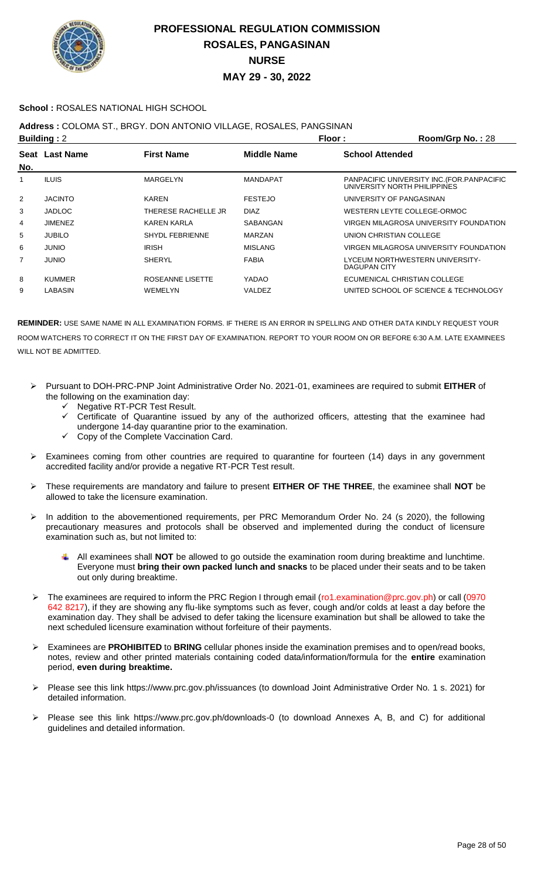

### **School :** ROSALES NATIONAL HIGH SCHOOL

## **Address :** COLOMA ST., BRGY. DON ANTONIO VILLAGE, ROSALES, PANGSINAN

|     | <b>Building: 2</b> |                        | Floor:             | Room/Grp No.: 28                                                            |
|-----|--------------------|------------------------|--------------------|-----------------------------------------------------------------------------|
| No. | Seat Last Name     | <b>First Name</b>      | <b>Middle Name</b> | <b>School Attended</b>                                                      |
|     | <b>ILUIS</b>       | MARGELYN               | <b>MANDAPAT</b>    | PANPACIFIC UNIVERSITY INC. (FOR. PANPACIFIC<br>UNIVERSITY NORTH PHILIPPINES |
| 2   | <b>JACINTO</b>     | KAREN                  | <b>FESTEJO</b>     | UNIVERSITY OF PANGASINAN                                                    |
| 3   | <b>JADLOC</b>      | THERESE RACHELLE JR    | <b>DIAZ</b>        | WESTERN LEYTE COLLEGE-ORMOC                                                 |
| 4   | <b>JIMENEZ</b>     | <b>KAREN KARLA</b>     | SABANGAN           | VIRGEN MILAGROSA UNIVERSITY FOUNDATION                                      |
| 5   | <b>JUBILO</b>      | <b>SHYDL FEBRIENNE</b> | <b>MARZAN</b>      | UNION CHRISTIAN COLLEGE                                                     |
| 6   | <b>JUNIO</b>       | <b>IRISH</b>           | <b>MISLANG</b>     | VIRGEN MILAGROSA UNIVERSITY FOUNDATION                                      |
| 7   | <b>JUNIO</b>       | <b>SHERYL</b>          | <b>FABIA</b>       | LYCEUM NORTHWESTERN UNIVERSITY-<br>DAGUPAN CITY                             |
| 8   | <b>KUMMER</b>      | ROSEANNE LISETTE       | YADAO              | ECUMENICAL CHRISTIAN COLLEGE                                                |
| 9   | <b>LABASIN</b>     | <b>WEMELYN</b>         | VALDEZ             | UNITED SCHOOL OF SCIENCE & TECHNOLOGY                                       |

- Pursuant to DOH-PRC-PNP Joint Administrative Order No. 2021-01, examinees are required to submit **EITHER** of the following on the examination day:
	- Negative RT-PCR Test Result.
	- $\checkmark$  Certificate of Quarantine issued by any of the authorized officers, attesting that the examinee had undergone 14-day quarantine prior to the examination.
	- Copy of the Complete Vaccination Card.
- Examinees coming from other countries are required to quarantine for fourteen (14) days in any government accredited facility and/or provide a negative RT-PCR Test result.
- These requirements are mandatory and failure to present **EITHER OF THE THREE**, the examinee shall **NOT** be allowed to take the licensure examination.
- > In addition to the abovementioned requirements, per PRC Memorandum Order No. 24 (s 2020), the following precautionary measures and protocols shall be observed and implemented during the conduct of licensure examination such as, but not limited to:
	- All examinees shall **NOT** be allowed to go outside the examination room during breaktime and lunchtime. Everyone must **bring their own packed lunch and snacks** to be placed under their seats and to be taken out only during breaktime.
- The examinees are required to inform the PRC Region I through email (ro1.examination@prc.gov.ph) or call (0970 642 8217), if they are showing any flu-like symptoms such as fever, cough and/or colds at least a day before the examination day. They shall be advised to defer taking the licensure examination but shall be allowed to take the next scheduled licensure examination without forfeiture of their payments.
- Examinees are **PROHIBITED** to **BRING** cellular phones inside the examination premises and to open/read books, notes, review and other printed materials containing coded data/information/formula for the **entire** examination period, **even during breaktime.**
- Please see this link https://www.prc.gov.ph/issuances (to download Joint Administrative Order No. 1 s. 2021) for detailed information.
- Please see this link https://www.prc.gov.ph/downloads-0 (to download Annexes A, B, and C) for additional guidelines and detailed information.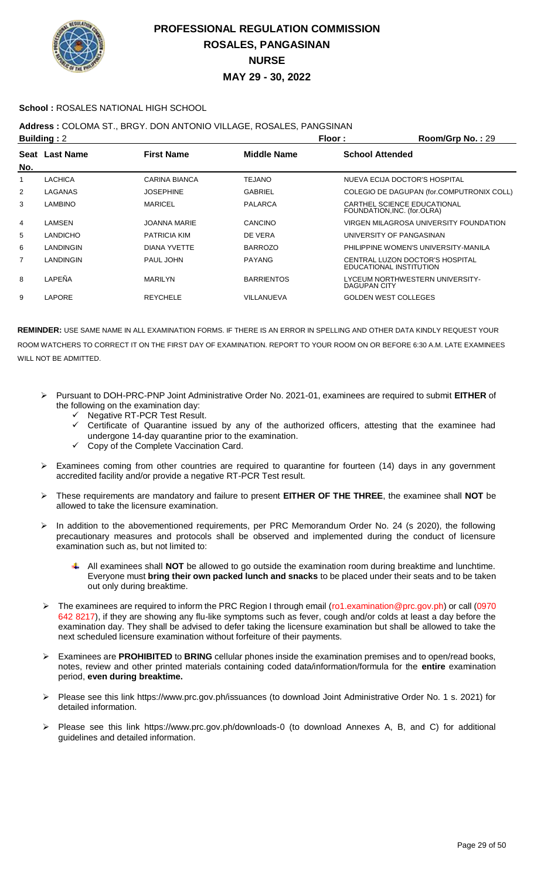

### **School :** ROSALES NATIONAL HIGH SCHOOL

## **Address :** COLOMA ST., BRGY. DON ANTONIO VILLAGE, ROSALES, PANGSINAN

| <b>Building: 2</b> |                 |                      |                    | Floor:                      | Room/Grp No.: 29                                           |
|--------------------|-----------------|----------------------|--------------------|-----------------------------|------------------------------------------------------------|
|                    | Seat Last Name  | <b>First Name</b>    | <b>Middle Name</b> | <b>School Attended</b>      |                                                            |
| No.                |                 |                      |                    |                             |                                                            |
| 1                  | <b>LACHICA</b>  | <b>CARINA BIANCA</b> | <b>TEJANO</b>      |                             | NUEVA ECIJA DOCTOR'S HOSPITAL                              |
| $\overline{2}$     | LAGANAS         | <b>JOSEPHINE</b>     | <b>GABRIEL</b>     |                             | COLEGIO DE DAGUPAN (for.COMPUTRONIX COLL)                  |
| 3                  | <b>LAMBINO</b>  | <b>MARICEL</b>       | <b>PALARCA</b>     |                             | CARTHEL SCIENCE EDUCATIONAL<br>FOUNDATION, INC. (for.OLRA) |
| 4                  | LAMSEN          | <b>JOANNA MARIE</b>  | CANCINO            |                             | VIRGEN MILAGROSA UNIVERSITY FOUNDATION                     |
| 5                  | <b>LANDICHO</b> | <b>PATRICIA KIM</b>  | DE VERA            |                             | UNIVERSITY OF PANGASINAN                                   |
| 6                  | LANDINGIN       | DIANA YVETTE         | <b>BARROZO</b>     |                             | PHILIPPINE WOMEN'S UNIVERSITY-MANILA                       |
| $\overline{7}$     | LANDINGIN       | PAUL JOHN            | <b>PAYANG</b>      | EDUCATIONAL INSTITUTION     | CENTRAL LUZON DOCTOR'S HOSPITAL                            |
| 8                  | LAPEÑA          | <b>MARILYN</b>       | <b>BARRIENTOS</b>  | <b>DAGUPAN CITY</b>         | LYCEUM NORTHWESTERN UNIVERSITY-                            |
| 9                  | LAPORE          | <b>REYCHELE</b>      | VILLANUEVA         | <b>GOLDEN WEST COLLEGES</b> |                                                            |

- Pursuant to DOH-PRC-PNP Joint Administrative Order No. 2021-01, examinees are required to submit **EITHER** of the following on the examination day:
	- Negative RT-PCR Test Result.
	- Certificate of Quarantine issued by any of the authorized officers, attesting that the examinee had undergone 14-day quarantine prior to the examination.
	- Copy of the Complete Vaccination Card.
- Examinees coming from other countries are required to quarantine for fourteen (14) days in any government accredited facility and/or provide a negative RT-PCR Test result.
- These requirements are mandatory and failure to present **EITHER OF THE THREE**, the examinee shall **NOT** be allowed to take the licensure examination.
- > In addition to the abovementioned requirements, per PRC Memorandum Order No. 24 (s 2020), the following precautionary measures and protocols shall be observed and implemented during the conduct of licensure examination such as, but not limited to:
	- All examinees shall **NOT** be allowed to go outside the examination room during breaktime and lunchtime. Everyone must **bring their own packed lunch and snacks** to be placed under their seats and to be taken out only during breaktime.
- The examinees are required to inform the PRC Region I through email (ro1.examination@prc.gov.ph) or call (0970 642 8217), if they are showing any flu-like symptoms such as fever, cough and/or colds at least a day before the examination day. They shall be advised to defer taking the licensure examination but shall be allowed to take the next scheduled licensure examination without forfeiture of their payments.
- Examinees are **PROHIBITED** to **BRING** cellular phones inside the examination premises and to open/read books, notes, review and other printed materials containing coded data/information/formula for the **entire** examination period, **even during breaktime.**
- Please see this link https://www.prc.gov.ph/issuances (to download Joint Administrative Order No. 1 s. 2021) for detailed information.
- Please see this link https://www.prc.gov.ph/downloads-0 (to download Annexes A, B, and C) for additional guidelines and detailed information.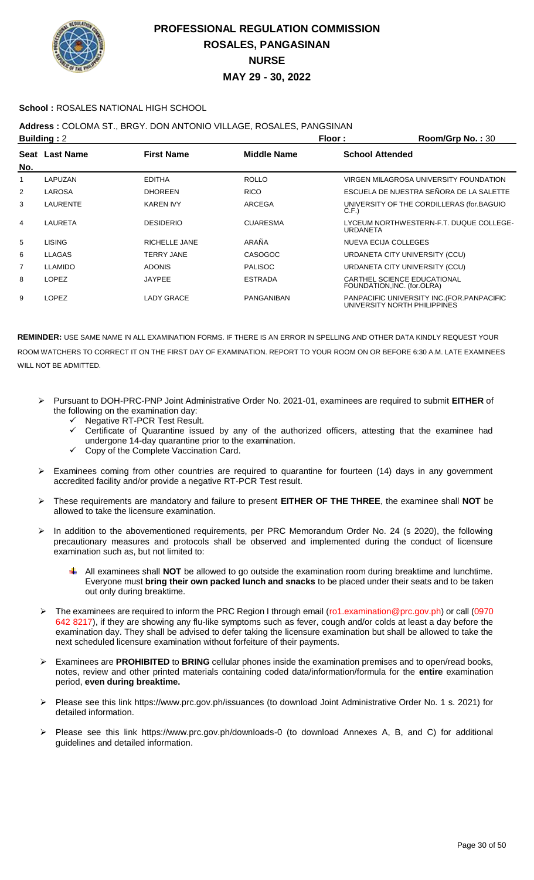

### **School :** ROSALES NATIONAL HIGH SCHOOL

## **Address :** COLOMA ST., BRGY. DON ANTONIO VILLAGE, ROSALES, PANGSINAN

| <b>Building: 2</b> |                |                   |                    | Floor:                 | Room/Grp No.: 30                                                            |
|--------------------|----------------|-------------------|--------------------|------------------------|-----------------------------------------------------------------------------|
| No.                | Seat Last Name | <b>First Name</b> | <b>Middle Name</b> | <b>School Attended</b> |                                                                             |
|                    | LAPUZAN        | <b>EDITHA</b>     | <b>ROLLO</b>       |                        | VIRGEN MILAGROSA UNIVERSITY FOUNDATION                                      |
| $\overline{2}$     | <b>LAROSA</b>  | <b>DHOREEN</b>    | <b>RICO</b>        |                        | ESCUELA DE NUESTRA SEÑORA DE LA SALETTE                                     |
| 3                  | LAURENTE       | <b>KAREN IVY</b>  | ARCEGA             | C.F.                   | UNIVERSITY OF THE CORDILLERAS (for.BAGUIO                                   |
| 4                  | <b>LAURETA</b> | <b>DESIDERIO</b>  | <b>CUARESMA</b>    | URDANETA               | LYCEUM NORTHWESTERN-F.T. DUQUE COLLEGE-                                     |
| 5                  | <b>LISING</b>  | RICHELLE JANE     | ARAÑA              |                        | NUEVA ECIJA COLLEGES                                                        |
| 6                  | <b>LLAGAS</b>  | <b>TERRY JANE</b> | <b>CASOGOC</b>     |                        | URDANETA CITY UNIVERSITY (CCU)                                              |
| 7                  | <b>LLAMIDO</b> | <b>ADONIS</b>     | <b>PALISOC</b>     |                        | URDANETA CITY UNIVERSITY (CCU)                                              |
| 8                  | <b>LOPEZ</b>   | <b>JAYPEE</b>     | <b>ESTRADA</b>     |                        | CARTHEL SCIENCE EDUCATIONAL<br>FOUNDATION, INC. (for.OLRA)                  |
| 9                  | <b>LOPEZ</b>   | LADY GRACE        | PANGANIBAN         |                        | PANPACIFIC UNIVERSITY INC. (FOR. PANPACIFIC<br>UNIVERSITY NORTH PHILIPPINES |

- Pursuant to DOH-PRC-PNP Joint Administrative Order No. 2021-01, examinees are required to submit **EITHER** of the following on the examination day:
	- Negative RT-PCR Test Result.
	- Certificate of Quarantine issued by any of the authorized officers, attesting that the examinee had undergone 14-day quarantine prior to the examination.
	- $\checkmark$  Copy of the Complete Vaccination Card.
- Examinees coming from other countries are required to quarantine for fourteen (14) days in any government accredited facility and/or provide a negative RT-PCR Test result.
- These requirements are mandatory and failure to present **EITHER OF THE THREE**, the examinee shall **NOT** be allowed to take the licensure examination.
- > In addition to the abovementioned requirements, per PRC Memorandum Order No. 24 (s 2020), the following precautionary measures and protocols shall be observed and implemented during the conduct of licensure examination such as, but not limited to:
	- All examinees shall **NOT** be allowed to go outside the examination room during breaktime and lunchtime. Everyone must **bring their own packed lunch and snacks** to be placed under their seats and to be taken out only during breaktime.
- The examinees are required to inform the PRC Region I through email (ro1.examination@prc.gov.ph) or call (0970 642 8217), if they are showing any flu-like symptoms such as fever, cough and/or colds at least a day before the examination day. They shall be advised to defer taking the licensure examination but shall be allowed to take the next scheduled licensure examination without forfeiture of their payments.
- Examinees are **PROHIBITED** to **BRING** cellular phones inside the examination premises and to open/read books, notes, review and other printed materials containing coded data/information/formula for the **entire** examination period, **even during breaktime.**
- Please see this link https://www.prc.gov.ph/issuances (to download Joint Administrative Order No. 1 s. 2021) for detailed information.
- Please see this link https://www.prc.gov.ph/downloads-0 (to download Annexes A, B, and C) for additional guidelines and detailed information.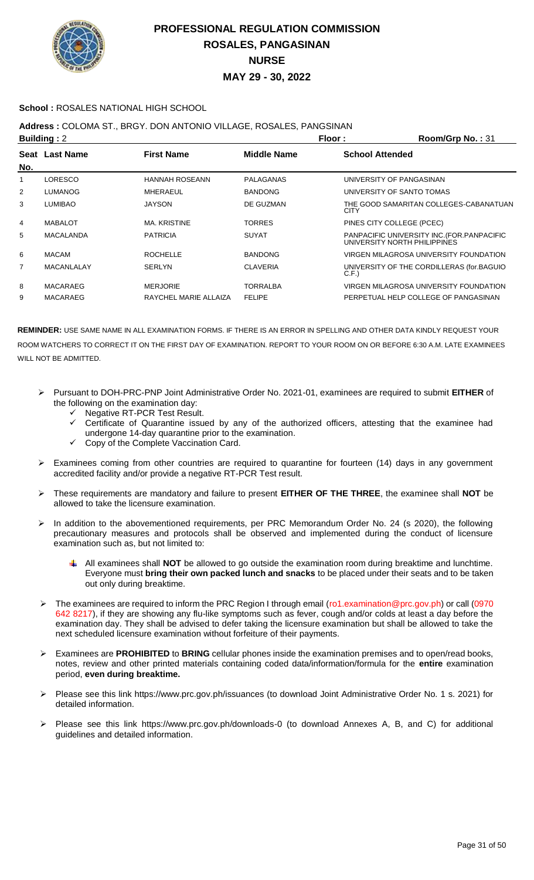

### **School :** ROSALES NATIONAL HIGH SCHOOL

### **Address :** COLOMA ST., BRGY. DON ANTONIO VILLAGE, ROSALES, PANGSINAN

| <b>Building: 2</b> |                       |                    |                           | Room/Grp No.: 31                                                            |
|--------------------|-----------------------|--------------------|---------------------------|-----------------------------------------------------------------------------|
| Seat Last Name     | <b>First Name</b>     | <b>Middle Name</b> | <b>School Attended</b>    |                                                                             |
|                    |                       |                    |                           |                                                                             |
| LORESCO            | <b>HANNAH ROSEANN</b> | PALAGANAS          | UNIVERSITY OF PANGASINAN  |                                                                             |
| <b>LUMANOG</b>     | MHERAEUL              | <b>BANDONG</b>     | UNIVERSITY OF SANTO TOMAS |                                                                             |
| <b>LUMIBAO</b>     | <b>JAYSON</b>         | DE GUZMAN          | <b>CITY</b>               | THE GOOD SAMARITAN COLLEGES-CABANATUAN                                      |
| <b>MABALOT</b>     | MA, KRISTINE          | <b>TORRES</b>      | PINES CITY COLLEGE (PCEC) |                                                                             |
| MACALANDA          | <b>PATRICIA</b>       | <b>SUYAT</b>       |                           | PANPACIFIC UNIVERSITY INC. (FOR. PANPACIFIC<br>UNIVERSITY NORTH PHILIPPINES |
| <b>MACAM</b>       | <b>ROCHELLE</b>       | <b>BANDONG</b>     |                           | VIRGEN MILAGROSA UNIVERSITY FOUNDATION                                      |
| <b>MACANLALAY</b>  | <b>SERLYN</b>         | <b>CLAVERIA</b>    | C.F.                      | UNIVERSITY OF THE CORDILLERAS (for.BAGUIO                                   |
| <b>MACARAEG</b>    | <b>MERJORIE</b>       | <b>TORRALBA</b>    |                           | VIRGEN MILAGROSA UNIVERSITY FOUNDATION                                      |
| <b>MACARAEG</b>    | RAYCHEL MARIE ALLAIZA | <b>FELIPE</b>      |                           | PERPETUAL HELP COLLEGE OF PANGASINAN                                        |
|                    |                       |                    |                           | Floor:                                                                      |

- Pursuant to DOH-PRC-PNP Joint Administrative Order No. 2021-01, examinees are required to submit **EITHER** of the following on the examination day:
	- Negative RT-PCR Test Result.
	- Certificate of Quarantine issued by any of the authorized officers, attesting that the examinee had undergone 14-day quarantine prior to the examination.
	- Copy of the Complete Vaccination Card.
- $\triangleright$  Examinees coming from other countries are required to quarantine for fourteen (14) days in any government accredited facility and/or provide a negative RT-PCR Test result.
- These requirements are mandatory and failure to present **EITHER OF THE THREE**, the examinee shall **NOT** be allowed to take the licensure examination.
- > In addition to the abovementioned requirements, per PRC Memorandum Order No. 24 (s 2020), the following precautionary measures and protocols shall be observed and implemented during the conduct of licensure examination such as, but not limited to:
	- All examinees shall **NOT** be allowed to go outside the examination room during breaktime and lunchtime. Everyone must **bring their own packed lunch and snacks** to be placed under their seats and to be taken out only during breaktime.
- The examinees are required to inform the PRC Region I through email (ro1.examination@prc.gov.ph) or call (0970 642 8217), if they are showing any flu-like symptoms such as fever, cough and/or colds at least a day before the examination day. They shall be advised to defer taking the licensure examination but shall be allowed to take the next scheduled licensure examination without forfeiture of their payments.
- Examinees are **PROHIBITED** to **BRING** cellular phones inside the examination premises and to open/read books, notes, review and other printed materials containing coded data/information/formula for the **entire** examination period, **even during breaktime.**
- Please see this link https://www.prc.gov.ph/issuances (to download Joint Administrative Order No. 1 s. 2021) for detailed information.
- Please see this link https://www.prc.gov.ph/downloads-0 (to download Annexes A, B, and C) for additional guidelines and detailed information.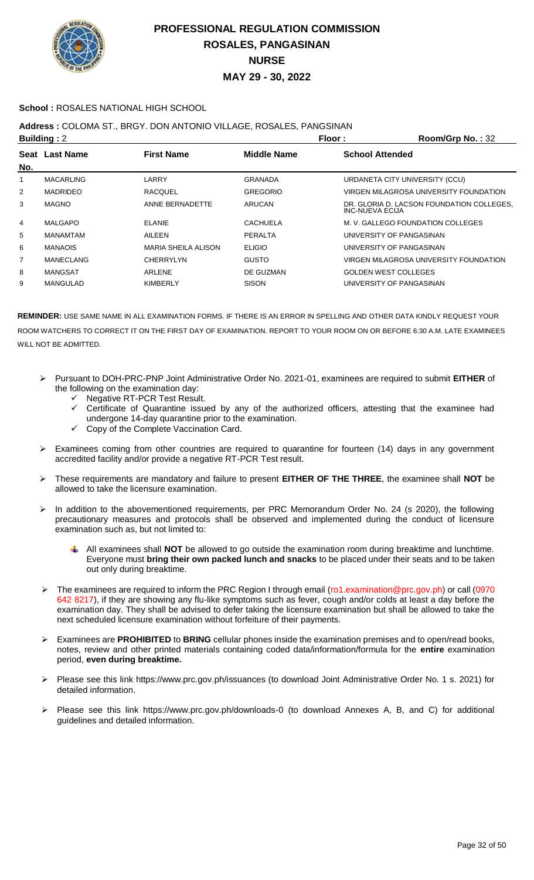

### **School :** ROSALES NATIONAL HIGH SCHOOL

## **Address :** COLOMA ST., BRGY. DON ANTONIO VILLAGE, ROSALES, PANGSINAN

|     | <b>Building: 2</b> |                            | Floor:             | Room/Grp No.: 32                                                    |
|-----|--------------------|----------------------------|--------------------|---------------------------------------------------------------------|
|     | Seat Last Name     | <b>First Name</b>          | <b>Middle Name</b> | <b>School Attended</b>                                              |
| No. |                    |                            |                    |                                                                     |
| 1   | <b>MACARLING</b>   | LARRY                      | <b>GRANADA</b>     | URDANETA CITY UNIVERSITY (CCU)                                      |
| 2   | <b>MADRIDEO</b>    | <b>RACQUEL</b>             | <b>GREGORIO</b>    | VIRGEN MILAGROSA UNIVERSITY FOUNDATION                              |
| 3   | <b>MAGNO</b>       | ANNE BERNADETTE            | ARUCAN             | DR. GLORIA D. LACSON FOUNDATION COLLEGES.<br><b>INC-NUEVA ECIJA</b> |
| 4   | MALGAPO            | <b>ELANIE</b>              | <b>CACHUELA</b>    | M. V. GALLEGO FOUNDATION COLLEGES                                   |
| 5   | <b>MANAMTAM</b>    | AILEEN                     | PERALTA            | UNIVERSITY OF PANGASINAN                                            |
| 6   | <b>MANAOIS</b>     | <b>MARIA SHEILA ALISON</b> | <b>ELIGIO</b>      | UNIVERSITY OF PANGASINAN                                            |
| 7   | <b>MANECLANG</b>   | <b>CHERRYLYN</b>           | <b>GUSTO</b>       | VIRGEN MILAGROSA UNIVERSITY FOUNDATION                              |
| 8   | <b>MANGSAT</b>     | ARLENE                     | DE GUZMAN          | <b>GOLDEN WEST COLLEGES</b>                                         |
| 9   | MANGULAD           | <b>KIMBERLY</b>            | <b>SISON</b>       | UNIVERSITY OF PANGASINAN                                            |
|     |                    |                            |                    |                                                                     |

- Pursuant to DOH-PRC-PNP Joint Administrative Order No. 2021-01, examinees are required to submit **EITHER** of the following on the examination day:
	- Negative RT-PCR Test Result.
	- Certificate of Quarantine issued by any of the authorized officers, attesting that the examinee had undergone 14-day quarantine prior to the examination.
	- Copy of the Complete Vaccination Card.
- Examinees coming from other countries are required to quarantine for fourteen (14) days in any government accredited facility and/or provide a negative RT-PCR Test result.
- These requirements are mandatory and failure to present **EITHER OF THE THREE**, the examinee shall **NOT** be allowed to take the licensure examination.
- > In addition to the abovementioned requirements, per PRC Memorandum Order No. 24 (s 2020), the following precautionary measures and protocols shall be observed and implemented during the conduct of licensure examination such as, but not limited to:
	- All examinees shall **NOT** be allowed to go outside the examination room during breaktime and lunchtime. Everyone must **bring their own packed lunch and snacks** to be placed under their seats and to be taken out only during breaktime.
- The examinees are required to inform the PRC Region I through email (ro1.examination@prc.gov.ph) or call (0970 642 8217), if they are showing any flu-like symptoms such as fever, cough and/or colds at least a day before the examination day. They shall be advised to defer taking the licensure examination but shall be allowed to take the next scheduled licensure examination without forfeiture of their payments.
- Examinees are **PROHIBITED** to **BRING** cellular phones inside the examination premises and to open/read books, notes, review and other printed materials containing coded data/information/formula for the **entire** examination period, **even during breaktime.**
- Please see this link https://www.prc.gov.ph/issuances (to download Joint Administrative Order No. 1 s. 2021) for detailed information.
- Please see this link https://www.prc.gov.ph/downloads-0 (to download Annexes A, B, and C) for additional guidelines and detailed information.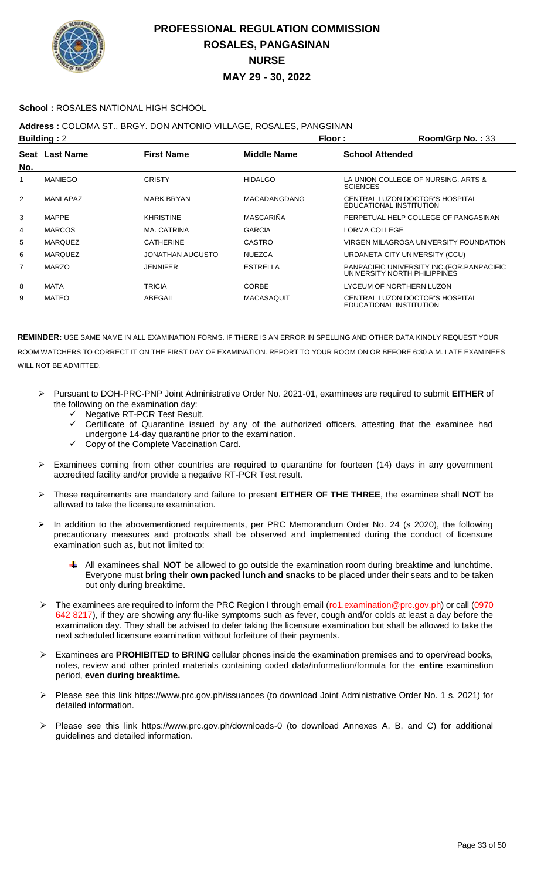

### **School :** ROSALES NATIONAL HIGH SCHOOL

**Address :** COLOMA ST., BRGY. DON ANTONIO VILLAGE, ROSALES, PANGSINAN

| <b>Building: 2</b> |                |                   |                   | Floor:                 | Room/Grp No.: 33                                                            |
|--------------------|----------------|-------------------|-------------------|------------------------|-----------------------------------------------------------------------------|
| No.                | Seat Last Name | <b>First Name</b> | Middle Name       | <b>School Attended</b> |                                                                             |
|                    | <b>MANIEGO</b> | <b>CRISTY</b>     | <b>HIDALGO</b>    | <b>SCIENCES</b>        | LA UNION COLLEGE OF NURSING, ARTS &                                         |
| 2                  | MANLAPAZ       | <b>MARK BRYAN</b> | MACADANGDANG      |                        | CENTRAL LUZON DOCTOR'S HOSPITAL<br>EDUCATIONAL INSTITUTION                  |
| 3                  | <b>MAPPE</b>   | <b>KHRISTINE</b>  | MASCARIÑA         |                        | PERPETUAL HELP COLLEGE OF PANGASINAN                                        |
| 4                  | <b>MARCOS</b>  | MA. CATRINA       | <b>GARCIA</b>     | <b>LORMA COLLEGE</b>   |                                                                             |
| 5                  | <b>MARQUEZ</b> | <b>CATHERINE</b>  | <b>CASTRO</b>     |                        | VIRGEN MILAGROSA UNIVERSITY FOUNDATION                                      |
| 6                  | <b>MARQUEZ</b> | JONATHAN AUGUSTO  | <b>NUEZCA</b>     |                        | URDANETA CITY UNIVERSITY (CCU)                                              |
| $\overline{7}$     | <b>MARZO</b>   | <b>JENNIFER</b>   | <b>ESTRELLA</b>   |                        | PANPACIFIC UNIVERSITY INC. (FOR. PANPACIFIC<br>UNIVERSITY NORTH PHILIPPINES |
| 8                  | <b>MATA</b>    | TRICIA            | <b>CORBE</b>      |                        | LYCEUM OF NORTHERN LUZON                                                    |
| 9                  | MATEO          | ABEGAIL           | <b>MACASAQUIT</b> |                        | CENTRAL LUZON DOCTOR'S HOSPITAL<br>EDUCATIONAL INSTITUTION                  |

- Pursuant to DOH-PRC-PNP Joint Administrative Order No. 2021-01, examinees are required to submit **EITHER** of the following on the examination day:
	- Negative RT-PCR Test Result.
	- $\checkmark$  Certificate of Quarantine issued by any of the authorized officers, attesting that the examinee had undergone 14-day quarantine prior to the examination.
	- Copy of the Complete Vaccination Card.
- $\triangleright$  Examinees coming from other countries are required to quarantine for fourteen (14) days in any government accredited facility and/or provide a negative RT-PCR Test result.
- These requirements are mandatory and failure to present **EITHER OF THE THREE**, the examinee shall **NOT** be allowed to take the licensure examination.
- $\triangleright$  In addition to the abovementioned requirements, per PRC Memorandum Order No. 24 (s 2020), the following precautionary measures and protocols shall be observed and implemented during the conduct of licensure examination such as, but not limited to:
	- All examinees shall **NOT** be allowed to go outside the examination room during breaktime and lunchtime. Everyone must **bring their own packed lunch and snacks** to be placed under their seats and to be taken out only during breaktime.
- The examinees are required to inform the PRC Region I through email (ro1.examination@prc.gov.ph) or call (0970 642 8217), if they are showing any flu-like symptoms such as fever, cough and/or colds at least a day before the examination day. They shall be advised to defer taking the licensure examination but shall be allowed to take the next scheduled licensure examination without forfeiture of their payments.
- Examinees are **PROHIBITED** to **BRING** cellular phones inside the examination premises and to open/read books, notes, review and other printed materials containing coded data/information/formula for the **entire** examination period, **even during breaktime.**
- Please see this link https://www.prc.gov.ph/issuances (to download Joint Administrative Order No. 1 s. 2021) for detailed information.
- Please see this link https://www.prc.gov.ph/downloads-0 (to download Annexes A, B, and C) for additional guidelines and detailed information.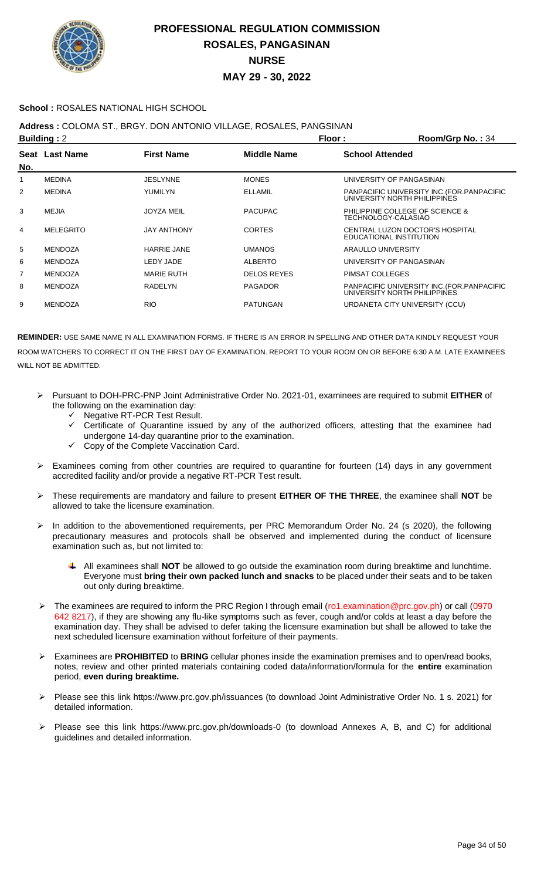

### **School :** ROSALES NATIONAL HIGH SCHOOL

## **Address :** COLOMA ST., BRGY. DON ANTONIO VILLAGE, ROSALES, PANGSINAN

| <b>Building: 2</b> |                    |                    | Room/Grp No.: 34                                                            |
|--------------------|--------------------|--------------------|-----------------------------------------------------------------------------|
| Seat Last Name     | <b>First Name</b>  | <b>Middle Name</b> | <b>School Attended</b>                                                      |
| <b>MEDINA</b>      | <b>JESLYNNE</b>    | <b>MONES</b>       | UNIVERSITY OF PANGASINAN                                                    |
| <b>MEDINA</b>      | YUMILYN            | <b>ELLAMIL</b>     | PANPACIFIC UNIVERSITY INC. (FOR. PANPACIFIC<br>UNIVERSITY NORTH PHILIPPINES |
| MEJIA              | <b>JOYZA MEIL</b>  | <b>PACUPAC</b>     | PHILIPPINE COLLEGE OF SCIENCE &<br>TECHNOLOGY-CALASIAO                      |
| <b>MELEGRITO</b>   | JAY ANTHONY        | <b>CORTES</b>      | CENTRAL LUZON DOCTOR'S HOSPITAL<br>EDUCATIONAL INSTITUTION                  |
| <b>MENDOZA</b>     | <b>HARRIE JANE</b> | <b>UMANOS</b>      | ARAULLO UNIVERSITY                                                          |
| <b>MENDOZA</b>     | LEDY JADE          | <b>ALBERTO</b>     | UNIVERSITY OF PANGASINAN                                                    |
| <b>MENDOZA</b>     | <b>MARIE RUTH</b>  | <b>DELOS REYES</b> | PIMSAT COLLEGES                                                             |
| <b>MENDOZA</b>     | RADELYN            | <b>PAGADOR</b>     | PANPACIFIC UNIVERSITY INC. (FOR. PANPACIFIC<br>UNIVERSITY NORTH PHILIPPINES |
| <b>MENDOZA</b>     | <b>RIO</b>         | <b>PATUNGAN</b>    | URDANETA CITY UNIVERSITY (CCU)                                              |
|                    |                    |                    | Floor:                                                                      |

- Pursuant to DOH-PRC-PNP Joint Administrative Order No. 2021-01, examinees are required to submit **EITHER** of the following on the examination day:
	- Negative RT-PCR Test Result.
	- Certificate of Quarantine issued by any of the authorized officers, attesting that the examinee had undergone 14-day quarantine prior to the examination.
	- Copy of the Complete Vaccination Card.
- $\triangleright$  Examinees coming from other countries are required to quarantine for fourteen (14) days in any government accredited facility and/or provide a negative RT-PCR Test result.
- These requirements are mandatory and failure to present **EITHER OF THE THREE**, the examinee shall **NOT** be allowed to take the licensure examination.
- > In addition to the abovementioned requirements, per PRC Memorandum Order No. 24 (s 2020), the following precautionary measures and protocols shall be observed and implemented during the conduct of licensure examination such as, but not limited to:
	- All examinees shall **NOT** be allowed to go outside the examination room during breaktime and lunchtime. Everyone must **bring their own packed lunch and snacks** to be placed under their seats and to be taken out only during breaktime.
- The examinees are required to inform the PRC Region I through email (ro1.examination@prc.gov.ph) or call (0970 642 8217), if they are showing any flu-like symptoms such as fever, cough and/or colds at least a day before the examination day. They shall be advised to defer taking the licensure examination but shall be allowed to take the next scheduled licensure examination without forfeiture of their payments.
- Examinees are **PROHIBITED** to **BRING** cellular phones inside the examination premises and to open/read books, notes, review and other printed materials containing coded data/information/formula for the **entire** examination period, **even during breaktime.**
- Please see this link https://www.prc.gov.ph/issuances (to download Joint Administrative Order No. 1 s. 2021) for detailed information.
- Please see this link https://www.prc.gov.ph/downloads-0 (to download Annexes A, B, and C) for additional guidelines and detailed information.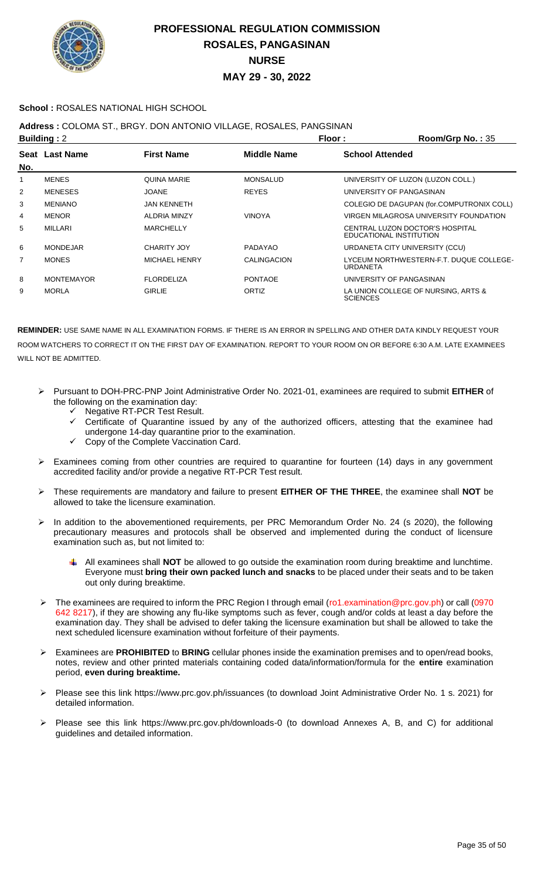

### **School :** ROSALES NATIONAL HIGH SCHOOL

## **Address :** COLOMA ST., BRGY. DON ANTONIO VILLAGE, ROSALES, PANGSINAN

| <b>Building: 2</b> |                   |                     |                 | Floor :                | Room/Grp No.: 35                                           |
|--------------------|-------------------|---------------------|-----------------|------------------------|------------------------------------------------------------|
| No.                | Seat Last Name    | <b>First Name</b>   | Middle Name     | <b>School Attended</b> |                                                            |
| 1                  | <b>MENES</b>      | <b>QUINA MARIE</b>  | <b>MONSALUD</b> |                        | UNIVERSITY OF LUZON (LUZON COLL.)                          |
| $\overline{2}$     | <b>MENESES</b>    | <b>JOANE</b>        | <b>REYES</b>    |                        | UNIVERSITY OF PANGASINAN                                   |
| 3                  | <b>MENIANO</b>    | <b>JAN KENNETH</b>  |                 |                        | COLEGIO DE DAGUPAN (for.COMPUTRONIX COLL)                  |
| 4                  | <b>MENOR</b>      | <b>ALDRIA MINZY</b> | <b>VINOYA</b>   |                        | VIRGEN MILAGROSA UNIVERSITY FOUNDATION                     |
| 5                  | <b>MILLARI</b>    | <b>MARCHELLY</b>    |                 |                        | CENTRAL LUZON DOCTOR'S HOSPITAL<br>EDUCATIONAL INSTITUTION |
| 6                  | <b>MONDEJAR</b>   | CHARITY JOY         | PADAYAO         |                        | URDANETA CITY UNIVERSITY (CCU)                             |
| $\overline{7}$     | <b>MONES</b>      | MICHAEL HENRY       | CALINGACION     | URDANETA               | LYCEUM NORTHWESTERN-F.T. DUQUE COLLEGE-                    |
| 8                  | <b>MONTEMAYOR</b> | <b>FLORDELIZA</b>   | <b>PONTAOE</b>  |                        | UNIVERSITY OF PANGASINAN                                   |
| 9                  | <b>MORLA</b>      | <b>GIRLIE</b>       | ORTIZ           | <b>SCIENCES</b>        | LA UNION COLLEGE OF NURSING. ARTS &                        |

- Pursuant to DOH-PRC-PNP Joint Administrative Order No. 2021-01, examinees are required to submit **EITHER** of the following on the examination day:
	- Negative RT-PCR Test Result.
	- $\checkmark$  Certificate of Quarantine issued by any of the authorized officers, attesting that the examinee had undergone 14-day quarantine prior to the examination.
	- Copy of the Complete Vaccination Card.
- > Examinees coming from other countries are required to quarantine for fourteen (14) days in any government accredited facility and/or provide a negative RT-PCR Test result.
- These requirements are mandatory and failure to present **EITHER OF THE THREE**, the examinee shall **NOT** be allowed to take the licensure examination.
- > In addition to the abovementioned requirements, per PRC Memorandum Order No. 24 (s 2020), the following precautionary measures and protocols shall be observed and implemented during the conduct of licensure examination such as, but not limited to:
	- All examinees shall **NOT** be allowed to go outside the examination room during breaktime and lunchtime. Everyone must **bring their own packed lunch and snacks** to be placed under their seats and to be taken out only during breaktime.
- The examinees are required to inform the PRC Region I through email (ro1.examination@prc.gov.ph) or call (0970 642 8217), if they are showing any flu-like symptoms such as fever, cough and/or colds at least a day before the examination day. They shall be advised to defer taking the licensure examination but shall be allowed to take the next scheduled licensure examination without forfeiture of their payments.
- Examinees are **PROHIBITED** to **BRING** cellular phones inside the examination premises and to open/read books, notes, review and other printed materials containing coded data/information/formula for the **entire** examination period, **even during breaktime.**
- Please see this link https://www.prc.gov.ph/issuances (to download Joint Administrative Order No. 1 s. 2021) for detailed information.
- Please see this link https://www.prc.gov.ph/downloads-0 (to download Annexes A, B, and C) for additional guidelines and detailed information.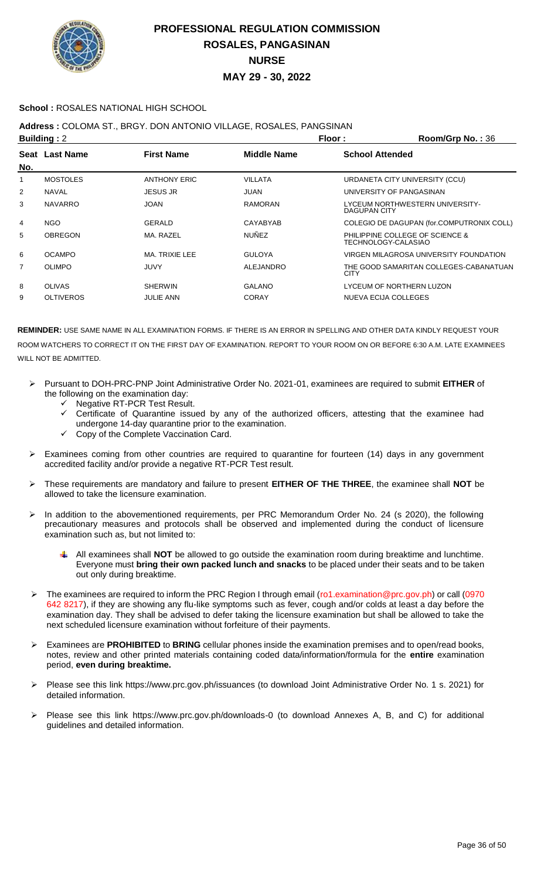

### **School :** ROSALES NATIONAL HIGH SCHOOL

## **Address :** COLOMA ST., BRGY. DON ANTONIO VILLAGE, ROSALES, PANGSINAN

| <b>Building: 2</b> |                  |                     | Floor:             | Room/Grp No.: 36                                       |
|--------------------|------------------|---------------------|--------------------|--------------------------------------------------------|
|                    | Seat Last Name   | <b>First Name</b>   | <b>Middle Name</b> | <b>School Attended</b>                                 |
| No.                |                  |                     |                    |                                                        |
|                    | <b>MOSTOLES</b>  | <b>ANTHONY ERIC</b> | VILLATA            | URDANETA CITY UNIVERSITY (CCU)                         |
| 2                  | <b>NAVAL</b>     | <b>JESUS JR</b>     | <b>JUAN</b>        | UNIVERSITY OF PANGASINAN                               |
| 3                  | <b>NAVARRO</b>   | <b>JOAN</b>         | RAMORAN            | LYCEUM NORTHWESTERN UNIVERSITY-<br><b>DAGUPAN CITY</b> |
| 4                  | <b>NGO</b>       | GERALD              | CAYABYAB           | COLEGIO DE DAGUPAN (for.COMPUTRONIX COLL)              |
| 5                  | <b>OBREGON</b>   | MA. RAZEL           | <b>NUÑEZ</b>       | PHILIPPINE COLLEGE OF SCIENCE &<br>TECHNOLOGY-CALASIAO |
| 6                  | <b>OCAMPO</b>    | MA. TRIXIE LEE      | <b>GULOYA</b>      | VIRGEN MILAGROSA UNIVERSITY FOUNDATION                 |
| $\overline{7}$     | <b>OLIMPO</b>    | <b>JUVY</b>         | ALEJANDRO          | THE GOOD SAMARITAN COLLEGES-CABANATUAN<br><b>CITY</b>  |
| 8                  | <b>OLIVAS</b>    | <b>SHERWIN</b>      | <b>GALANO</b>      | LYCEUM OF NORTHERN LUZON                               |
| 9                  | <b>OLTIVEROS</b> | <b>JULIE ANN</b>    | <b>CORAY</b>       | NUEVA ECIJA COLLEGES                                   |
|                    |                  |                     |                    |                                                        |

- Pursuant to DOH-PRC-PNP Joint Administrative Order No. 2021-01, examinees are required to submit **EITHER** of the following on the examination day:
	- V Negative RT-PCR Test Result.<br>V Certificate of Quarantine issue
	- Certificate of Quarantine issued by any of the authorized officers, attesting that the examinee had undergone 14-day quarantine prior to the examination.
	- Copy of the Complete Vaccination Card.
- > Examinees coming from other countries are required to quarantine for fourteen (14) days in any government accredited facility and/or provide a negative RT-PCR Test result.
- These requirements are mandatory and failure to present **EITHER OF THE THREE**, the examinee shall **NOT** be allowed to take the licensure examination.
- In addition to the abovementioned requirements, per PRC Memorandum Order No. 24 (s 2020), the following precautionary measures and protocols shall be observed and implemented during the conduct of licensure examination such as, but not limited to:
	- All examinees shall **NOT** be allowed to go outside the examination room during breaktime and lunchtime. Everyone must **bring their own packed lunch and snacks** to be placed under their seats and to be taken out only during breaktime.
- The examinees are required to inform the PRC Region I through email (ro1.examination@prc.gov.ph) or call (0970 642 8217), if they are showing any flu-like symptoms such as fever, cough and/or colds at least a day before the examination day. They shall be advised to defer taking the licensure examination but shall be allowed to take the next scheduled licensure examination without forfeiture of their payments.
- Examinees are **PROHIBITED** to **BRING** cellular phones inside the examination premises and to open/read books, notes, review and other printed materials containing coded data/information/formula for the **entire** examination period, **even during breaktime.**
- Please see this link https://www.prc.gov.ph/issuances (to download Joint Administrative Order No. 1 s. 2021) for detailed information.
- Please see this link https://www.prc.gov.ph/downloads-0 (to download Annexes A, B, and C) for additional guidelines and detailed information.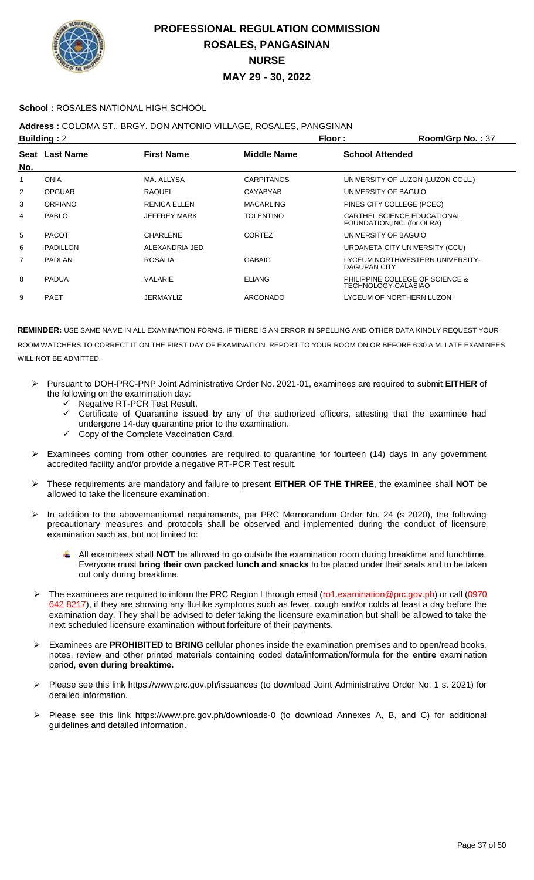

### **School :** ROSALES NATIONAL HIGH SCHOOL

## **Address :** COLOMA ST., BRGY. DON ANTONIO VILLAGE, ROSALES, PANGSINAN

|     | <b>Building: 2</b> |                     |                    | Floor :                     | Room/Grp No.: 37                  |
|-----|--------------------|---------------------|--------------------|-----------------------------|-----------------------------------|
|     | Seat Last Name     | <b>First Name</b>   | <b>Middle Name</b> | <b>School Attended</b>      |                                   |
| No. |                    |                     |                    |                             |                                   |
| 1   | <b>ONIA</b>        | MA. ALLYSA          | <b>CARPITANOS</b>  |                             | UNIVERSITY OF LUZON (LUZON COLL.) |
| 2   | <b>OPGUAR</b>      | <b>RAQUEL</b>       | CAYABYAB           | UNIVERSITY OF BAGUIO        |                                   |
| 3   | <b>ORPIANO</b>     | <b>RENICA ELLEN</b> | <b>MACARLING</b>   | PINES CITY COLLEGE (PCEC)   |                                   |
| 4   | <b>PABLO</b>       | <b>JEFFREY MARK</b> | <b>TOLENTINO</b>   | FOUNDATION, INC. (for.OLRA) | CARTHEL SCIENCE EDUCATIONAL       |
| 5   | <b>PACOT</b>       | CHARLENE            | <b>CORTEZ</b>      | UNIVERSITY OF BAGUIO        |                                   |
| 6   | <b>PADILLON</b>    | ALEXANDRIA JED      |                    |                             | URDANETA CITY UNIVERSITY (CCU)    |
| 7   | PADLAN             | <b>ROSALIA</b>      | <b>GABAIG</b>      | DAGUPAN CITY                | LYCEUM NORTHWESTERN UNIVERSITY-   |
| 8   | <b>PADUA</b>       | VALARIE             | <b>ELIANG</b>      | TECHNOLOGY-CALASIAO         | PHILIPPINE COLLEGE OF SCIENCE &   |
| 9   | <b>PAET</b>        | <b>JERMAYLIZ</b>    | <b>ARCONADO</b>    |                             | LYCEUM OF NORTHERN LUZON          |

- Pursuant to DOH-PRC-PNP Joint Administrative Order No. 2021-01, examinees are required to submit **EITHER** of the following on the examination day:
	- Negative RT-PCR Test Result.
	- $\checkmark$  Certificate of Quarantine issued by any of the authorized officers, attesting that the examinee had undergone 14-day quarantine prior to the examination.
	- Copy of the Complete Vaccination Card.
- Examinees coming from other countries are required to quarantine for fourteen (14) days in any government accredited facility and/or provide a negative RT-PCR Test result.
- These requirements are mandatory and failure to present **EITHER OF THE THREE**, the examinee shall **NOT** be allowed to take the licensure examination.
- > In addition to the abovementioned requirements, per PRC Memorandum Order No. 24 (s 2020), the following precautionary measures and protocols shall be observed and implemented during the conduct of licensure examination such as, but not limited to:
	- All examinees shall **NOT** be allowed to go outside the examination room during breaktime and lunchtime. Everyone must **bring their own packed lunch and snacks** to be placed under their seats and to be taken out only during breaktime.
- > The examinees are required to inform the PRC Region I through email (ro1.examination@prc.gov.ph) or call (0970 642 8217), if they are showing any flu-like symptoms such as fever, cough and/or colds at least a day before the examination day. They shall be advised to defer taking the licensure examination but shall be allowed to take the next scheduled licensure examination without forfeiture of their payments.
- Examinees are **PROHIBITED** to **BRING** cellular phones inside the examination premises and to open/read books, notes, review and other printed materials containing coded data/information/formula for the **entire** examination period, **even during breaktime.**
- Please see this link https://www.prc.gov.ph/issuances (to download Joint Administrative Order No. 1 s. 2021) for detailed information.
- Please see this link https://www.prc.gov.ph/downloads-0 (to download Annexes A, B, and C) for additional guidelines and detailed information.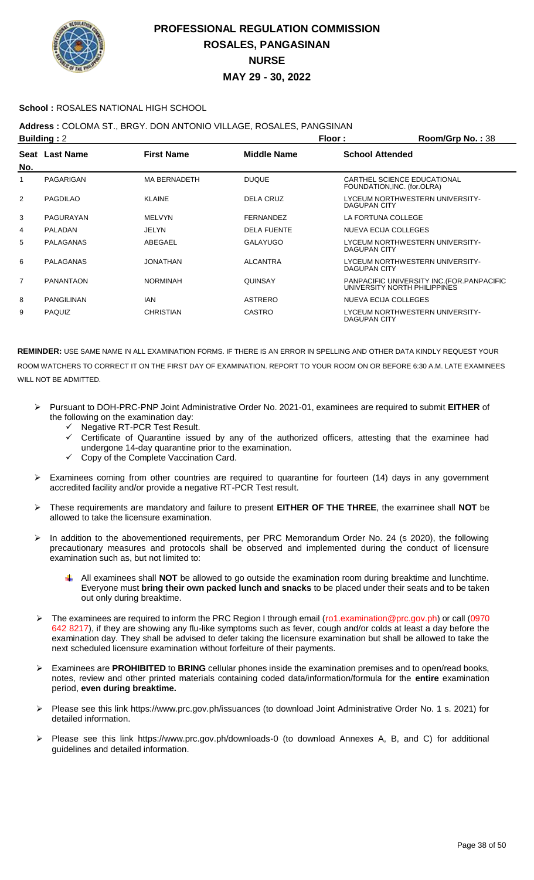

### **School :** ROSALES NATIONAL HIGH SCHOOL

## **Address :** COLOMA ST., BRGY. DON ANTONIO VILLAGE, ROSALES, PANGSINAN

| <b>Building: 2</b> |                   |                     |                    | Floor:<br>Room/Grp No.: 38                                                  |
|--------------------|-------------------|---------------------|--------------------|-----------------------------------------------------------------------------|
| No.                | Seat Last Name    | <b>First Name</b>   | <b>Middle Name</b> | <b>School Attended</b>                                                      |
| 1                  | PAGARIGAN         | <b>MA BERNADETH</b> | <b>DUQUE</b>       | CARTHEL SCIENCE EDUCATIONAL<br>FOUNDATION, INC. (for.OLRA)                  |
| 2                  | <b>PAGDILAO</b>   | <b>KLAINE</b>       | DELA CRUZ          | LYCEUM NORTHWESTERN UNIVERSITY-<br>DAGUPAN CITY                             |
| 3                  | PAGURAYAN         | <b>MELVYN</b>       | FERNANDEZ          | LA FORTUNA COLLEGE                                                          |
| 4                  | <b>PALADAN</b>    | JELYN               | <b>DELA FUENTE</b> | NUEVA ECIJA COLLEGES                                                        |
| 5                  | <b>PALAGANAS</b>  | ABEGAEL             | <b>GALAYUGO</b>    | LYCEUM NORTHWESTERN UNIVERSITY-<br><b>DAGUPAN CITY</b>                      |
| 6                  | PALAGANAS         | JONATHAN            | <b>ALCANTRA</b>    | LYCEUM NORTHWESTERN UNIVERSITY-<br>DAGUPAN CITY                             |
| 7                  | <b>PANANTAON</b>  | <b>NORMINAH</b>     | <b>QUINSAY</b>     | PANPACIFIC UNIVERSITY INC. (FOR. PANPACIFIC<br>UNIVERSITY NORTH PHILIPPINES |
| 8                  | <b>PANGILINAN</b> | <b>IAN</b>          | <b>ASTRERO</b>     | NUEVA ECIJA COLLEGES                                                        |
| 9                  | <b>PAQUIZ</b>     | <b>CHRISTIAN</b>    | <b>CASTRO</b>      | LYCEUM NORTHWESTERN UNIVERSITY-<br><b>DAGUPAN CITY</b>                      |

- Pursuant to DOH-PRC-PNP Joint Administrative Order No. 2021-01, examinees are required to submit **EITHER** of the following on the examination day:
	- G Negative RT-PCR Test Result.<br>Gertificate of Quarantine issue
	- Certificate of Quarantine issued by any of the authorized officers, attesting that the examinee had undergone 14-day quarantine prior to the examination.
	- Copy of the Complete Vaccination Card.
- $\triangleright$  Examinees coming from other countries are required to quarantine for fourteen (14) days in any government accredited facility and/or provide a negative RT-PCR Test result.
- These requirements are mandatory and failure to present **EITHER OF THE THREE**, the examinee shall **NOT** be allowed to take the licensure examination.
- In addition to the abovementioned requirements, per PRC Memorandum Order No. 24 (s 2020), the following precautionary measures and protocols shall be observed and implemented during the conduct of licensure examination such as, but not limited to:
	- All examinees shall **NOT** be allowed to go outside the examination room during breaktime and lunchtime. Everyone must **bring their own packed lunch and snacks** to be placed under their seats and to be taken out only during breaktime.
- The examinees are required to inform the PRC Region I through email (ro1.examination@prc.gov.ph) or call (0970 642 8217), if they are showing any flu-like symptoms such as fever, cough and/or colds at least a day before the examination day. They shall be advised to defer taking the licensure examination but shall be allowed to take the next scheduled licensure examination without forfeiture of their payments.
- Examinees are **PROHIBITED** to **BRING** cellular phones inside the examination premises and to open/read books, notes, review and other printed materials containing coded data/information/formula for the **entire** examination period, **even during breaktime.**
- Please see this link https://www.prc.gov.ph/issuances (to download Joint Administrative Order No. 1 s. 2021) for detailed information.
- Please see this link https://www.prc.gov.ph/downloads-0 (to download Annexes A, B, and C) for additional guidelines and detailed information.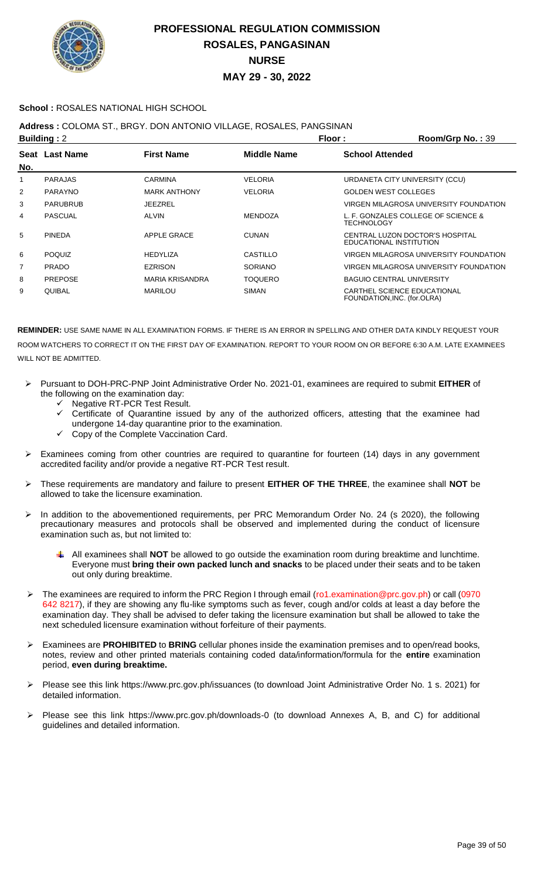

### **School :** ROSALES NATIONAL HIGH SCHOOL

### **Address :** COLOMA ST., BRGY. DON ANTONIO VILLAGE, ROSALES, PANGSINAN

| <b>Building: 2</b> |                 |                        | Floor:             | Room/Grp No.: 39       |                                                            |
|--------------------|-----------------|------------------------|--------------------|------------------------|------------------------------------------------------------|
| No.                | Seat Last Name  | <b>First Name</b>      | <b>Middle Name</b> | <b>School Attended</b> |                                                            |
|                    | <b>PARAJAS</b>  | <b>CARMINA</b>         | <b>VELORIA</b>     |                        | URDANETA CITY UNIVERSITY (CCU)                             |
| $\overline{2}$     | <b>PARAYNO</b>  | <b>MARK ANTHONY</b>    | <b>VELORIA</b>     |                        | <b>GOLDEN WEST COLLEGES</b>                                |
| 3                  | <b>PARUBRUB</b> | JEEZREL                |                    |                        | VIRGEN MILAGROSA UNIVERSITY FOUNDATION                     |
| 4                  | <b>PASCUAL</b>  | <b>ALVIN</b>           | <b>MENDOZA</b>     | TECHNOLOGY             | L. F. GONZALES COLLEGE OF SCIENCE &                        |
| 5                  | <b>PINEDA</b>   | <b>APPLE GRACE</b>     | <b>CUNAN</b>       |                        | CENTRAL LUZON DOCTOR'S HOSPITAL<br>EDUCATIONAL INSTITUTION |
| 6                  | <b>POQUIZ</b>   | <b>HEDYLIZA</b>        | CASTILLO           |                        | VIRGEN MILAGROSA UNIVERSITY FOUNDATION                     |
| 7                  | <b>PRADO</b>    | <b>EZRISON</b>         | <b>SORIANO</b>     |                        | VIRGEN MILAGROSA UNIVERSITY FOUNDATION                     |
| 8                  | <b>PREPOSE</b>  | <b>MARIA KRISANDRA</b> | <b>TOQUERO</b>     |                        | <b>BAGUIO CENTRAL UNIVERSITY</b>                           |
| 9                  | <b>QUIBAL</b>   | <b>MARILOU</b>         | SIMAN              |                        | CARTHEL SCIENCE EDUCATIONAL<br>FOUNDATION, INC. (for.OLRA) |

- Pursuant to DOH-PRC-PNP Joint Administrative Order No. 2021-01, examinees are required to submit **EITHER** of the following on the examination day:
	- Negative RT-PCR Test Result.
	- Certificate of Quarantine issued by any of the authorized officers, attesting that the examinee had undergone 14-day quarantine prior to the examination.
	- Copy of the Complete Vaccination Card.
- Examinees coming from other countries are required to quarantine for fourteen (14) days in any government accredited facility and/or provide a negative RT-PCR Test result.
- These requirements are mandatory and failure to present **EITHER OF THE THREE**, the examinee shall **NOT** be allowed to take the licensure examination.
- > In addition to the abovementioned requirements, per PRC Memorandum Order No. 24 (s 2020), the following precautionary measures and protocols shall be observed and implemented during the conduct of licensure examination such as, but not limited to:
	- All examinees shall **NOT** be allowed to go outside the examination room during breaktime and lunchtime. Everyone must **bring their own packed lunch and snacks** to be placed under their seats and to be taken out only during breaktime.
- The examinees are required to inform the PRC Region I through email (ro1.examination@prc.gov.ph) or call (0970 642 8217), if they are showing any flu-like symptoms such as fever, cough and/or colds at least a day before the examination day. They shall be advised to defer taking the licensure examination but shall be allowed to take the next scheduled licensure examination without forfeiture of their payments.
- Examinees are **PROHIBITED** to **BRING** cellular phones inside the examination premises and to open/read books, notes, review and other printed materials containing coded data/information/formula for the **entire** examination period, **even during breaktime.**
- Please see this link https://www.prc.gov.ph/issuances (to download Joint Administrative Order No. 1 s. 2021) for detailed information.
- Please see this link https://www.prc.gov.ph/downloads-0 (to download Annexes A, B, and C) for additional guidelines and detailed information.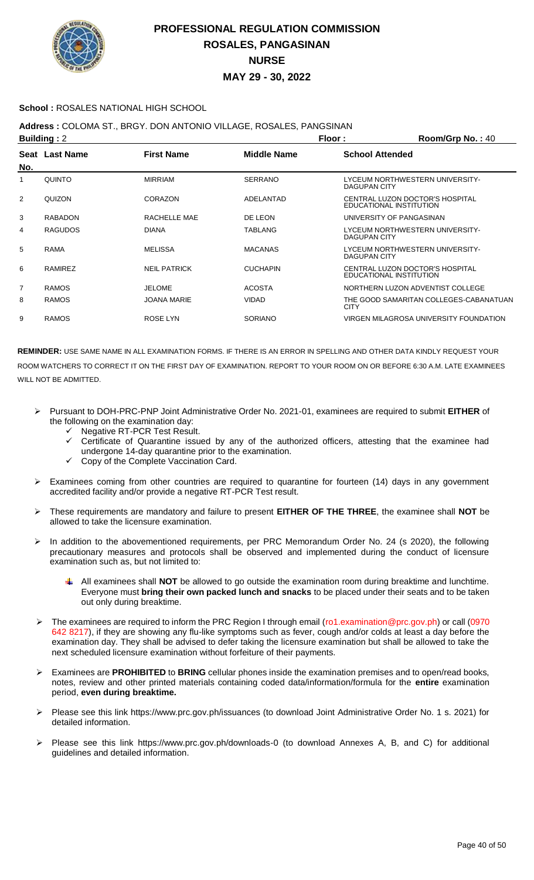

### **School :** ROSALES NATIONAL HIGH SCHOOL

## **Address :** COLOMA ST., BRGY. DON ANTONIO VILLAGE, ROSALES, PANGSINAN

|                | <b>Building: 2</b> |                     |                    | Floor:<br>Room/Grp No.: 40                                 |
|----------------|--------------------|---------------------|--------------------|------------------------------------------------------------|
| No.            | Seat Last Name     | <b>First Name</b>   | <b>Middle Name</b> | <b>School Attended</b>                                     |
|                | QUINTO             | <b>MIRRIAM</b>      | <b>SERRANO</b>     | LYCEUM NORTHWESTERN UNIVERSITY-<br>DAGUPAN CITY            |
| $\overline{2}$ | QUIZON             | <b>CORAZON</b>      | ADELANTAD          | CENTRAL LUZON DOCTOR'S HOSPITAL<br>EDUCATIONAL INSTITUTION |
| 3              | <b>RABADON</b>     | RACHELLE MAE        | DE LEON            | UNIVERSITY OF PANGASINAN                                   |
| 4              | <b>RAGUDOS</b>     | <b>DIANA</b>        | <b>TABLANG</b>     | LYCEUM NORTHWESTERN UNIVERSITY-<br>DAGUPAN CITY            |
| 5              | <b>RAMA</b>        | <b>MELISSA</b>      | <b>MACANAS</b>     | LYCEUM NORTHWESTERN UNIVERSITY-<br>DAGUPAN CITY            |
| 6              | RAMIREZ            | <b>NEIL PATRICK</b> | <b>CUCHAPIN</b>    | CENTRAL LUZON DOCTOR'S HOSPITAL<br>EDUCATIONAL INSTITUTION |
| 7              | <b>RAMOS</b>       | <b>JELOME</b>       | <b>ACOSTA</b>      | NORTHERN LUZON ADVENTIST COLLEGE                           |
| 8              | <b>RAMOS</b>       | <b>JOANA MARIE</b>  | <b>VIDAD</b>       | THE GOOD SAMARITAN COLLEGES-CABANATUAN<br><b>CITY</b>      |
| 9              | <b>RAMOS</b>       | <b>ROSE LYN</b>     | <b>SORIANO</b>     | VIRGEN MILAGROSA UNIVERSITY FOUNDATION                     |

- Pursuant to DOH-PRC-PNP Joint Administrative Order No. 2021-01, examinees are required to submit **EITHER** of the following on the examination day:
	- $\checkmark$  Negative RT-PCR Test Result.<br> $\checkmark$  Certificate of Quarantine issue
	- Certificate of Quarantine issued by any of the authorized officers, attesting that the examinee had undergone 14-day quarantine prior to the examination.
	- $\checkmark$  Copy of the Complete Vaccination Card.
- $\triangleright$  Examinees coming from other countries are required to quarantine for fourteen (14) days in any government accredited facility and/or provide a negative RT-PCR Test result.
- These requirements are mandatory and failure to present **EITHER OF THE THREE**, the examinee shall **NOT** be allowed to take the licensure examination.
- In addition to the abovementioned requirements, per PRC Memorandum Order No. 24 (s 2020), the following precautionary measures and protocols shall be observed and implemented during the conduct of licensure examination such as, but not limited to:
	- All examinees shall **NOT** be allowed to go outside the examination room during breaktime and lunchtime. Everyone must **bring their own packed lunch and snacks** to be placed under their seats and to be taken out only during breaktime.
- The examinees are required to inform the PRC Region I through email (ro1.examination@prc.gov.ph) or call (0970 642 8217), if they are showing any flu-like symptoms such as fever, cough and/or colds at least a day before the examination day. They shall be advised to defer taking the licensure examination but shall be allowed to take the next scheduled licensure examination without forfeiture of their payments.
- Examinees are **PROHIBITED** to **BRING** cellular phones inside the examination premises and to open/read books, notes, review and other printed materials containing coded data/information/formula for the **entire** examination period, **even during breaktime.**
- Please see this link https://www.prc.gov.ph/issuances (to download Joint Administrative Order No. 1 s. 2021) for detailed information.
- Please see this link https://www.prc.gov.ph/downloads-0 (to download Annexes A, B, and C) for additional guidelines and detailed information.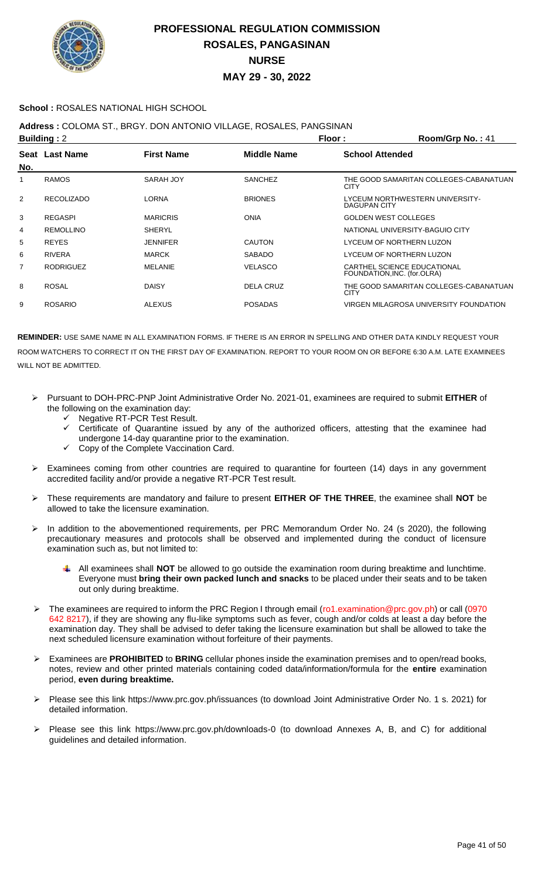

### **School :** ROSALES NATIONAL HIGH SCHOOL

**Address :** COLOMA ST., BRGY. DON ANTONIO VILLAGE, ROSALES, PANGSINAN

| <b>Building: 2</b> |                   |                   |                    | Floor:<br>Room/Grp No.: 41                                 |
|--------------------|-------------------|-------------------|--------------------|------------------------------------------------------------|
| No.                | Seat Last Name    | <b>First Name</b> | <b>Middle Name</b> | <b>School Attended</b>                                     |
| 1                  | <b>RAMOS</b>      | SARAH JOY         | <b>SANCHEZ</b>     | THE GOOD SAMARITAN COLLEGES-CABANATUAN<br><b>CITY</b>      |
| 2                  | <b>RECOLIZADO</b> | <b>LORNA</b>      | <b>BRIONES</b>     | LYCEUM NORTHWESTERN UNIVERSITY-<br>DAGUPAN CITY            |
| 3                  | <b>REGASPI</b>    | <b>MARICRIS</b>   | <b>ONIA</b>        | <b>GOLDEN WEST COLLEGES</b>                                |
| 4                  | <b>REMOLLINO</b>  | <b>SHERYL</b>     |                    | NATIONAL UNIVERSITY-BAGUIO CITY                            |
| 5                  | <b>REYES</b>      | <b>JENNIFER</b>   | <b>CAUTON</b>      | LYCEUM OF NORTHERN LUZON                                   |
| 6                  | <b>RIVERA</b>     | <b>MARCK</b>      | <b>SABADO</b>      | LYCEUM OF NORTHERN LUZON                                   |
| 7                  | <b>RODRIGUEZ</b>  | <b>MELANIE</b>    | <b>VELASCO</b>     | CARTHEL SCIENCE EDUCATIONAL<br>FOUNDATION, INC. (for.OLRA) |
| 8                  | <b>ROSAL</b>      | <b>DAISY</b>      | DELA CRUZ          | THE GOOD SAMARITAN COLLEGES-CABANATUAN<br><b>CITY</b>      |
| 9                  | <b>ROSARIO</b>    | <b>ALEXUS</b>     | <b>POSADAS</b>     | VIRGEN MILAGROSA UNIVERSITY FOUNDATION                     |

- Pursuant to DOH-PRC-PNP Joint Administrative Order No. 2021-01, examinees are required to submit **EITHER** of the following on the examination day:
	- Negative RT-PCR Test Result.
	- $\checkmark$  Certificate of Quarantine issued by any of the authorized officers, attesting that the examinee had undergone 14-day quarantine prior to the examination.
	- Copy of the Complete Vaccination Card.
- Examinees coming from other countries are required to quarantine for fourteen (14) days in any government accredited facility and/or provide a negative RT-PCR Test result.
- These requirements are mandatory and failure to present **EITHER OF THE THREE**, the examinee shall **NOT** be allowed to take the licensure examination.
- In addition to the abovementioned requirements, per PRC Memorandum Order No. 24 (s 2020), the following precautionary measures and protocols shall be observed and implemented during the conduct of licensure examination such as, but not limited to:
	- All examinees shall **NOT** be allowed to go outside the examination room during breaktime and lunchtime. Everyone must **bring their own packed lunch and snacks** to be placed under their seats and to be taken out only during breaktime.
- The examinees are required to inform the PRC Region I through email (ro1.examination@prc.gov.ph) or call (0970 642 8217), if they are showing any flu-like symptoms such as fever, cough and/or colds at least a day before the examination day. They shall be advised to defer taking the licensure examination but shall be allowed to take the next scheduled licensure examination without forfeiture of their payments.
- Examinees are **PROHIBITED** to **BRING** cellular phones inside the examination premises and to open/read books, notes, review and other printed materials containing coded data/information/formula for the **entire** examination period, **even during breaktime.**
- Please see this link https://www.prc.gov.ph/issuances (to download Joint Administrative Order No. 1 s. 2021) for detailed information.
- Please see this link https://www.prc.gov.ph/downloads-0 (to download Annexes A, B, and C) for additional guidelines and detailed information.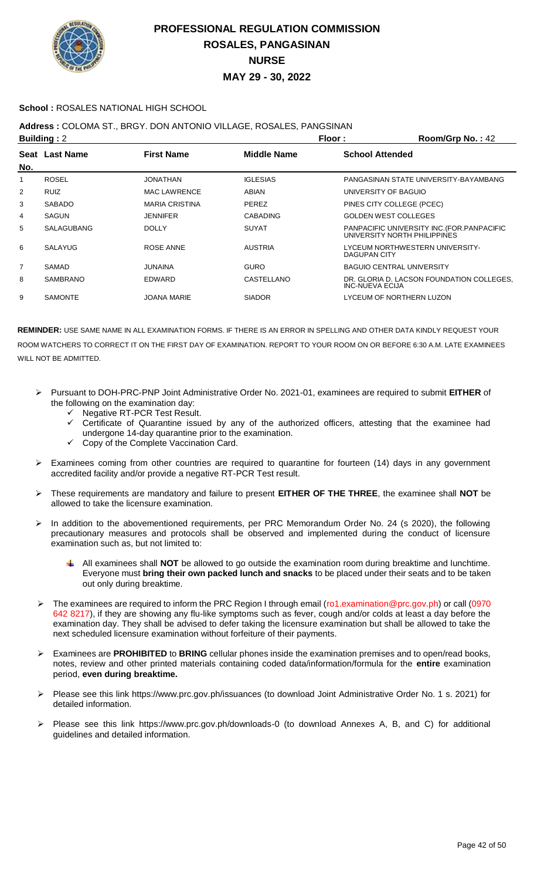

### **School :** ROSALES NATIONAL HIGH SCHOOL

### **Address :** COLOMA ST., BRGY. DON ANTONIO VILLAGE, ROSALES, PANGSINAN

| <b>Building: 2</b> |                   |                       |                    | Floor:<br>Room/Grp No.: 42                                                  |
|--------------------|-------------------|-----------------------|--------------------|-----------------------------------------------------------------------------|
| No.                | Seat Last Name    | <b>First Name</b>     | <b>Middle Name</b> | <b>School Attended</b>                                                      |
| 1                  | <b>ROSEL</b>      | <b>JONATHAN</b>       | <b>IGLESIAS</b>    | PANGASINAN STATE UNIVERSITY-BAYAMBANG                                       |
| 2                  | <b>RUIZ</b>       | <b>MAC LAWRENCE</b>   | ABIAN              | UNIVERSITY OF BAGUIO                                                        |
| 3                  | <b>SABADO</b>     | <b>MARIA CRISTINA</b> | <b>PEREZ</b>       | PINES CITY COLLEGE (PCEC)                                                   |
| 4                  | <b>SAGUN</b>      | <b>JENNIFER</b>       | <b>CABADING</b>    | <b>GOLDEN WEST COLLEGES</b>                                                 |
| 5                  | <b>SALAGUBANG</b> | <b>DOLLY</b>          | <b>SUYAT</b>       | PANPACIFIC UNIVERSITY INC. (FOR. PANPACIFIC<br>UNIVERSITY NORTH PHILIPPINES |
| 6                  | <b>SALAYUG</b>    | ROSE ANNE             | <b>AUSTRIA</b>     | LYCEUM NORTHWESTERN UNIVERSITY-<br>DAGUPAN CITY                             |
| 7                  | SAMAD             | <b>JUNAINA</b>        | <b>GURO</b>        | <b>BAGUIO CENTRAL UNIVERSITY</b>                                            |
| 8                  | <b>SAMBRANO</b>   | EDWARD                | CASTELLANO         | DR. GLORIA D. LACSON FOUNDATION COLLEGES.<br>INC-NUEVA ECIJA                |
| 9                  | <b>SAMONTE</b>    | <b>JOANA MARIE</b>    | <b>SIADOR</b>      | LYCEUM OF NORTHERN LUZON                                                    |
|                    |                   |                       |                    |                                                                             |

- Pursuant to DOH-PRC-PNP Joint Administrative Order No. 2021-01, examinees are required to submit **EITHER** of the following on the examination day:
	- Negative RT-PCR Test Result.
	- Certificate of Quarantine issued by any of the authorized officers, attesting that the examinee had undergone 14-day quarantine prior to the examination.
	- Copy of the Complete Vaccination Card.
- Examinees coming from other countries are required to quarantine for fourteen (14) days in any government accredited facility and/or provide a negative RT-PCR Test result.
- These requirements are mandatory and failure to present **EITHER OF THE THREE**, the examinee shall **NOT** be allowed to take the licensure examination.
- > In addition to the abovementioned requirements, per PRC Memorandum Order No. 24 (s 2020), the following precautionary measures and protocols shall be observed and implemented during the conduct of licensure examination such as, but not limited to:
	- All examinees shall **NOT** be allowed to go outside the examination room during breaktime and lunchtime. Everyone must **bring their own packed lunch and snacks** to be placed under their seats and to be taken out only during breaktime.
- The examinees are required to inform the PRC Region I through email (ro1.examination@prc.gov.ph) or call (0970 642 8217), if they are showing any flu-like symptoms such as fever, cough and/or colds at least a day before the examination day. They shall be advised to defer taking the licensure examination but shall be allowed to take the next scheduled licensure examination without forfeiture of their payments.
- Examinees are **PROHIBITED** to **BRING** cellular phones inside the examination premises and to open/read books, notes, review and other printed materials containing coded data/information/formula for the **entire** examination period, **even during breaktime.**
- Please see this link https://www.prc.gov.ph/issuances (to download Joint Administrative Order No. 1 s. 2021) for detailed information.
- Please see this link https://www.prc.gov.ph/downloads-0 (to download Annexes A, B, and C) for additional guidelines and detailed information.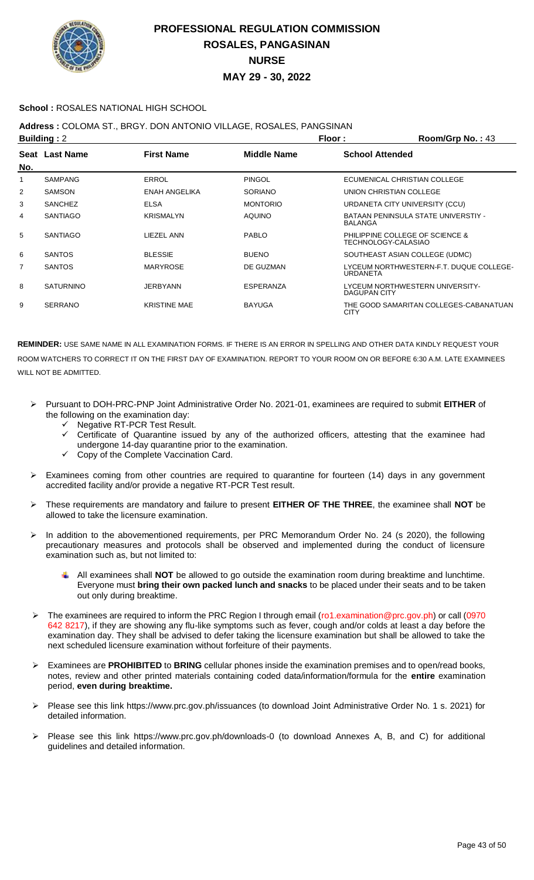

### **School :** ROSALES NATIONAL HIGH SCHOOL

### **Address :** COLOMA ST., BRGY. DON ANTONIO VILLAGE, ROSALES, PANGSINAN

| <b>Building: 2</b> |                  |                      |                 | Floor:                  | Room/Grp No.: 43                        |
|--------------------|------------------|----------------------|-----------------|-------------------------|-----------------------------------------|
| No.                | Seat Last Name   | <b>First Name</b>    | Middle Name     | <b>School Attended</b>  |                                         |
|                    | <b>SAMPANG</b>   | <b>ERROL</b>         | <b>PINGOL</b>   |                         | ECUMENICAL CHRISTIAN COLLEGE            |
| 2                  | <b>SAMSON</b>    | <b>ENAH ANGELIKA</b> | <b>SORIANO</b>  | UNION CHRISTIAN COLLEGE |                                         |
| 3                  | <b>SANCHEZ</b>   | <b>ELSA</b>          | <b>MONTORIO</b> |                         | URDANETA CITY UNIVERSITY (CCU)          |
| 4                  | <b>SANTIAGO</b>  | <b>KRISMALYN</b>     | <b>AQUINO</b>   | <b>BALANGA</b>          | BATAAN PENINSULA STATE UNIVERSTIY -     |
| 5                  | <b>SANTIAGO</b>  | LIEZEL ANN           | <b>PABLO</b>    | TECHNOLOGY-CALASIAO     | PHILIPPINE COLLEGE OF SCIENCE &         |
| 6                  | <b>SANTOS</b>    | <b>BLESSIE</b>       | <b>BUENO</b>    |                         | SOUTHEAST ASIAN COLLEGE (UDMC)          |
| 7                  | <b>SANTOS</b>    | <b>MARYROSE</b>      | DE GUZMAN       | <b>URDANETA</b>         | LYCEUM NORTHWESTERN-F.T. DUQUE COLLEGE- |
| 8                  | <b>SATURNINO</b> | JERBYANN             | ESPERANZA       | <b>DAGUPAN CITY</b>     | LYCEUM NORTHWESTERN UNIVERSITY-         |
| 9                  | <b>SERRANO</b>   | <b>KRISTINE MAE</b>  | <b>BAYUGA</b>   | <b>CITY</b>             | THE GOOD SAMARITAN COLLEGES-CABANATUAN  |

- Pursuant to DOH-PRC-PNP Joint Administrative Order No. 2021-01, examinees are required to submit **EITHER** of the following on the examination day:
	- $\checkmark$  Negative RT-PCR Test Result.
	- $\checkmark$  Certificate of Quarantine issued by any of the authorized officers, attesting that the examinee had undergone 14-day quarantine prior to the examination.
	- Copy of the Complete Vaccination Card.
- Examinees coming from other countries are required to quarantine for fourteen (14) days in any government accredited facility and/or provide a negative RT-PCR Test result.
- These requirements are mandatory and failure to present **EITHER OF THE THREE**, the examinee shall **NOT** be allowed to take the licensure examination.
- > In addition to the abovementioned requirements, per PRC Memorandum Order No. 24 (s 2020), the following precautionary measures and protocols shall be observed and implemented during the conduct of licensure examination such as, but not limited to:
	- All examinees shall **NOT** be allowed to go outside the examination room during breaktime and lunchtime. Everyone must **bring their own packed lunch and snacks** to be placed under their seats and to be taken out only during breaktime.
- The examinees are required to inform the PRC Region I through email (ro1.examination@prc.gov.ph) or call (0970 642 8217), if they are showing any flu-like symptoms such as fever, cough and/or colds at least a day before the examination day. They shall be advised to defer taking the licensure examination but shall be allowed to take the next scheduled licensure examination without forfeiture of their payments.
- Examinees are **PROHIBITED** to **BRING** cellular phones inside the examination premises and to open/read books, notes, review and other printed materials containing coded data/information/formula for the **entire** examination period, **even during breaktime.**
- Please see this link https://www.prc.gov.ph/issuances (to download Joint Administrative Order No. 1 s. 2021) for detailed information.
- Please see this link https://www.prc.gov.ph/downloads-0 (to download Annexes A, B, and C) for additional guidelines and detailed information.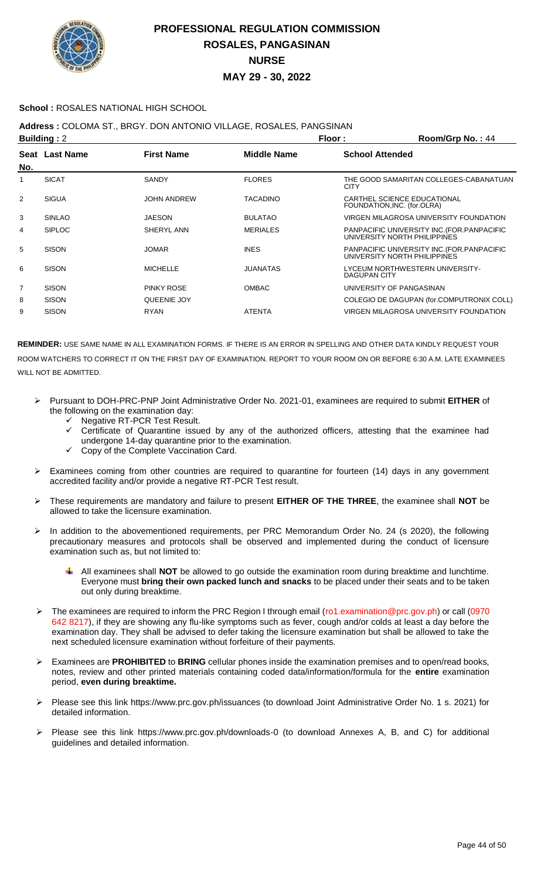

### **School :** ROSALES NATIONAL HIGH SCHOOL

**Address :** COLOMA ST., BRGY. DON ANTONIO VILLAGE, ROSALES, PANGSINAN

| <b>Building: 2</b> |                |                    |                 | Floor:                      | Room/Grp No.: 44                                                            |
|--------------------|----------------|--------------------|-----------------|-----------------------------|-----------------------------------------------------------------------------|
| No.                | Seat Last Name | <b>First Name</b>  | Middle Name     | <b>School Attended</b>      |                                                                             |
|                    | <b>SICAT</b>   | <b>SANDY</b>       | <b>FLORES</b>   | <b>CITY</b>                 | THE GOOD SAMARITAN COLLEGES-CABANATUAN                                      |
| $\overline{2}$     | <b>SIGUA</b>   | <b>JOHN ANDREW</b> | <b>TACADINO</b> | FOUNDATION, INC. (for.OLRA) | CARTHEL SCIENCE EDUCATIONAL                                                 |
| 3                  | <b>SINLAO</b>  | JAESON             | <b>BULATAO</b>  |                             | VIRGEN MILAGROSA UNIVERSITY FOUNDATION                                      |
| 4                  | <b>SIPLOC</b>  | SHERYL ANN         | <b>MERIALES</b> |                             | PANPACIFIC UNIVERSITY INC. (FOR. PANPACIFIC<br>UNIVERSITY NORTH PHILIPPINES |
| 5                  | <b>SISON</b>   | <b>JOMAR</b>       | <b>INES</b>     |                             | PANPACIFIC UNIVERSITY INC. (FOR. PANPACIFIC<br>UNIVERSITY NORTH PHILIPPINES |
| 6                  | <b>SISON</b>   | <b>MICHELLE</b>    | <b>JUANATAS</b> | <b>DAGUPAN CITY</b>         | LYCEUM NORTHWESTERN UNIVERSITY-                                             |
| $\overline{7}$     | <b>SISON</b>   | <b>PINKY ROSE</b>  | <b>OMBAC</b>    |                             | UNIVERSITY OF PANGASINAN                                                    |
| 8                  | <b>SISON</b>   | QUEENIE JOY        |                 |                             | COLEGIO DE DAGUPAN (for.COMPUTRONIX COLL)                                   |
| 9                  | <b>SISON</b>   | <b>RYAN</b>        | <b>ATENTA</b>   |                             | VIRGEN MILAGROSA UNIVERSITY FOUNDATION                                      |

- Pursuant to DOH-PRC-PNP Joint Administrative Order No. 2021-01, examinees are required to submit **EITHER** of the following on the examination day:
	- ← Negative RT-PCR Test Result.
	- Certificate of Quarantine issued by any of the authorized officers, attesting that the examinee had undergone 14-day quarantine prior to the examination.
	- Copy of the Complete Vaccination Card.
- Examinees coming from other countries are required to quarantine for fourteen (14) days in any government accredited facility and/or provide a negative RT-PCR Test result.
- These requirements are mandatory and failure to present **EITHER OF THE THREE**, the examinee shall **NOT** be allowed to take the licensure examination.
- In addition to the abovementioned requirements, per PRC Memorandum Order No. 24 (s 2020), the following precautionary measures and protocols shall be observed and implemented during the conduct of licensure examination such as, but not limited to:
	- All examinees shall **NOT** be allowed to go outside the examination room during breaktime and lunchtime. Everyone must **bring their own packed lunch and snacks** to be placed under their seats and to be taken out only during breaktime.
- The examinees are required to inform the PRC Region I through email (ro1.examination@prc.gov.ph) or call (0970 642 8217), if they are showing any flu-like symptoms such as fever, cough and/or colds at least a day before the examination day. They shall be advised to defer taking the licensure examination but shall be allowed to take the next scheduled licensure examination without forfeiture of their payments.
- Examinees are **PROHIBITED** to **BRING** cellular phones inside the examination premises and to open/read books, notes, review and other printed materials containing coded data/information/formula for the **entire** examination period, **even during breaktime.**
- Please see this link https://www.prc.gov.ph/issuances (to download Joint Administrative Order No. 1 s. 2021) for detailed information.
- Please see this link https://www.prc.gov.ph/downloads-0 (to download Annexes A, B, and C) for additional guidelines and detailed information.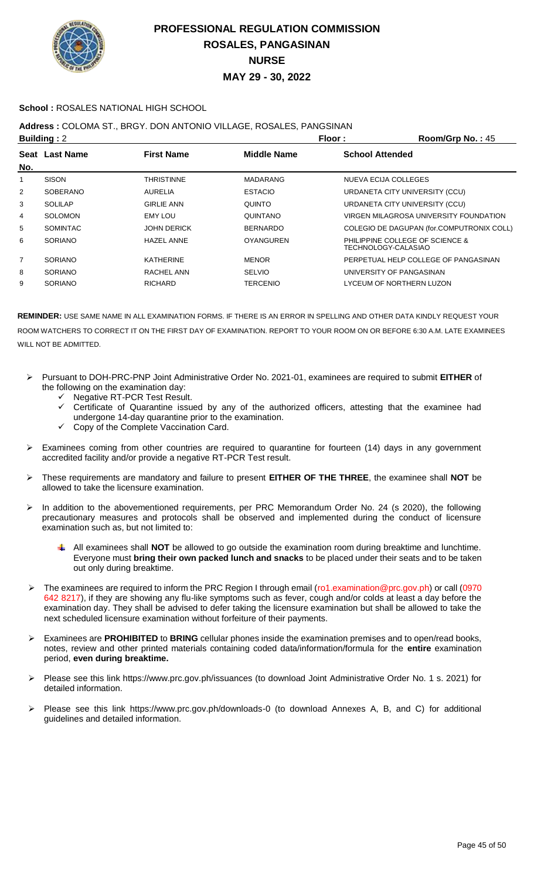

### **School :** ROSALES NATIONAL HIGH SCHOOL

### **Address :** COLOMA ST., BRGY. DON ANTONIO VILLAGE, ROSALES, PANGSINAN

|                | <b>Building: 2</b> |                    | Floor:             | $Room/Grp$ No.: 45                                     |
|----------------|--------------------|--------------------|--------------------|--------------------------------------------------------|
|                | Seat Last Name     | <b>First Name</b>  | <b>Middle Name</b> | <b>School Attended</b>                                 |
| No.            |                    |                    |                    |                                                        |
|                | <b>SISON</b>       | THRISTINNE         | <b>MADARANG</b>    | NUEVA ECIJA COLLEGES                                   |
| $\overline{2}$ | SOBERANO           | <b>AURELIA</b>     | <b>ESTACIO</b>     | URDANETA CITY UNIVERSITY (CCU)                         |
| 3              | <b>SOLILAP</b>     | <b>GIRLIE ANN</b>  | <b>QUINTO</b>      | URDANETA CITY UNIVERSITY (CCU)                         |
| 4              | <b>SOLOMON</b>     | <b>EMY LOU</b>     | QUINTANO           | VIRGEN MILAGROSA UNIVERSITY FOUNDATION                 |
| 5              | <b>SOMINTAC</b>    | <b>JOHN DERICK</b> | <b>BERNARDO</b>    | COLEGIO DE DAGUPAN (for.COMPUTRONIX COLL)              |
| 6              | <b>SORIANO</b>     | <b>HAZEL ANNE</b>  | <b>OYANGUREN</b>   | PHILIPPINE COLLEGE OF SCIENCE &<br>TECHNOLOGY-CALASIAO |
| $\overline{7}$ | <b>SORIANO</b>     | <b>KATHERINE</b>   | <b>MENOR</b>       | PERPETUAL HELP COLLEGE OF PANGASINAN                   |
| 8              | <b>SORIANO</b>     | RACHEL ANN         | <b>SELVIO</b>      | UNIVERSITY OF PANGASINAN                               |
| 9              | <b>SORIANO</b>     | <b>RICHARD</b>     | <b>TERCENIO</b>    | LYCEUM OF NORTHERN LUZON                               |
|                |                    |                    |                    |                                                        |

- Pursuant to DOH-PRC-PNP Joint Administrative Order No. 2021-01, examinees are required to submit **EITHER** of the following on the examination day:
	- $\checkmark$  Negative RT-PCR Test Result.
	- $\checkmark$  Certificate of Quarantine issued by any of the authorized officers, attesting that the examinee had undergone 14-day quarantine prior to the examination.
	- $\checkmark$  Copy of the Complete Vaccination Card.
- > Examinees coming from other countries are required to quarantine for fourteen (14) days in any government accredited facility and/or provide a negative RT-PCR Test result.
- These requirements are mandatory and failure to present **EITHER OF THE THREE**, the examinee shall **NOT** be allowed to take the licensure examination.
- In addition to the abovementioned requirements, per PRC Memorandum Order No. 24 (s 2020), the following precautionary measures and protocols shall be observed and implemented during the conduct of licensure examination such as, but not limited to:
	- All examinees shall **NOT** be allowed to go outside the examination room during breaktime and lunchtime. Everyone must **bring their own packed lunch and snacks** to be placed under their seats and to be taken out only during breaktime.
- > The examinees are required to inform the PRC Region I through email (ro1.examination@prc.gov.ph) or call (0970 642 8217), if they are showing any flu-like symptoms such as fever, cough and/or colds at least a day before the examination day. They shall be advised to defer taking the licensure examination but shall be allowed to take the next scheduled licensure examination without forfeiture of their payments.
- Examinees are **PROHIBITED** to **BRING** cellular phones inside the examination premises and to open/read books, notes, review and other printed materials containing coded data/information/formula for the **entire** examination period, **even during breaktime.**
- Please see this link https://www.prc.gov.ph/issuances (to download Joint Administrative Order No. 1 s. 2021) for detailed information.
- Please see this link https://www.prc.gov.ph/downloads-0 (to download Annexes A, B, and C) for additional guidelines and detailed information.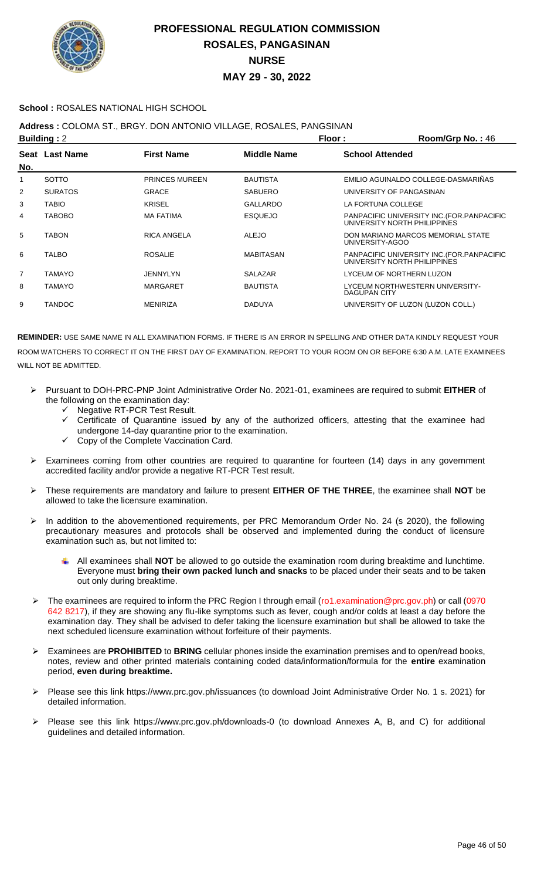

### **School :** ROSALES NATIONAL HIGH SCHOOL

### **Address :** COLOMA ST., BRGY. DON ANTONIO VILLAGE, ROSALES, PANGSINAN

|                | <b>Building: 2</b> |                       | Floor:           | Room/Grp No.: 46                                                            |
|----------------|--------------------|-----------------------|------------------|-----------------------------------------------------------------------------|
| No.            | Seat Last Name     | <b>First Name</b>     | Middle Name      | <b>School Attended</b>                                                      |
| 1              | SOTTO              | <b>PRINCES MUREEN</b> | <b>BAUTISTA</b>  | EMILIO AGUINALDO COLLEGE-DASMARIÑAS                                         |
| 2              | <b>SURATOS</b>     | <b>GRACE</b>          | <b>SABUERO</b>   | UNIVERSITY OF PANGASINAN                                                    |
| 3              | TABIO              | <b>KRISEL</b>         | GALLARDO         | LA FORTUNA COLLEGE                                                          |
| 4              | <b>TABOBO</b>      | <b>MA FATIMA</b>      | <b>ESQUEJO</b>   | PANPACIFIC UNIVERSITY INC. (FOR. PANPACIFIC<br>UNIVERSITY NORTH PHILIPPINES |
| 5              | <b>TABON</b>       | RICA ANGELA           | ALEJO            | DON MARIANO MARCOS MEMORIAL STATE<br>UNIVERSITY-AGOO                        |
| 6              | TALBO              | <b>ROSALIE</b>        | <b>MABITASAN</b> | PANPACIFIC UNIVERSITY INC. (FOR. PANPACIFIC<br>UNIVERSITY NORTH PHILIPPINES |
| $\overline{7}$ | TAMAYO             | JENNYLYN              | SALAZAR          | LYCEUM OF NORTHERN LUZON                                                    |
| 8              | <b>TAMAYO</b>      | <b>MARGARET</b>       | <b>BAUTISTA</b>  | LYCEUM NORTHWESTERN UNIVERSITY-<br>DAGUPAN CITY                             |
| 9              | <b>TANDOC</b>      | <b>MENIRIZA</b>       | <b>DADUYA</b>    | UNIVERSITY OF LUZON (LUZON COLL.)                                           |

- Pursuant to DOH-PRC-PNP Joint Administrative Order No. 2021-01, examinees are required to submit **EITHER** of the following on the examination day:
	- Negative RT-PCR Test Result.
	- Certificate of Quarantine issued by any of the authorized officers, attesting that the examinee had undergone 14-day quarantine prior to the examination.
	- Copy of the Complete Vaccination Card.
- Examinees coming from other countries are required to quarantine for fourteen (14) days in any government accredited facility and/or provide a negative RT-PCR Test result.
- These requirements are mandatory and failure to present **EITHER OF THE THREE**, the examinee shall **NOT** be allowed to take the licensure examination.
- > In addition to the abovementioned requirements, per PRC Memorandum Order No. 24 (s 2020), the following precautionary measures and protocols shall be observed and implemented during the conduct of licensure examination such as, but not limited to:
	- All examinees shall **NOT** be allowed to go outside the examination room during breaktime and lunchtime. Everyone must **bring their own packed lunch and snacks** to be placed under their seats and to be taken out only during breaktime.
- The examinees are required to inform the PRC Region I through email (ro1.examination@prc.gov.ph) or call (0970 642 8217), if they are showing any flu-like symptoms such as fever, cough and/or colds at least a day before the examination day. They shall be advised to defer taking the licensure examination but shall be allowed to take the next scheduled licensure examination without forfeiture of their payments.
- Examinees are **PROHIBITED** to **BRING** cellular phones inside the examination premises and to open/read books, notes, review and other printed materials containing coded data/information/formula for the **entire** examination period, **even during breaktime.**
- Please see this link https://www.prc.gov.ph/issuances (to download Joint Administrative Order No. 1 s. 2021) for detailed information.
- Please see this link https://www.prc.gov.ph/downloads-0 (to download Annexes A, B, and C) for additional guidelines and detailed information.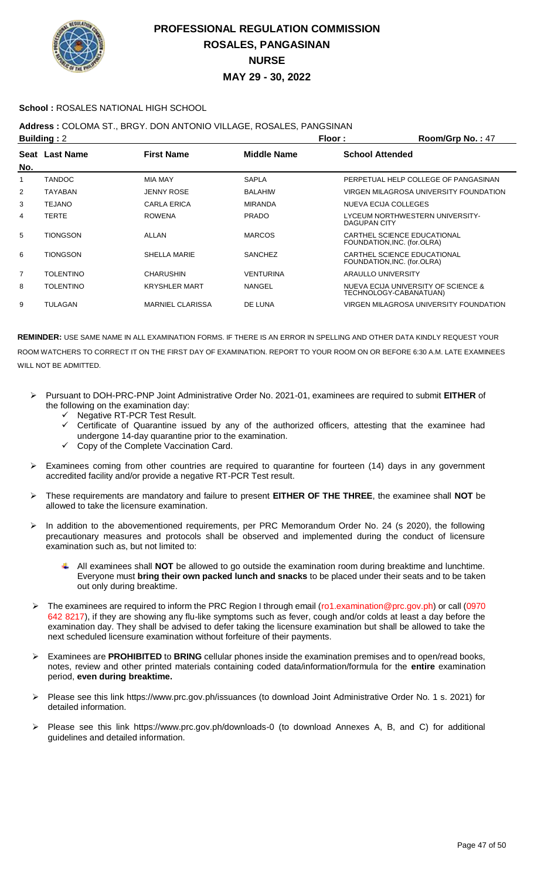

### **School :** ROSALES NATIONAL HIGH SCHOOL

### **Address :** COLOMA ST., BRGY. DON ANTONIO VILLAGE, ROSALES, PANGSINAN

| <b>Building: 2</b> |                  |                         |                | Floor:<br>Room/Grp No.: 47                                    |
|--------------------|------------------|-------------------------|----------------|---------------------------------------------------------------|
| No.                | Seat Last Name   | <b>First Name</b>       | Middle Name    | <b>School Attended</b>                                        |
|                    | <b>TANDOC</b>    | <b>MIA MAY</b>          | SAPLA          | PERPETUAL HELP COLLEGE OF PANGASINAN                          |
| 2                  | <b>TAYABAN</b>   | <b>JENNY ROSE</b>       | <b>BALAHIW</b> | VIRGEN MILAGROSA UNIVERSITY FOUNDATION                        |
| 3                  | <b>TEJANO</b>    | <b>CARLA ERICA</b>      | <b>MIRANDA</b> | NUEVA ECIJA COLLEGES                                          |
| 4                  | <b>TERTE</b>     | <b>ROWENA</b>           | <b>PRADO</b>   | LYCEUM NORTHWESTERN UNIVERSITY-<br>DAGUPAN CITY               |
| 5                  | TIONGSON         | ALLAN                   | <b>MARCOS</b>  | CARTHEL SCIENCE EDUCATIONAL<br>FOUNDATION, INC. (for.OLRA)    |
| 6                  | <b>TIONGSON</b>  | SHELLA MARIE            | <b>SANCHEZ</b> | CARTHEL SCIENCE EDUCATIONAL<br>FOUNDATION, INC. (for.OLRA)    |
| 7                  | <b>TOLENTINO</b> | <b>CHARUSHIN</b>        | VENTURINA      | ARAULLO UNIVERSITY                                            |
| 8                  | <b>TOLENTINO</b> | <b>KRYSHLER MART</b>    | NANGEL         | NUEVA ECIJA UNIVERSITY OF SCIENCE &<br>TECHNOLOGY-CABANATUAN) |
| 9                  | <b>TULAGAN</b>   | <b>MARNIEL CLARISSA</b> | DE LUNA        | VIRGEN MILAGROSA UNIVERSITY FOUNDATION                        |

- Pursuant to DOH-PRC-PNP Joint Administrative Order No. 2021-01, examinees are required to submit **EITHER** of the following on the examination day:
	- Negative RT-PCR Test Result.
	- Certificate of Quarantine issued by any of the authorized officers, attesting that the examinee had undergone 14-day quarantine prior to the examination.
	- Copy of the Complete Vaccination Card.
- Examinees coming from other countries are required to quarantine for fourteen (14) days in any government accredited facility and/or provide a negative RT-PCR Test result.
- These requirements are mandatory and failure to present **EITHER OF THE THREE**, the examinee shall **NOT** be allowed to take the licensure examination.
- In addition to the abovementioned requirements, per PRC Memorandum Order No. 24 (s 2020), the following precautionary measures and protocols shall be observed and implemented during the conduct of licensure examination such as, but not limited to:
	- All examinees shall **NOT** be allowed to go outside the examination room during breaktime and lunchtime. Everyone must **bring their own packed lunch and snacks** to be placed under their seats and to be taken out only during breaktime.
- The examinees are required to inform the PRC Region I through email (ro1.examination@prc.gov.ph) or call (0970 642 8217), if they are showing any flu-like symptoms such as fever, cough and/or colds at least a day before the examination day. They shall be advised to defer taking the licensure examination but shall be allowed to take the next scheduled licensure examination without forfeiture of their payments.
- Examinees are **PROHIBITED** to **BRING** cellular phones inside the examination premises and to open/read books, notes, review and other printed materials containing coded data/information/formula for the **entire** examination period, **even during breaktime.**
- Please see this link https://www.prc.gov.ph/issuances (to download Joint Administrative Order No. 1 s. 2021) for detailed information.
- Please see this link https://www.prc.gov.ph/downloads-0 (to download Annexes A, B, and C) for additional guidelines and detailed information.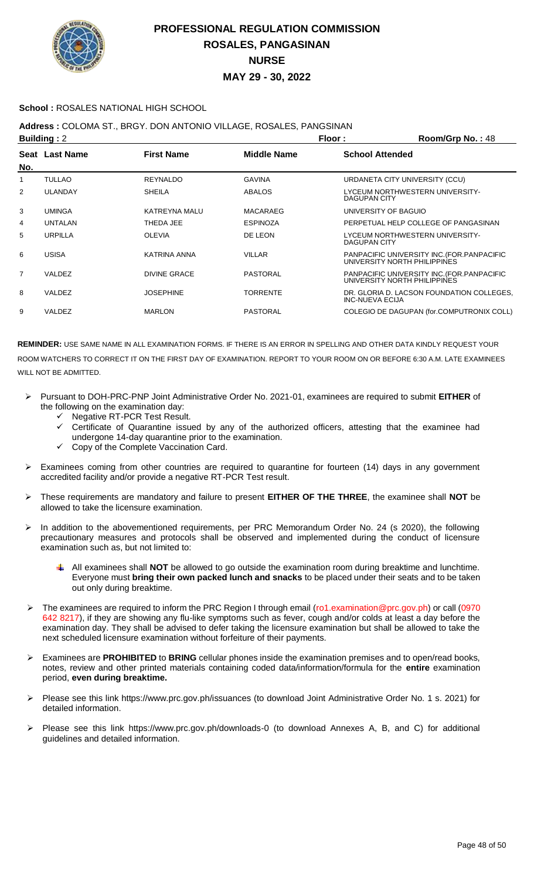

### **School :** ROSALES NATIONAL HIGH SCHOOL

### **Address :** COLOMA ST., BRGY. DON ANTONIO VILLAGE, ROSALES, PANGSINAN

|                | <b>Building: 2</b> |                   |                 | Floor:<br>Room/Grp No.: 48                                                  |
|----------------|--------------------|-------------------|-----------------|-----------------------------------------------------------------------------|
| No.            | Seat Last Name     | <b>First Name</b> | Middle Name     | <b>School Attended</b>                                                      |
|                | <b>TULLAO</b>      | <b>REYNALDO</b>   | <b>GAVINA</b>   | URDANETA CITY UNIVERSITY (CCU)                                              |
| 2              | <b>ULANDAY</b>     | <b>SHEILA</b>     | ABALOS          | LYCEUM NORTHWESTERN UNIVERSITY-<br><b>DAGUPAN CITY</b>                      |
| 3              | <b>UMINGA</b>      | KATREYNA MALU     | MACARAEG        | UNIVERSITY OF BAGUIO                                                        |
| 4              | <b>UNTALAN</b>     | THEDA JEE         | <b>ESPINOZA</b> | PERPETUAL HELP COLLEGE OF PANGASINAN                                        |
| 5              | <b>URPILLA</b>     | <b>OLEVIA</b>     | DE LEON         | LYCEUM NORTHWESTERN UNIVERSITY-<br><b>DAGUPAN CITY</b>                      |
| 6              | <b>USISA</b>       | KATRINA ANNA      | <b>VILLAR</b>   | PANPACIFIC UNIVERSITY INC. (FOR. PANPACIFIC<br>UNIVERSITY NORTH PHILIPPINES |
| $\overline{7}$ | VALDEZ             | DIVINE GRACE      | PASTORAL        | PANPACIFIC UNIVERSITY INC. (FOR. PANPACIFIC<br>UNIVERSITY NORTH PHILIPPINES |
| 8              | VALDEZ             | <b>JOSEPHINE</b>  | <b>TORRENTE</b> | DR. GLORIA D. LACSON FOUNDATION COLLEGES,<br><b>INC-NUEVA ECIJA</b>         |
| 9              | VALDEZ             | <b>MARLON</b>     | <b>PASTORAL</b> | COLEGIO DE DAGUPAN (for.COMPUTRONIX COLL)                                   |

- Pursuant to DOH-PRC-PNP Joint Administrative Order No. 2021-01, examinees are required to submit **EITHER** of the following on the examination day:
	- Negative RT-PCR Test Result.
	- Certificate of Quarantine issued by any of the authorized officers, attesting that the examinee had undergone 14-day quarantine prior to the examination.
	- Copy of the Complete Vaccination Card.
- Examinees coming from other countries are required to quarantine for fourteen (14) days in any government accredited facility and/or provide a negative RT-PCR Test result.
- These requirements are mandatory and failure to present **EITHER OF THE THREE**, the examinee shall **NOT** be allowed to take the licensure examination.
- > In addition to the abovementioned requirements, per PRC Memorandum Order No. 24 (s 2020), the following precautionary measures and protocols shall be observed and implemented during the conduct of licensure examination such as, but not limited to:
	- All examinees shall **NOT** be allowed to go outside the examination room during breaktime and lunchtime. Everyone must **bring their own packed lunch and snacks** to be placed under their seats and to be taken out only during breaktime.
- The examinees are required to inform the PRC Region I through email (ro1.examination@prc.gov.ph) or call (0970 642 8217), if they are showing any flu-like symptoms such as fever, cough and/or colds at least a day before the examination day. They shall be advised to defer taking the licensure examination but shall be allowed to take the next scheduled licensure examination without forfeiture of their payments.
- Examinees are **PROHIBITED** to **BRING** cellular phones inside the examination premises and to open/read books, notes, review and other printed materials containing coded data/information/formula for the **entire** examination period, **even during breaktime.**
- Please see this link https://www.prc.gov.ph/issuances (to download Joint Administrative Order No. 1 s. 2021) for detailed information.
- Please see this link https://www.prc.gov.ph/downloads-0 (to download Annexes A, B, and C) for additional guidelines and detailed information.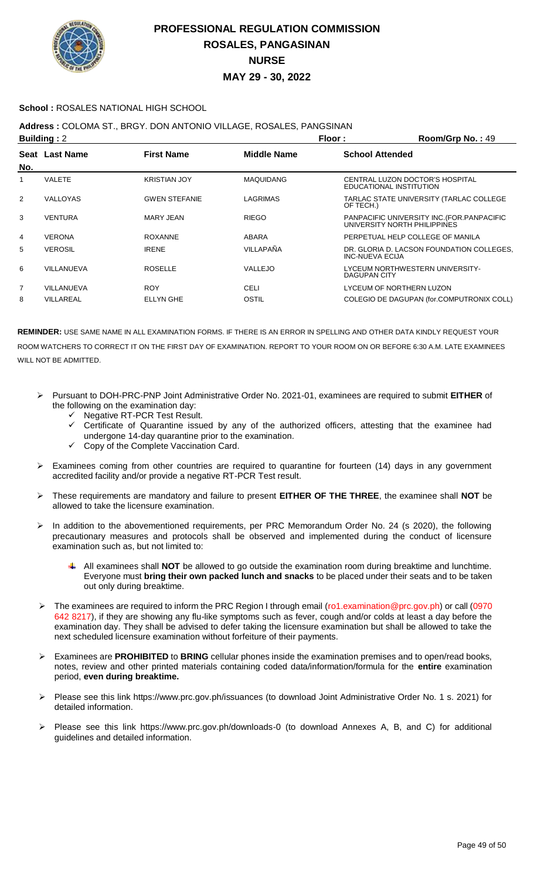

### **School :** ROSALES NATIONAL HIGH SCHOOL

**Address :** COLOMA ST., BRGY. DON ANTONIO VILLAGE, ROSALES, PANGSINAN

|                | <b>Building: 2</b> |                      | Floor:             | Room/Grp No.: 49                                                            |
|----------------|--------------------|----------------------|--------------------|-----------------------------------------------------------------------------|
| No.            | Seat Last Name     | <b>First Name</b>    | <b>Middle Name</b> | <b>School Attended</b>                                                      |
|                | <b>VALETE</b>      | <b>KRISTIAN JOY</b>  | <b>MAQUIDANG</b>   | CENTRAL LUZON DOCTOR'S HOSPITAL<br>EDUCATIONAL INSTITUTION                  |
| $\overline{2}$ | <b>VALLOYAS</b>    | <b>GWEN STEFANIE</b> | LAGRIMAS           | TARLAC STATE UNIVERSITY (TARLAC COLLEGE<br>OF TECH.)                        |
| 3              | <b>VENTURA</b>     | MARY JEAN            | <b>RIEGO</b>       | PANPACIFIC UNIVERSITY INC. (FOR. PANPACIFIC<br>UNIVERSITY NORTH PHILIPPINES |
| 4              | <b>VERONA</b>      | <b>ROXANNE</b>       | ABARA              | PERPETUAL HELP COLLEGE OF MANILA                                            |
| 5              | <b>VEROSIL</b>     | <b>IRENE</b>         | <b>VILLAPAÑA</b>   | DR. GLORIA D. LACSON FOUNDATION COLLEGES,<br><b>INC-NUEVA ECIJA</b>         |
| 6              | VILLANUEVA         | <b>ROSELLE</b>       | VALLEJO            | LYCEUM NORTHWESTERN UNIVERSITY-<br>DAGUPAN CITY                             |
| $\overline{7}$ | VILLANUEVA         | <b>ROY</b>           | CELI               | LYCEUM OF NORTHERN LUZON                                                    |
| 8              | VILLAREAL          | <b>ELLYN GHE</b>     | OSTIL              | COLEGIO DE DAGUPAN (for.COMPUTRONIX COLL)                                   |

- Pursuant to DOH-PRC-PNP Joint Administrative Order No. 2021-01, examinees are required to submit **EITHER** of the following on the examination day:
	- Negative RT-PCR Test Result.
	- Certificate of Quarantine issued by any of the authorized officers, attesting that the examinee had undergone 14-day quarantine prior to the examination.
	- Copy of the Complete Vaccination Card.
- $\triangleright$  Examinees coming from other countries are required to quarantine for fourteen (14) days in any government accredited facility and/or provide a negative RT-PCR Test result.
- These requirements are mandatory and failure to present **EITHER OF THE THREE**, the examinee shall **NOT** be allowed to take the licensure examination.
- > In addition to the abovementioned requirements, per PRC Memorandum Order No. 24 (s 2020), the following precautionary measures and protocols shall be observed and implemented during the conduct of licensure examination such as, but not limited to:
	- All examinees shall **NOT** be allowed to go outside the examination room during breaktime and lunchtime. Everyone must **bring their own packed lunch and snacks** to be placed under their seats and to be taken out only during breaktime.
- The examinees are required to inform the PRC Region I through email (ro1.examination@prc.gov.ph) or call (0970 642 8217), if they are showing any flu-like symptoms such as fever, cough and/or colds at least a day before the examination day. They shall be advised to defer taking the licensure examination but shall be allowed to take the next scheduled licensure examination without forfeiture of their payments.
- Examinees are **PROHIBITED** to **BRING** cellular phones inside the examination premises and to open/read books, notes, review and other printed materials containing coded data/information/formula for the **entire** examination period, **even during breaktime.**
- Please see this link https://www.prc.gov.ph/issuances (to download Joint Administrative Order No. 1 s. 2021) for detailed information.
- Please see this link https://www.prc.gov.ph/downloads-0 (to download Annexes A, B, and C) for additional guidelines and detailed information.